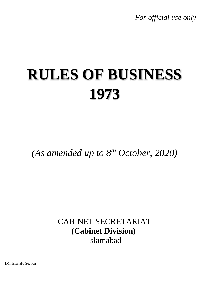*For official use only*

# **RULES OF BUSINESS 1973**

*(As amended up to 8 th October, 2020)*

CABINET SECRETARIAT **(Cabinet Division)** Islamabad

[Ministerial-I Section]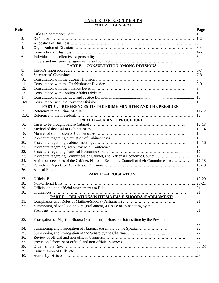#### **T A B L E O F C O N T E N T S PART A.—GENERAL**

| <b>Rule</b> |                                                                                       | Page      |  |  |
|-------------|---------------------------------------------------------------------------------------|-----------|--|--|
| 1.          |                                                                                       |           |  |  |
| 2.          |                                                                                       |           |  |  |
| 3.          |                                                                                       |           |  |  |
| 4.          |                                                                                       | $3-4$     |  |  |
| 5.          |                                                                                       | $4-6$     |  |  |
| 6.          |                                                                                       | 6         |  |  |
| 7.          |                                                                                       | 6         |  |  |
|             | <b>PART B.-CONSULTATION AMONG DIVISIONS</b>                                           |           |  |  |
| 8.          |                                                                                       |           |  |  |
| 9.          |                                                                                       |           |  |  |
| 10.         | 8                                                                                     |           |  |  |
| 11.         | $8-9$                                                                                 |           |  |  |
| 12.         | 9                                                                                     |           |  |  |
| 13.         | 10                                                                                    |           |  |  |
| 14.         | 10                                                                                    |           |  |  |
| 14A.        |                                                                                       | 10        |  |  |
|             | PART C.-REFERENCES TO THE PRIME MINISTER AND THE PRESIDENT                            |           |  |  |
| 15.         |                                                                                       | $11 - 12$ |  |  |
| 15A.        |                                                                                       | 12        |  |  |
|             | <b>PART D.-CABINET PROCEDURE</b>                                                      |           |  |  |
| 16.         |                                                                                       | $12 - 13$ |  |  |
| 17.         |                                                                                       | $13 - 14$ |  |  |
| 18.         |                                                                                       | 14        |  |  |
| 19.         |                                                                                       | 15        |  |  |
| 20.         |                                                                                       | $15 - 16$ |  |  |
| 21.         |                                                                                       | 16        |  |  |
| 22.         |                                                                                       | 17        |  |  |
| 23.         | Procedure regarding Committees of Cabinet, and National Economic Council              | 17        |  |  |
| 24.         | Action on decisions of the Cabinet, National Economic Council or their Committees etc | $17 - 18$ |  |  |
| 25.         |                                                                                       | 18-19     |  |  |
| 26.         |                                                                                       |           |  |  |
|             | <b>PART E.-LEGISLATION</b>                                                            |           |  |  |
| 27.         |                                                                                       |           |  |  |
| 28.         |                                                                                       |           |  |  |
| 29.         |                                                                                       | 21        |  |  |
| 30.         | Ordinances                                                                            | 21        |  |  |
|             | PART F.-RELATIONS WITH MAJLIS-E-SHOORA (PARLIAMENT)                                   |           |  |  |
| 31.         |                                                                                       | 21        |  |  |
| 32.         | Summoning of Majlis-e-Shoora (Parliament) a House or Joint sitting by the             |           |  |  |
|             |                                                                                       | 21        |  |  |
|             |                                                                                       |           |  |  |
| 33.         | Prorogation of Majlis-e-Shoora (Parliament) a House or Joint sitting by the President |           |  |  |
|             |                                                                                       | 22        |  |  |
| 34.         | Summoning and Prorogation of National Assembly by the Speaker                         | 22        |  |  |
| 35.         |                                                                                       | 22        |  |  |
| 36.         |                                                                                       | 22        |  |  |
| 37.         |                                                                                       | 22        |  |  |
| 38.         |                                                                                       | $22 - 23$ |  |  |
| 39.         |                                                                                       |           |  |  |
| 40.         |                                                                                       |           |  |  |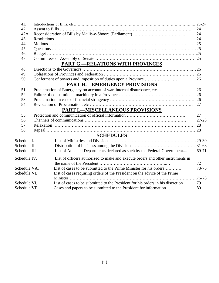| 41.           |                                                                                 |            |  |  |
|---------------|---------------------------------------------------------------------------------|------------|--|--|
| 42.           |                                                                                 |            |  |  |
| 42A.          |                                                                                 | 24         |  |  |
| 43.           |                                                                                 | 24         |  |  |
| 44.           |                                                                                 |            |  |  |
| 45.           |                                                                                 |            |  |  |
| 46.           |                                                                                 |            |  |  |
| 47.           |                                                                                 |            |  |  |
|               | <b>PART G.-RELATIONS WITH PROVINCES</b>                                         |            |  |  |
| 48.           |                                                                                 |            |  |  |
| 49.           |                                                                                 |            |  |  |
| 50.           |                                                                                 | 26         |  |  |
|               | <b>PART H.-EMERGENCY PROVISIONS</b>                                             |            |  |  |
| 51.           | Proclamation of Emergency on account of war, internal disturbance, etc          | 26         |  |  |
| 52.           |                                                                                 | 26         |  |  |
| 53.           |                                                                                 |            |  |  |
| 54.           |                                                                                 | 27         |  |  |
|               | <b>PART I.-MISCELLANEOUS PROVISIONS</b>                                         |            |  |  |
| 55.           |                                                                                 | 27         |  |  |
| 56.           |                                                                                 | $27 - 28$  |  |  |
| 57.           |                                                                                 |            |  |  |
| 58.           |                                                                                 |            |  |  |
|               | <b>SCHEDULES</b>                                                                |            |  |  |
| Schedule I.   |                                                                                 |            |  |  |
| Schedule II.  |                                                                                 |            |  |  |
| Schedule III  | List of Attached Departments declared as such by the Federal Government         | 69-71      |  |  |
| Schedule IV.  | List of officers authorized to make and execute orders and other instruments in |            |  |  |
|               |                                                                                 | 72         |  |  |
| Schedule VA.  | List of cases to be submitted to the Prime Minister for his orders              | $73 - 75$  |  |  |
| Schedule VB.  | List of cases requiring orders of the President on the advice of the Prime      |            |  |  |
|               |                                                                                 | $.76 - 78$ |  |  |
| Schedule VI.  | List of cases to be submitted to the President for his orders in his discretion | 79         |  |  |
| Schedule VII. | Cases and papers to be submitted to the President for information               | 80         |  |  |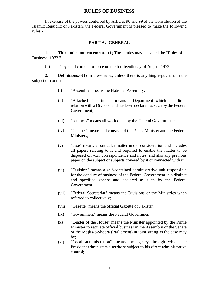# **RULES OF BUSINESS**

In exercise of the powers conferred by Articles 90 and 99 of the Constitution of the Islamic Republic of Pakistan, the Federal Government is pleased to make the following rules:-

## **PART A.--GENERAL**

**1. Title and commencement.--**(1) These rules may be called the "Rules of Business, 1973."

(2) They shall come into force on the fourteenth day of August 1973.

**2. Definitions.--**(1) In these rules, unless there is anything repugnant in the subject or context:

- (i) "Assembly" means the National Assembly;
- (ii) "Attached Department" means a Department which has direct relation with a Division and has been declared as such by the Federal Government;
- (iii) "business" means all work done by the Federal Government;
- (iv) "Cabinet" means and consists of the Prime Minister and the Federal Ministers;
- (v) "case" means a particular matter under consideration and includes all papers relating to it and required to enable the matter to be disposed of, viz., correspondence and notes, and also any previous paper on the subject or subjects covered by it or connected with it;
- (vi) "Division" means a self-contained administrative unit responsible for the conduct of business of the Federal Government in a distinct and specified sphere and declared as such by the Federal Government;
- (vii) "Federal Secretariat" means the Divisions or the Ministries when referred to collectively;
- (viii) "Gazette" means the official Gazette of Pakistan,
- (ix) "Government" means the Federal Government;
- (x) "Leader of the House" means the Minister appointed by the Prime Minister to regulate official business in the Assembly or the Senate or the Majlis-e-Shoora (Parliament) in joint sitting as the case may be;
- (xi) "Local administration" means the agency through which the President administers a territory subject to his direct administrative control;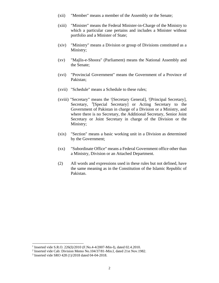- (xii) "Member" means a member of the Assembly or the Senate;
- (xiii) "Minister" means the Federal Minister-in-Charge of the Ministry to which a particular case pertains and includes a Minister without portfolio and a Minister of State;
- (xiv) "Ministry" means a Division or group of Divisions constituted as a Ministry;
- (xv) "Majlis-e-Shoora" (Parliament) means the National Assembly and the Senate;
- (xvi) "Provincial Government" means the Government of a Province of Pakistan;
- (xvii) "Schedule" means a Schedule to these rules;
- (xviii) "Secretary" means the <sup>1</sup>[Secretary General], <sup>2</sup>[Principal Secretary], Secretary, <sup>3</sup>[Special Secretary] or Acting Secretary to the Government of Pakistan in charge of a Division or a Ministry, and where there is no Secretary, the Additional Secretary, Senior Joint Secretary or Joint Secretary in charge of the Division or the Ministry;
- (xix) "Section" means a basic working unit in a Division as determined by the Government;
- (xx) "Subordinate Office" means a Federal Government office other than a Ministry, Division or an Attached Department.
- (2) All words and expressions used in these rules but not defined, have the same meaning as in the Constitution of the Islamic Republic of Pakistan.

<sup>&</sup>lt;sup>1</sup> Inserted vide S.R.O. 226(I)/2010 (F.No.4-4/2007-Min-I), dated 02.4.2010.

<sup>&</sup>lt;sup>2</sup> Inserted vide Cab: Division Memo No.104/37/81-Min.I, dated 21st Nov.1982.

<sup>3</sup> Inserted vide SRO 428 (1)/2018 dated 04-04-2018.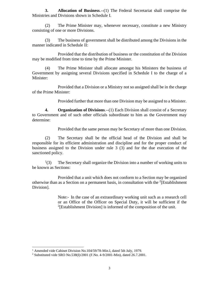**3. Allocation of Business**.--(1) The Federal Secretariat shall comprise the Ministries and Divisions shown in Schedule I.

(2) The Prime Minister may, whenever necessary, constitute a new Ministry consisting of one or more Divisions.

(3) The business of government shall be distributed among the Divisions in the manner indicated in Schedule II:

Provided that the distribution of business or the constitution of the Division may be modified from time to time by the Prime Minister.

(4) The Prime Minister shall allocate amongst his Ministers the business of Government by assigning several Divisions specified in Schedule I to the charge of a Minister:

Provided that a Division or a Ministry not so assigned shall be in the charge of the Prime Minister:

Provided further that more than one Division may be assigned to a Minister.

**4. Organization of Divisions**.--(1) Each Division shall consist of a Secretary to Government and of such other officials subordinate to him as the Government may determine:

Provided that the same person may be Secretary of more than one Division.

(2) The Secretary shall be the official head of the Division and shall be responsible for its efficient administration and discipline and for the proper conduct of business assigned to the Division under rule 3 (3) and for the due execution of the sanctioned policy.

 $(3)$ The Secretary shall organize the Division into a number of working units to be known as Sections:

Provided that a unit which does not conform to a Section may be organized otherwise than as a Section on a permanent basis, in consultation with the  $2$ [Establishment Division].

> Note:- In the case of an extraordinary working unit such as a research cell or an Office of the Officer on Special Duty, it will be sufficient if the  $2$ [Establishment Division] is informed of the composition of the unit.

<sup>&</sup>lt;sup>1</sup> Amended vide Cabinet Division No.104/59/78-Min.I, dated 5th July, 1979.

<sup>2</sup> Substituted vide SRO No.538(I)/2001 (F.No. 4-9/2001-Min), dated 26.7.2001.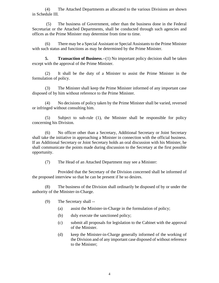(4) The Attached Departments as allocated to the various Divisions are shown in Schedule III.

(5) The business of Government, other than the business done in the Federal Secretariat or the Attached Departments, shall be conducted through such agencies and offices as the Prime Minister may determine from time to time.

(6) There may be a Special Assistant or Special Assistants to the Prime Minister with such status and functions as may be determined by the Prime Minister.

**5. Transaction of Business.**--(1) No important policy decision shall be taken except with the approval of the Prime Minister.

(2) It shall be the duty of a Minister to assist the Prime Minister in the formulation of policy.

(3) The Minister shall keep the Prime Minister informed of any important case disposed of by him without reference to the Prime Minister.

(4) No decisions of policy taken by the Prime Minister shall be varied, reversed or infringed without consulting him.

(5) Subject to sub-rule (1), the Minister shall be responsible for policy concerning his Division.

(6) No officer other than a Secretary, Additional Secretary or Joint Secretary shall take the initiative in approaching a Minister in connection with the official business. If an Additional Secretary or Joint Secretary holds an oral discussion with his Minister, he shall communicate the points made during discussion to the Secretary at the first possible opportunity.

(7) The Head of an Attached Department may see a Minister:

Provided that the Secretary of the Division concerned shall be informed of the proposed interview so that he can be present if he so desires.

(8) The business of the Division shall ordinarily be disposed of by or under the authority of the Minister-in-Charge.

(9) The Secretary shall --

- (a) assist the Minister-in-Charge in the formulation of policy;
- (b) duly execute the sanctioned policy;
- (c) submit all proposals for legislation to the Cabinet with the approval of the Minister.
- (d) keep the Minister-in-Charge generally informed of the working of the Division and of any important case disposed of without reference to the Minister;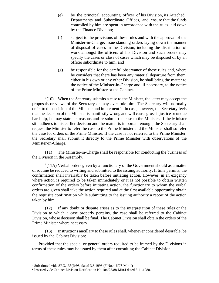- (e) be the principal accounting officer of his Division, its Attached Departments and Subordinate Offices, and ensure that the funds controlled by him are spent in accordance with the rules laid down by the Finance Division;
- (f) subject to the provisions of these rules and with the approval of the Minister-in-Charge, issue standing orders laying down the manner of disposal of cases in the Division, including the distribution of work amongst the officers of his Division and such orders may specify the cases or class of cases which may be disposed of by an officer subordinate to him; and
- (g) be responsible for the careful observance of these rules and, where he considers that there has been any material departure from them, either in his own or any other Division, he shall bring the matter to the notice of the Minister-in-Charge and, if necessary, to the notice of the Prime Minister or the Cabinet.

 $1(10)$  When the Secretary submits a case to the Minister, the latter may accept the proposals or views of the Secretary or may over-rule him. The Secretary will normally defer to the decision of the Minister and implement it. In case, however, the Secretary feels that the decision of the Minister is manifestly wrong and will cause gross injustice or undue hardship, he may state his reasons and re-submit the case to the Minister. If the Minister still adheres to his earlier decision and the matter is important enough, the Secretary shall request the Minister to refer the case to the Prime Minister and the Minister shall so refer the case for orders of the Prime Minister. If the case is not referred to the Prime Minister, the Secretary shall submit it directly to the Prime Minister with observations of the Minister-in-Charge.

(11) The Minister-in-Charge shall be responsible for conducting the business of the Division in the Assembly.

 $2(11A)$  Verbal orders given by a functionary of the Government should as a matter of routine be reduced to writing and submitted to the issuing authority. If time permits, the confirmation shall invariably be taken before initiating action. However, in an exigency where action is required to be taken immediately or it is not possible to obtain written confirmation of the orders before initiating action, the functionary to whom the verbal orders are given shall take the action required and at the first available opportunity obtain the requisite confirmation while submitting to the issuing authority a report of the action taken by him.

(12) If any doubt or dispute arises as to the interpretation of these rules or the Division to which a case properly pertains, the case shall be referred to the Cabinet Division, whose decision shall be final. The Cabinet Division shall obtain the orders of the Prime Minister where necessary.

(13) Instructions ancillary to these rules shall, whenever considered desirable, be issued by the Cabinet Division:

 Provided that the special or general orders required to be framed by the Divisions in terms of these rules may be issued by them after consulting the Cabinet Division.

<sup>1</sup> Substituted vide SRO.135(I)/98, dated 3.3.1998 (F.No.4-6/97-Min-I)

<sup>2</sup> Inserted vide Cabinet Division Notification No.104/23/88-Min.I dated 5.11.1988.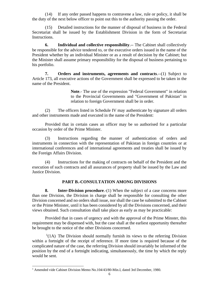(14) If any order passed happens to contravene a law, rule or policy, it shall be the duty of the next below officer to point out this to the authority passing the order.

(15) Detailed instructions for the manner of disposal of business in the Federal Secretariat shall be issued by the Establishment Division in the form of Secretariat Instructions.

**6. Individual and collective responsibility**.-- The Cabinet shall collectively be responsible for the advice tendered to, or the executive orders issued in the name of the President whether by an individual Minister or as a result of decision by the Cabinet; but the Minister shall assume primary responsibility for the disposal of business pertaining to his portfolio.

**7. Orders and instruments, agreements and contracts**.--(1) Subject to Article 173, all executive actions of the Government shall be expressed to be taken in the name of the President.

> **Note**.- The use of the expression "Federal Government" in relation to the Provincial Governments and "Government of Pakistan" in relation to foreign Government shall be in order.

(2) The officers listed in Schedule IV may authenticate by signature all orders and other instruments made and executed in the name of the President:

Provided that in certain cases an officer may be so authorised for a particular occasion by order of the Prime Minister.

(3) Instructions regarding the manner of authentication of orders and instruments in connection with the representation of Pakistan in foreign countries or at international conferences and of international agreements and treaties shall be issued by the Foreign Affairs Division.

(4) Instructions for the making of contracts on behalf of the President and the execution of such contracts and all assurances of property shall be issued by the Law and Justice Division.

# **PART B.-CONSULTATION AMONG DIVISIONS**

**8. Inter-Division procedure**.-(1) When the subject of a case concerns more than one Division, the Division in charge shall be responsible for consulting the other Division concerned and no orders shall issue, nor shall the case be submitted to the Cabinet or the Prime Minister, until it has been considered by all the Divisions concerned, and their views obtained. Such consultation shall take place as early as may be practicable:

Provided that in cases of urgency and with the approval of the Prime Minster, this requirement may be dispensed with, but the case shall at the earliest opportunity thereafter be brought to the notice of the other Divisions concerned.

 $<sup>1</sup>(1A)$  The Division should normally furnish its views to the referring Division</sup> within a fortnight of the receipt of reference. If more time is required because of the complicated nature of the case, the referring Division should invariably be informed of the position by the end of a fortnight indicating, simultaneously, the time by which the reply would be sent.

<sup>&</sup>lt;sup>1</sup> Amended vide Cabinet Division Memo No.104/43/80-Min.I, dated 3rd December, 1980.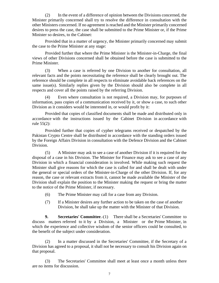(2) In the event of a difference of opinion between the Divisions concerned, the Minister primarily concerned shall try to resolve the difference in consultation with the other Ministers concerned. If no agreement is reached and the Minister primarily concerned desires to press the case, the case shall be submitted to the Prime Minister or, if the Prime Minister so desires, to the Cabinet:

Provided that in a matter of urgency, the Minister primarily concerned may submit the case to the Prime Minister at any stage:

Provided further that where the Prime Minister is the Minister-in-Charge, the final views of other Divisions concerned shall be obtained before the case is submitted to the Prime Minister.

(3) When a case is referred by one Division to another for consultation, all relevant facts and the points necessitating the reference shall be clearly brought out. The reference should be complete in all respects to eliminate avoidable back references on the same issue(s). Similarly replies given by the Division should also be complete in all respects and cover all the points raised by the referring Division.

(4) Even where consultation is not required, a Division may, for purposes of information, pass copies of a communication received by it, or show a case, to such other Division as it considers would be interested in, or would profit by it:

Provided that copies of classified documents shall be made and distributed only in accordance with the instructions issued by the Cabinet Division in accordance with rule 55(2):

Provided further that copies of cypher telegrams received or despatched by the Pakistan Crypto Centre shall be distributed in accordance with the standing orders issued by the Foreign Affairs Division in consultation with the Defence Division and the Cabinet Division.

(5) A Minister may ask to see a case of another Division if it is required for the disposal of a case in his Division. The Minister for Finance may ask to see a case of any Division in which a financial consideration is involved. While making such request the Minister shall give reasons for which the case is called for and shall be dealt with under the general or special orders of the Minister-in-Charge of the other Division. If, for any reason, the case or relevant extracts from it, cannot be made available the Minister of the Division shall explain the position to the Minister making the request or bring the matter to the notice of the Prime Minister, if necessary.

- (6) The Prime Minister may call for a case from any Division.
- (7) If a Minister desires any further action to be taken on the case of another Division, he shall take up the matter with the Minister of that Division.

**9. Secretaries' Committee**.-(1) There shall be a Secretaries' Committee to discuss matters referred to it by a Division, a Minister or the Prime Minister, in which the experience and collective wisdom of the senior officers could be consulted, to the benefit of the subject under consideration.

(2) In a matter discussed in the Secretaries' Committee, if the Secretary of a Division has agreed to a proposal, it shall not be necessary to consult his Division again on that proposal.

(3) The Secretaries' Committee shall meet at least once a month unless there are no items for discussion.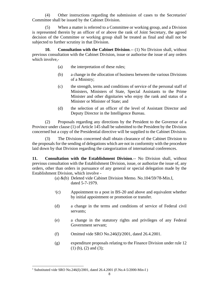(4) Other instructions regarding the submission of cases to the Secretaries' Committee shall be issued by the Cabinet Division.

(5) When a matter is referred to a Committee or working group, and a Division is represented therein by an officer of or above the rank of Joint Secretary, the agreed decision of the Committee or working group shall be treated as final and shall not be subjected to further scrutiny in that Division.

**10. Consultation with the Cabinet Division**.-- (1) No Division shall, without previous consultation with the Cabinet Division, issue or authorise the issue of any orders which involve,-

- (a) the interpretation of these rules;
- (b) a change in the allocation of business between the various Divisions of a Ministry;
- (c) the strength, terms and conditions of service of the personal staff of Ministers, Ministers of State, Special Assistants to the Prime Minister and other dignitaries who enjoy the rank and status of a Minister or Minister of State; and
- (d) the selection of an officer of the level of Assistant Director and Deputy Director in the Intelligence Bureau.

(2) Proposals regarding any directions by the President to the Governor of a Province under clause (1) of Article 145 shall be submitted to the President by the Division concerned but a copy of the Presidential directive will be supplied to the Cabinet Division.

(3) The Divisions concerned shall obtain clearance of the Cabinet Division to the proposals for the sending of delegations which are not in conformity with the procedure laid down by that Division regarding the categorization of international conferences.

**11. Consultation with the Establishment Division**.-- No Division shall, without previous consultation with the Establishment Division, issue, or authorize the issue of, any orders, other than orders in pursuance of any general or special delegation made by the Establishment Division, which involve -

- (a) &(b) Deleted vide Cabinet Division Memo. No.104/59/78-Min.I, dated 5-7-1979.
- $\rm{^{1}(c)}$ Appointment to a post in BS-20 and above and equivalent whether by initial appointment or promotion or transfer.
- (d) a change in the terms and conditions of service of Federal civil servants;
- (e) a change in the statutory rights and privileges of any Federal Government servant;
- (f) Omitted vide SRO No.246(I)/2001, dated 26.4.2001.
- (g) expenditure proposals relating to the Finance Division under rule 12 (1) (b), (2) and (3);

<sup>&</sup>lt;sup>1</sup> Substituted vide SRO No.246(I)/2001, dated 26.4.2001 (F.No.4-5/2000-Min-I)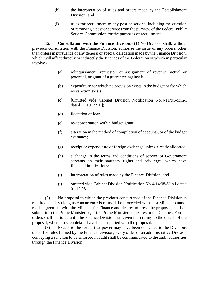- (h) the interpretation of rules and orders made by the Establishment Division; and
- (i) rules for recruitment to any post or service, including the question of removing a post or service from the purview of the Federal Public Service Commission for the purposes of recruitment.

**12. Consultation with the Finance Division**.- (1) No Division shall, without previous consultation with the Finance Division, authorise the issue of any orders, other than orders in pursuance of any general or special delegation made by the Finance Division, which will affect directly or indirectly the finances of the Federation or which in particular involve -

- (a) relinquishment, remission or assignment of revenue, actual or potential, or grant of a guarantee against it;
- (b) expenditure for which no provision exists in the budget or for which no sanction exists;
- (c) [Omitted vide Cabinet Division Notification No.4-11/91-Min-I dated 22.10.1991.];
- (d) floatation of loan;
- (e) re-appropriation within budget grant;
- (f) alteration in the method of compilation of accounts, or of the budget estimates;
- (g) receipt or expenditure of foreign exchange unless already allocated;
- (h) a change in the terms and conditions of service of Government servants on their statutory rights and privileges, which have financial implications;
- (i) interpretation of rules made by the Finance Division; and
- (j) omitted vide Cabinet Division Notification No.4-14/98-Min.I dated 01.12.98.

(2) No proposal to which the previous concurrence of the Finance Division is required shall, so long as concurrence is refused, be proceeded with. If a Minister cannot reach agreement with the Minister for Finance and desires to press the proposal, he shall submit it to the Prime Minister or, if the Prime Minister so desires to the Cabinet. Formal orders shall not issue until the Finance Division has given its scrutiny to the details of the proposal, where no such details have been supplied with the proposal.

(3) Except to the extent that power may have been delegated to the Divisions under the rules framed by the Finance Division, every order of an administrative Division conveying a sanction to be enforced in audit shall be communicated to the audit authorities through the Finance Division.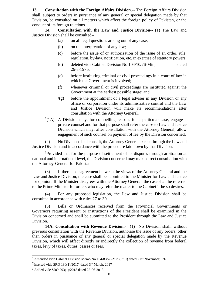**13. Consultation with the Foreign Affairs Division**.-- The Foreign Affairs Division shall, subject to orders in pursuance of any general or special delegation made by that Division, be consulted on all matters which affect the foreign policy of Pakistan, or the conduct of its foreign relations.

**14. Consultation with the Law and Justice Division**-- (1) The Law and Justice Division shall be consulted--

- (a) on all legal questions arising out of any case;
- (b) on the interpretation of any law;
- (c) before the issue of or authorization of the issue of an order, rule, regulation, by-law, notification, etc. in exercise of statutory powers;
- (d) deleted vide Cabinet Division No.104/10/76-Min, dated 26-3-1976.
- (e) before instituting criminal or civil proceedings in a court of law in which the Government is involved;
- (f) whenever criminal or civil proceedings are instituted against the Government at the earliest possible stage; and
- $\frac{1}{2}$ (g) before the appointment of a legal adviser in any Division or any office or corporation under its administrative control and the Law and Justice Division will make its recommendations after consultation with the Attorney General.
- $^{2}(1A)$  A Division may, for compelling reasons for a particular case, engage a private counsel and for that purpose shall refer the case to Law and Justice Division which may, after consultation with the Attorney General, allow engagement of such counsel on payment of fee by the Division concerned.

(2) No Division shall consult, the Attorney General except through the Law and Justice Division and in accordance with the procedure laid down by that Division.

<sup>3</sup>Provided that for the purpose of settlement of its disputes through arbitration at national and international level, the Division concerned may make direct consultation with the Attorney-General for Pakistan.

(3) If there is disagreement between the views of the Attorney General and the Law and Justice Division, the case shall be submitted to the Minister for Law and Justice for opinion. If the Minister disagrees with the Attorney General, the case shall be referred to the Prime Minister for orders who may refer the matter to the Cabinet if he so desires.

(4) For any proposed legislation, the Law and Justice Division shall be consulted in accordance with rules 27 to 30.

(5) Bills or Ordinances received from the Provincial Governments or Governors requiring assent or instructions of the President shall be examined in the Division concerned and shall be submitted to the President through the Law and Justice Division.

 **14A. Consultation with Revenue Division.**- (1) No Division shall, without previous consultation with the Revenue Division, authorise the issue of any orders, other than orders in pursuance of any general or special delegation made by the Revenue Division, which will affect directly or indirectly the collection of revenue from federal taxes, levy of taxes, duties, cesses or fees.

<sup>&</sup>lt;sup>1</sup> Amended vide Cabinet Division Memo No.104/83/78-Min (Pt.II) dated 21st November, 1979.

<sup>&</sup>lt;sup>2</sup>Inserted vide SRO 130(1)/2017, dated  $3<sup>rd</sup>$  March, 2017

<sup>3</sup> Added vide SRO 793(1)/2018 dated 25-06-2018.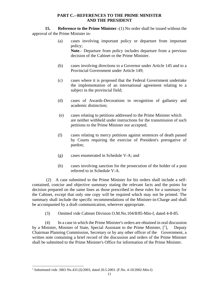## **PART C.--REFERENCES TO THE PRIME MINISTER AND THE PRESIDENT**

**15. Reference to the Prime Minister**.-(1) No order shall be issued without the approval of the Prime Minister in-

- (a) cases involving important policy or departure from important policy; **Note**.- Departure from policy includes departure from a previous decision of the Cabinet or the Prime Minister.
- (b) cases involving directions to a Governor under Article 145 and to a Provincial Government under Article 149;
- (c) cases where it is proposed that the Federal Government undertake the implementation of an international agreement relating to a subject in the provincial field;
- (d) cases of Awards-Decorations in recognition of gallantry and academic distinction;
- (e) cases relating to petitions addressed to the Prime Minister which are neither withheld under instructions for the transmission of such petitions to the Prime Minister nor accepted;
- (f) cases relating to mercy petitions against sentences of death passed by Courts requiring the exercise of President's prerogative of pardon;
- (g) cases enumerated in Schedule V-A; and
- (h) cases involving sanction for the prosecution of the holder of a post referred to in Schedule V-A.

(2) A case submitted to the Prime Minister for his orders shall include a selfcontained, concise and objective summary stating the relevant facts and the points for decision prepared on the same lines as those prescribed in these rules for a summary for the Cabinet, except that only one copy will be required which may not be printed. The summary shall include the specific recommendations of the Minister-in-Charge and shall be accompanied by a draft communication, wherever appropriate.

(3) Omitted vide Cabinet Division O.M.No.104/8/85-Min-I, dated 4-8-85.

(4) In a case in which the Prime Minister's orders are obtained in oral discussion by a Minister, Minister of State, Special Assistant to the Prime Minister,  $[1]$ , Deputy Chairman Planning Commission, Secretary or by any other officer of the Government, a written note containing a brief record of the discussion and orders of the Prime Minister shall be submitted to the Prime Minister's Office for information of the Prime Minister.

<sup>&</sup>lt;sup>1</sup> Substituted vide .SRO No.433 (I)/2003, dated 20.5.2003. (F.No. 4-10/2002-Min-I)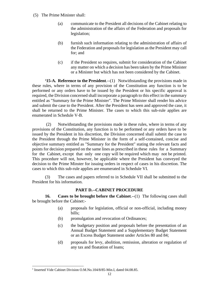- (5) The Prime Minister shall:
	- (a) communicate to the President all decisions of the Cabinet relating to the administration of the affairs of the Federation and proposals for legislation;
	- (b) furnish such information relating to the administration of affairs of the Federation and proposals for legislation as the President may call for; and
	- (c) if the President so requires, submit for consideration of the Cabinet any matter on which a decision has been taken by the Prime Minister or a Minister but which has not been considered by the Cabinet.

**<sup>1</sup>15-A. Reference to the President**.--(1) Notwithstanding the provisions made in these rules, where in terms of any provision of the Constitution any function is to be performed or any orders have to be issued by the President or his specific approval is required, the Division concerned shall incorporate a paragraph to this effect in the summary entitled as "Summary for the Prime Minister". The Prime Minister shall render his advice and submit the case to the President. After the President has seen and approved the case, it shall be returned to the Prime Minister. The cases to which this sub-rule applies are enumerated in Schedule V-B.

 (2) Notwithstanding the provisions made in these rules, where in terms of any provisions of the Constitution, any function is to be performed or any orders have to be issued by the President in his discretion, the Division concerned shall submit the case to the President through the Prime Minister in the form of a self-contained, concise and objective summary entitled as "Summary for the President" stating the relevant facts and points for decision prepared on the same lines as prescribed in these rules for a Summary for the Cabinet, except that only one copy will be required which may not be printed. This procedure will not, however, be applicable where the President has conveyed the decision to the Prime Minster for issuing orders in respect of cases in his discretion. The cases to which this sub-rule applies are enumerated in Schedule VI.

(3) The cases and papers referred to in Schedule VII shall be submitted to the President for his information.

# **PART D.--CABINET PROCEDURE**

**16. Cases to be brought before the Cabinet**.--(1) The following cases shall be brought before the Cabinet:-

- (a) proposals for legislation, official or non-official, including money bills;
- (b) promulgation and revocation of Ordinances;
- (c) the budgetary position and proposals before the presentation of an Annual Budget Statement and a Supplementary Budget Statement or an Excess Budget Statement under Articles 80 and 84;
- (d) proposals for levy, abolition, remission, alteration or regulation of any tax and floatation of loans;

<sup>&</sup>lt;sup>1</sup> Inserted Vide Cabinet Division O.M.No.104/8/85-Min.I, dated 04.08.85.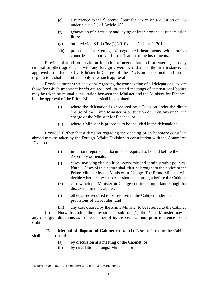- (e) a reference to the Supreme Court for advice on a question of law under clause (1) of Article 186;
- (f) generation of electricity and laying of inter-provincial transmission lines;
- (g) omitted vide S.R.O  $368(1)/2010$  dated 1<sup>st</sup> June 1, 2010
- $(1)$ proposals for signing of negotiated instruments with foreign countries and approval for ratification of the instruments:

Provided that all proposals for initiation of negotiation and for entering into any cultural or other agreements with any foreign government shall, in the first instance, be approved in principle by Minister-in-Charge of the Division concerned and actual negotiations shall be initiated only after such approval:

Provided further that decisions regarding the composition of all delegations, except those for which important briefs are required, to attend meetings of international bodies may be taken by mutual consultation between the Minister and the Minister for Finance, but the approval of the Prime Minister shall be obtained--

- (i) where the delegation is sponsored by a Division under the direct charge of the Prime Minister or a Division or Divisions under the charge of the Minister for Finance; or
- (ii) where a Minister is proposed to be included in the delegation:

Provided further that a decision regarding the opening of an honorary consulate abroad may be taken by the Foreign Affairs Division in consultation with the Commerce Division.

- (i) important reports and documents required to be laid before the Assembly or Senate;
- (j) cases involving vital political, economic and administrative policies; **Note**.- Cases of this nature shall first be brought to the notice of the Prime Minister by the Minister-in-Charge. The Prime Minister will decide whether any such case should be brought before the Cabinet.
- (k) case which the Minister-in-Charge considers important enough for discussion in the Cabinet;
- (l) other cases required to be referred to the Cabinet under the provisions of these rules; and
- (m) any case desired by the Prime Minister to be referred to the Cabinet.

(2) Notwithstanding the provisions of sub-rule (1), the Prime Minister may in any case give directions as to the manner of its disposal without prior reference to the Cabinet.

**17. Method of disposal of Cabinet cases.**--(1) Cases referred to the Cabinet shall be disposed of--

- (a) by discussion at a meeting of the Cabinet; or
- (b) by circulation amongst Ministers; or

<sup>1</sup> Substituted vide SRO 910 (1)/2017 dated 8-9-2017(F.No.4-2/2016-Min-I).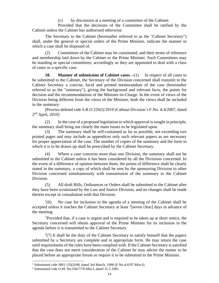(c) by discussion at a meeting of a committee of the Cabinet:

Provided that the decisions of the Committee shall be ratified by the Cabinet unless the Cabinet has authorised otherwise.

The Secretary to the Cabinet (hereinafter referred to as the "Cabinet Secretary") shall, under the general or special orders of the Prime Minister, indicate the manner in which a case shall be disposed of.

(2) Committees of the Cabinet may be constituted, and their terms of reference and membership laid down by the Cabinet or the Prime Minister. Such Committees may be standing or special committees; accordingly as they are appointed to deal with a class of cases or a specific case.

**18. Manner of submission of Cabinet cases.**--(1) In respect of all cases to be submitted to the Cabinet, the Secretary of the Division concerned shall transmit to the Cabinet Secretary a concise, lucid and printed memorandum of the case (hereinafter referred to as the "summary"), giving the background and relevant facts, the points for decision and the recommendations of the Minister-in-Charge. In the event of views of the Division being different from the views of the Minister, both the views shall be included in the summary:

[Proviso deleted vide S.R.O 226(I)/2010 (Cabinet Division's F.No. 4-4/2007, dated 2<sup>nd</sup> April, 2010]

(2) In the case of a proposed legislation to which approval is sought in principle, the summary shall bring out clearly the main issues to be legislated upon.

(3) The summary shall be self-contained as far as possible, not exceeding two printed pages and may include as appendices only such relevant papers as are necessary for proper appreciation of the case. The number of copies of the summary and the form in which it is to be drawn up shall be prescribed by the Cabinet Secretary.

(4) Where a case concerns more than one Division, the summary shall not be submitted to the Cabinet unless it has been considered by all the Divisions concerned. In the event of a difference of opinion between them, the points of difference shall be clearly stated in the summary, a copy of which shall be sent by the sponsoring Division to other Division concerned simultaneously with transmission of the summary to the Cabinet Division.

(5) All draft Bills, Ordinances or Orders shall be submitted to the Cabinet after they have been scrutinized by the Law and Justice Division, and no changes shall be made therein except in consultation with that Division.

 $(6)$ <sup>1</sup> No case for inclusion in the agenda of a meeting of the Cabinet shall be accepted unless it reaches the Cabinet Secretary at least  $2$ [seven clear] days in advance of the meeting:

<sup>1</sup>Provided that, if a case is urgent and is required to be taken up at short notice, the Secretary concerned will obtain approval of the Prime Minister for its inclusion in the agenda before it is transmitted to the Cabinet Secretary.

 $2(7)$  It shall be the duty of the Cabinet Secretary to satisfy himself that the papers submitted by a Secretary are complete and in appropriate form. He may return the case until requirements of the rules have been complied with. If the Cabinet Secretary is satisfied that the case does not merit consideration of the Cabinet he may advise the matter to be placed before an appropriate forum or require it to be submitted to the Prime Minister.

<sup>&</sup>lt;sup>1</sup> Substituted vide SRO 135(I)/98, dated 3rd March, 1998 (F.No.4-6/97-Min-I).

<sup>2</sup> Substituted vide O.M. No.104/7/79-Min.I, dated 31.5.1981.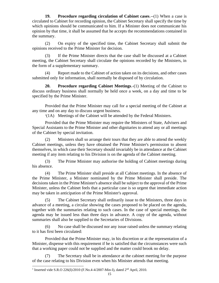**19. Procedure regarding circulation of Cabinet cases**.--(1) When a case is circulated to Cabinet for recording opinion, the Cabinet Secretary shall specify the time by which opinions should be communicated to him. If a Minister does not communicate his opinion by that time, it shall be assumed that he accepts the recommendations contained in the summary.

(2) On expiry of the specified time, the Cabinet Secretary shall submit the opinions received to the Prime Minister for decision.

(3) If the Prime Minister directs that the case shall be discussed at a Cabinet meeting, the Cabinet Secretary shall circulate the opinions recorded by the Ministers, in the form of a supplementary summary.

(4) Report made to the Cabinet of action taken on its decisions, and other cases submitted only for information, shall normally be disposed of by circulation.

**20. Procedure regarding Cabinet Meetings**.-(1) Meeting of the Cabinet to discuss ordinary business shall normally be held once a week, on a day and time to be specified by the Prime Minister.

Provided that the Prime Minister may call for a special meeting of the Cabinet at any time and on any day to discuss urgent business.

<sup>1</sup>(1A) Meetings of the Cabinet will be attended by the Federal Ministers.

Provided that the Prime Minister may require the Ministers of State, Advisers and Special Assistants to the Prime Minister and other dignitaries to attend any or all meetings of the Cabinet by special invitation.

(2) Ministers shall so arrange their tours that they are able to attend the weekly Cabinet meetings, unless they have obtained the Prime Minister's permission to absent themselves, in which case their Secretary should invariably be in attendance at the Cabinet meeting if any item relating to his Division is on the agenda of the Cabinet meeting.

(3) The Prime Minister may authorise the holding of Cabinet meetings during his absence.

(4) The Prime Minister shall preside at all Cabinet meetings. In the absence of the Prime Minister, a Minister nominated by the Prime Minister shall preside. The decisions taken in the Prime Minister's absence shall be subject to the approval of the Prime Minister, unless the Cabinet feels that a particular case is so urgent that immediate action may be taken in anticipation of the Prime Minister's approval.

(5) The Cabinet Secretary shall ordinarily issue to the Ministers, three days in advance of a meeting, a circular showing the cases proposed to be placed on the agenda, together with the summaries relating to such cases. In the case of special meetings, the agenda may be issued less than three days in advance. A copy of the agenda, without summaries shall also be supplied to the Secretaries of Divisions.

(6) No case shall be discussed nor any issue raised unless the summary relating to it has first been circulated:

Provided that the Prime Minister may, in his discretion or at the representation of a Minister, dispense with this requirement if he is satisfied that the circumstances were such that a working paper could not be supplied and the matter could brook no delay.

(7) The Secretary shall be in attendance at the cabinet meeting for the purpose of the case relating to his Division even when his Minister attends that meeting.

<sup>&</sup>lt;sup>1</sup> Inserted vide S.R.O 226(I)/2010 (F.No.4-4/2007-Min-I), dated 2<sup>nd</sup> April, 2010.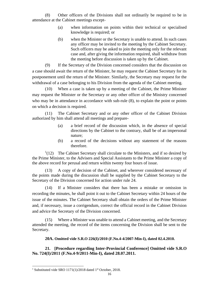(8) Other officers of the Divisions shall not ordinarily be required to be in attendance at the Cabinet meetings except-

- (a) when information on points within their technical or specialised knowledge is required; or
- (b) when the Minister or the Secretary is unable to attend. In such cases any officer may be invited to the meeting by the Cabinet Secretary. Such officers may be asked to join the meeting only for the relevant case and, after giving the information required, shall withdraw from the meeting before discussion is taken up by the Cabinet.

(9) If the Secretary of the Division concerned considers that the discussion on a case should await the return of the Minister, he may request the Cabinet Secretary for its postponement until the return of the Minister. Similarly, the Secretary may request for the withdrawal of a case belonging to his Division from the agenda of the Cabinet meeting.

(10) When a case is taken up by a meeting of the Cabinet, the Prime Minister may request the Minister or the Secretary or any other officer of the Ministry concerned who may be in attendance in accordance with sub-rule  $(8)$ , to explain the point or points on which a decision is required.

(11) The Cabinet Secretary and or any other officer of the Cabinet Division authorized by him shall attend all meetings and prepare-

- (a) a brief record of the discussion which, in the absence of special directions by the Cabinet to the contrary, shall be of an impersonal nature;
- (b) a record of the decisions without any statement of the reasons therefore.

 $1(12)$  The Cabinet Secretary shall circulate to the Ministers, and if so desired by the Prime Minister, to the Advisers and Special Assistants to the Prime Minister a copy of the above record for perusal and return within twenty four hours of issue.

(13) A copy of decision of the Cabinet, and wherever considered necessary of the points made during the discussion shall be supplied by the Cabinet Secretary to the Secretary of the Division concerned for action under rule 24.

(14) If a Minister considers that there has been a mistake or omission in recording the minutes, he shall point it out to the Cabinet Secretary within 24 hours of the issue of the minutes. The Cabinet Secretary shall obtain the orders of the Prime Minister and, if necessary, issue a corrigendum, correct the official record in the Cabinet Division and advice the Secretary of the Division concerned.

(15) Where a Minister was unable to attend a Cabinet meeting, and the Secretary attended the meeting, the record of the items concerning the Division shall be sent to the Secretary.

**20A. Omitted vide S.R.O 226(I)/2010 (F.No.4-4/2007-Min-I), dated 02.4.2010.**

# **21. [Procedure regarding Inter-Provincial Conference] Omitted vide S.R.O No. 724(I)/2011 (F.No.4-9/2011-Min-I), dated 28.07.2011.**

<sup>&</sup>lt;sup>1</sup> Substituted vide SRO 1171(1)/2018 dated 1<sup>st</sup> October, 2018.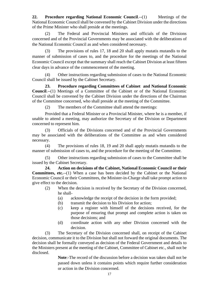**22. Procedure regarding National Economic Council**.--(1) Meetings of the National Economic Council shall be convened by the Cabinet Division under the directions of the Prime Minister who shall preside at the meetings.

(2) The Federal and Provincial Ministers and officials of the Divisions concerned and of the Provincial Governments may be associated with the deliberations of the National Economic Council as and when considered necessary.

(3) The provisions of rules 17, 18 and 20 shall apply mutatis mutandis to the manner of submission of cases to, and the procedure for the meetings of the National Economic Council except that the summary shall reach the Cabinet Division at least fifteen clear days in advance of the commencement of the meeting.

(4) Other instructions regarding submission of cases to the National Economic Council shall be issued by the Cabinet Secretary.

**23. Procedure regarding Committees of Cabinet and National Economic Council**.--(1) Meetings of a Committee of the Cabinet or of the National Economic Council shall be convened by the Cabinet Division under the directions of the Chairman of the Committee concerned, who shall preside at the meeting of the Committee.

(2) The members of the Committee shall attend the meetings:

Provided that a Federal Minister or a Provincial Minister, where he is a member, if unable to attend a meeting, may authorize the Secretary of the Division or Department concerned to represent him.

(3) Officials of the Divisions concerned and of the Provincial Governments may be associated with the deliberations of the Committee as and when considered necessary.

(4) The provisions of rules 18, 19 and 20 shall apply mutatis mutandis to the manner of submission of cases to, and the procedure for the meeting of the Committee.

(5) Other instructions regarding submission of cases to the Committee shall be issued by the Cabinet Secretary.

**24. Action on decisions of the Cabinet, National Economic Council or their Committees, etc.**--(1) When a case has been decided by the Cabinet or the National Economic Council or their Committees, the Minister-in-Charge shall take prompt action to give effect to the decision.

- (2) When the decision is received by the Secretary of the Division concerned, he shall-
	- (a) acknowledge the receipt of the decision in the form provided;
	- (b) transmit the decision to his Division for action;
	- (c) keep a register with himself of the decisions received, for the purpose of ensuring that prompt and complete action is taken on those decisions; and
	- (d) coordinate action with any other Division concerned with the decision.

(3) The Secretary of the Division concerned shall, on receipt of the Cabinet decision, communicate it to the Division but shall not forward the original documents. The decision shall be formally conveyed as decision of the Federal Government and details to the Ministers present at the meeting of the Cabinet, Committee of Cabinet etc., shall not be disclosed.

**Note**:-The record of the discussion before a decision was taken shall not be passed down unless it contains points which require further consideration or action in the Division concerned.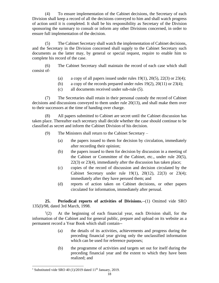(4) To ensure implementation of the Cabinet decisions, the Secretary of each Division shall keep a record of all the decisions conveyed to him and shall watch progress of action until it is completed. It shall be his responsibility as Secretary of the Division sponsoring the summary to consult or inform any other Divisions concerned, in order to ensure full implementation of the decision.

(5) The Cabinet Secretary shall watch the implementation of Cabinet decisions, and the Secretary in the Division concerned shall supply to the Cabinet Secretary such documents as the latter may, by general or special request, require to enable him to complete his record of the case.

(6) The Cabinet Secretary shall maintain the record of each case which shall consist of-

- (a) a copy of all papers issued under rules  $19(1)$ ,  $20(5)$ ,  $22(3)$  or  $23(4)$ ;
- (b) a copy of the records prepared under rules  $19(2)$ ,  $20(11)$  or  $23(4)$ ;
- (c) all documents received under sub-rule (5).

(7) The Secretaries shall retain in their personal custody the record of Cabinet decisions and discussions conveyed to them under rule 20(13), and shall make them over to their successors at the time of handing over charge.

(8) All papers submitted to Cabinet are secret until the Cabinet discussion has taken place. Thereafter each secretary shall decide whether the case should continue to be classified as secret and inform the Cabinet Division of his decision.

- (9) The Ministers shall return to the Cabinet Secretary
	- (a) the papers issued to them for decision by circulation, immediately after recording their opinion;
	- (b) the papers issued to them for decision by discussion in a meeting of the Cabinet or Committee of the Cabinet, etc., under rule 20(5), 22(3) or 23(4), immediately after the discussion has taken place;
	- (c) copies of the record of discussion and decision circulated by the Cabinet Secretary under rule 19(1), 20(12), 22(3) or 23(4); immediately after they have perused them; and
	- (d) reports of action taken on Cabinet decisions, or other papers circulated for information, immediately after perusal.

**25. Periodical reports of activities of Divisions.**--(1) Omitted vide SRO 135(I)/98, dated 3rd March, 1998.

 $^{1}(2)$ At the beginning of each financial year, each Division shall, for the information of the Cabinet and for general public, prepare and upload on its website as a permanent record a Year Book which shall contain--

- (a) the details of its activities, achievements and progress during the preceding financial year giving only the unclassified information which can be used for reference purposes;
- (b) the programme of activities and targets set out for itself during the preceding financial year and the extent to which they have been realized; and

<sup>&</sup>lt;sup>1</sup> Substituted vide SRO 40 (1)/2019 dated  $11<sup>th</sup>$  January, 2019.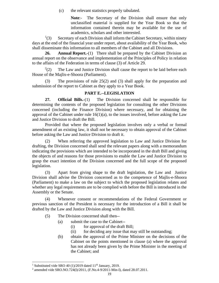(c) the relevant statistics properly tabulated.

Note:- The Secretary of the Division shall ensure that only unclassified material is supplied for the Year Book so that the information contained therein may be available for the use of academics, scholars and other interested.

 $^{1}(3)$ Secretary of each Division shall inform the Cabinet Secretary, within ninety days at the end of the financial year under report, about availability of the Year Book, who shall disseminate this information to all members of the Cabinet and all Divisions.

**26. Annual Report.**-(1) There shall be prepared by the Cabinet Division an annual report on the observance and implementation of the Principles of Policy in relation to the affairs of the Federation in terms of clause (3) of Article 29.

 $^{2}(2)$ The Law and Justice Division shall cause the report to be laid before each House of the Majlis-e-Shoora (Parliament).

(3) The provisions of rule 25(2) and (3) shall apply for the preparation and submission of the report to Cabinet as they apply to a Year Book.

# **PART E.--LEGISLATION**

**27. Official Bills.**-(1) The Division concerned shall be responsible for determining the contents of the proposed legislation for consulting the other Divisions concerned (including the Finance Division) where necessary, and for obtaining the approval of the Cabinet under rule  $16(1)(a)$ , to the issues involved, before asking the Law and Justice Division to draft the Bill.

Provided that where the proposed legislation involves only a verbal or formal amendment of an existing law, it shall not be necessary to obtain approval of the Cabinet before asking the Law and Justice Division to draft it.

(2) When referring the approved legislation to Law and Justice Division for drafting, the Division concerned shall send the relevant papers along with a memorandum indicating the provisions which are intended to be incorporated in the draft Bill and giving the objects of and reasons for those provisions to enable the Law and Justice Division to grasp the exact intention of the Division concerned and the full scope of the proposed legislation.

(3) Apart from giving shape to the draft legislation, the Law and Justice Division shall advise the Division concerned as to the competence of Majlis-e-Shoora (Parliament) to make a law on the subject to which the proposed legislation relates and whether any legal requirements are to be complied with before the Bill is introduced in the Assembly or the Senate.

(4) Whenever consent or recommendations of the Federal Government or previous sanction of the President is necessary for the introduction of a Bill it shall be drafted by the Law and Justice Division along with the Bill.

- (5) The Division concerned shall then--
	- (a) submit the case to the Cabinet--
		- (i) for approval of the draft Bill;
		- (ii) for deciding any issue that may still be outstanding;
	- (b) obtain the approval of the Prime Minister on the decisions of the Cabinet on the points mentioned in clause (a) where the approval has not already been given by the Prime Minister in the meeting of the Cabinet; and

<sup>&</sup>lt;sup>1</sup> Substituted vide SRO 40 (1)/2019 dated 11<sup>th</sup> January, 2019.

<sup>2</sup> amended vide SRO.NO.724(I)/2011, (F.No.4-9/2011-Min-I), dated 28.07.2011.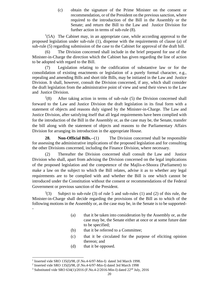(c) obtain the signature of the Prime Minister on the consent or recommendation, or of the President on the previous sanction, where required to the introduction of the Bill in the Assembly or the Senate; and return the Bill to the Law and Justice Division for further action in terms of sub-rule (8).

 $1(5A)$  The Cabinet may, in an appropriate case, while according approval to the proposed legislation under sub-rule (1), dispense with the requirements of clause (a) of sub-rule (5) regarding submission of the case to the Cabinet for approval of the draft bill.

(6) The Division concerned shall include in the brief prepared for use of the Minister-in-Charge the direction which the Cabinet has given regarding the line of action to be adopted with regard to the Bill.

(7) Legislation relating to the codification of substantive law or for the consolidation of existing enactments or legislation of a purely formal character, e.g., repealing and amending Bills and short title Bills, may be initiated in the Law and Justice Division. It shall, however, consult the Division concerned, if any, which shall consider the draft legislation from the administrative point of view and send their views to the Law and Justice Division.

 $^{2}(8)$ After taking action in terms of sub-rule (5) the Division concerned shall forward to the Law and Justice Division the draft legislation in its final form with a statement of objects and reasons duly signed by the Minister-in-Charge. The Law and Justice Division, after satisfying itself that all legal requirements have been complied with for the introduction of the Bill in the Assembly or, as the case may be, the Senate, transfer the bill along with the statement of objects and reasons to the Parliamentary Affairs Division for arranging its introduction in the appropriate House.

**28. Non-Official Bills.**--(1) The Division concerned shall be responsible for assessing the administrative implications of the proposed legislation and for consulting the other Divisions concerned, including the Finance Division, where necessary.

(2) Thereafter the Division concerned shall consult the Law and Justice Division who shall, apart from advising the Division concerned on the legal implications of the proposed legislation and the competence of the Majlis-e-Shoora (Parliament) to make a law on the subject to which the Bill relates, advise it as to whether any legal requirements are to be complied with and whether the Bill is one which cannot be introduced under the Constitution without the consent or recommendations of the Federal Government or previous sanction of the President.

 $^{3}(3)$ Subject to sub-rule  $(3)$  of rule 5 and sub-rules  $(1)$  and  $(2)$  of this rule, the Minister-in-Charge shall decide regarding the provisions of the Bill as to which of the following motions in the Assembly or, as the case may be, in the Senate is to be supported- -

- (a) that it be taken into consideration by the Assembly or, as the case may be, the Senate either at once or at some future date to be specified;
- (b) that it be referred to a Committee;
- (c) that it be circulated for the purpose of eliciting opinion thereon; and
- (d) that it be opposed.

<sup>&</sup>lt;sup>1</sup> Inserted vide SRO 135(I)/98, (F.No.4-6/97-Min-I) dated 3rd March 1998.

<sup>2</sup> Inserted vide SRO 135(I)/98, (F.No.4-6/97-Min-I) dated 3rd March 1998

<sup>&</sup>lt;sup>3</sup> Substituted vide SRO 634(1)/2016 (F.No.4-2/2016-Min-I) dated 22<sup>nd</sup> July, 2016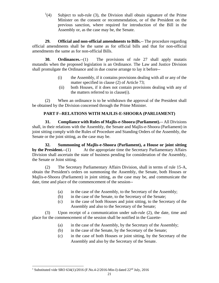$^{1}(4)$ Subject to sub-rule (3), the Division shall obtain signature of the Prime Minister on the consent or recommendation, or of the President on the previous sanction, where required for introduction of the Bill in the Assembly or, as the case may be, the Senate.

**29. Official and non-official amendments to Bills.**-- The procedure regarding official amendments shall be the same as for official bills and that for non-official amendments the same as for non-official Bills.

**30. Ordinances.**--(1) The provisions of rule 27 shall apply mutatis mutandis when the proposed legislation is an Ordinance. The Law and Justice Division shall promulgate the Ordinance and in due course arrange to lay it before--

- (i) the Assembly, if it contains provisions dealing with all or any of the matter specified in clause (2) of Article 73;
- (ii) both Houses, if it does not contain provisions dealing with any of the matters referred to in clause(i).

(2) When an ordinance is to be withdrawn the approval of the President shall be obtained by the Division concerned through the Prime Minister.

# **PART F--RELATIONS WITH MAJLIS-E-SHOORA (PARLIAMENT)**

**31. Compliance with Rules of Majlis-e-Shoora (Parliament).**-- All Divisions shall, in their relations with the Assembly, the Senate and Majlis-e-Shoora (Parliament) in joint sitting comply with the Rules of Procedure and Standing Orders of the Assembly, the Senate or the joint sitting, as the case may be.

**32. Summoning of Majlis-e-Shoora (Parliament), a House or joint sitting by the President.**--(1) At the appropriate time the Secretary Parliamentary Affairs Division shall ascertain the state of business pending for consideration of the Assembly, the Senate or Joint sitting.

(2) The Secretary Parliamentary Affairs Division, shall in terms of rule 15-A, obtain the President's orders on summoning the Assembly, the Senate, both Houses or Majlis-e-Shoora (Parliament) in joint sitting, as the case may be, and communicate the date, time and place of the commencement of the session--

- (a) in the case of the Assembly, to the Secretary of the Assembly;
- (b) in the case of the Senate, to the Secretary of the Senate;
- (c) in the case of both Houses and joint sitting, to the Secretary of the Assembly and also to the Secretary of the Senate;

(3) Upon receipt of a communication under sub-rule (2), the date, time and place for the commencement of the session shall be notified in the Gazette-

- (a) in the case of the Assembly, by the Secretary of the Assembly;
- (b) in the case of the Senate, by the Secretary of the Senate;
- (c) in the case of both Houses or joint sitting, by the Secretary of the Assembly and also by the Secretary of the Senate.

<sup>&</sup>lt;sup>1</sup> Substituted vide SRO 634(1)/2016 (F.No.4-2/2016-Min-I) dated 22<sup>nd</sup> July, 2016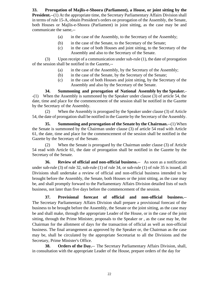**33. Prorogation of Majlis-e-Shoora (Parliament), a House, or joint sitting by the President.**--(1) At the appropriate time, the Secretary Parliamentary Affairs Division shall in terms of rule 15-A, obtain President's orders on prorogation of the Assembly, the Senate, both Houses or Majlis-e-Shoora (Parliament) in joint sitting, as the case may be and communicate the same,--

- (a) in the case of the Assembly, to the Secretary of the Assembly;
- (b) in the case of the Senate, to the Secretary of the Senate;
- (c) in the case of both Houses and joint sitting, to the Secretary of the Assembly and also to the Secretary of the Senate.

(3) Upon receipt of a communication under sub-rule (1), the date of prorogation of the session shall be notified in the Gazette,--

- (a) in the case of the Assembly, by the Secretary of the Assembly;
- (b) in the case of the Senate, by the Secretary of the Senate;
- (c) in the case of both Houses and joint sitting, by the Secretary of the Assembly and also by the Secretary of the Senate.

**34. Summoning and prorogation of National Assembly by the Speaker.**- -(1) When the Assembly is summoned by the Speaker under clause (3) of article 54, the date, time and place for the commencement of the session shall be notified in the Gazette by the Secretary of the Assembly.

(2) When the Assembly is prorogued by the Speaker under clause (3) of Article 54, the date of prorogation shall be notified in the Gazette by the Secretary of the Assembly.

**35. Summoning and prorogation of the Senate by the Chairman.**--(1) When the Senate is summoned by the Chairman under clause (3) of article 54 read with Article 61, the date, time and place for the commencement of the session shall be notified in the Gazette by the Secretary of the Senate.

(2) When the Senate is prorogued by the Chairman under clause (3) of Article 54 read with Article 61, the date of prorogation shall be notified in the Gazette by the Secretary of the Senate.

**36. Review of official and non-official business.**-- As soon as a notification under sub-rule (3) of rule 32, sub-rule (1) of rule 34, or sub-rule (1) of rule 35 is issued, all Divisions shall undertake a review of official and non-official business intended to be brought before the Assembly, the Senate, both Houses or the joint sitting, as the case may be, and shall promptly forward to the Parliamentary Affairs Division detailed lists of such business, not later than five days before the commencement of the session.

**37. Provisional forecast of official and non-official business.**-- The Secretary Parliamentary Affairs Division shall prepare a provisional forecast of the business to be brought before the Assembly, the Senate or the joint sitting, as the case may be and shall make, through the appropriate Leader of the House, or in the case of the joint sitting, through the Prime Minister, proposals to the Speaker or , as the case may be, the Chairman for the allotment of days for the transaction of official as well as non-official business. The final arrangement as approved by the Speaker or, the Chairman as the case may be, shall be circulated by the appropriate Secretariat to all the Divisions and the Secretary, Prime Minister's Office.

**38. Orders of the Day.**-- The Secretary Parliamentary Affairs Division, shall, in consultation with the appropriate Leader of the House, prepare orders of the day for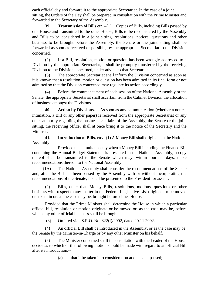each official day and forward it to the appropriate Secretariat. In the case of a joint sitting, the Orders of the Day shall be prepared in consultation with the Prime Minister and forwarded to the Secretary of the Assembly.

**39. Transmission of Bills etc.**--(1) Copies of Bills, including Bills passed by one House and transmitted to the other House, Bills to be reconsidered by the Assembly and Bills to be considered in a joint sitting, resolutions, notices, questions and other business to be brought before the Assembly, the Senate or the joint sitting shall be forwarded as soon as received or possible, by the appropriate Secretariat to the Division concerned.

(2) If a Bill, resolution, motion or question has been wrongly addressed to a Division by the appropriate Secretariat, it shall be promptly transferred by the receiving Division to the Division concerned, under advice to that Secretariat.

(3) The appropriate Secretariat shall inform the Division concerned as soon as it is known that a resolution, motion or question has been admitted in its final form or not admitted so that the Division concerned may regulate its action accordingly.

(4) Before the commencement of each session of the National Assembly or the Senate, the appropriate Secretariat shall ascertain from the Cabinet Division the allocation of business amongst the Divisions.

**40. Action by Divisions.**-- As soon as any communication (whether a notice, intimation, a Bill or any other paper) is received from the appropriate Secretariat or any other authority regarding the business or affairs of the Assembly, the Senate or the joint sitting, the receiving officer shall at once bring it to the notice of the Secretary and the Minister.

**41. Introduction of Bills, etc.**--(1) A Money Bill shall originate in the National Assembly:

Provided that simultaneously when a Money Bill including the Finance Bill containing the Annual Budget Statement is presented in the National Assembly, a copy thereof shall be transmitted to the Senate which may, within fourteen days, make recommendations thereon to the National Assembly.

 (1A) The National Assembly shall consider the recommendations of the Senate and, after the Bill has been passed by the Assembly with or without incorporating the recommendations of the Senate, it shall be presented to the President for assent.

(2) Bills, other than Money Bills, resolutions, motions, questions or other business with respect to any matter in the Federal Legislative List originate or be moved or asked, in or, as the case may be, brought before either House:

Provided that the Prime Minister shall determine the House in which a particular official bill, resolution or motion originate or be moved or, as the case may be, before which any other official business shall be brought.

(3) Omitted vide S.R.O. No. 822(I)/2002, dated 20.11.2002.

(4) An official Bill shall be introduced in the Assembly, or as the case may be, the Senate by the Minister-in-Charge or by any other Minister on his behalf.

(5) The Minister concerned shall in consultation with the Leader of the House, decide as to which of the following motion should be made with regard to an official Bill after its introduction,--

(a) that it be taken into consideration at once and passed; or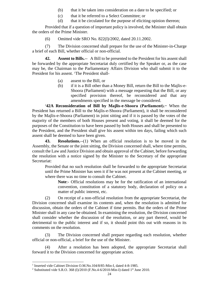- (b) that it be taken into consideration on a date to be specified; or
- (c) that it be referred to a Select Committee; or
- (d) that it be circulated for the purpose of eliciting opinion thereon;

Provided that if a question of important policy is involved, the Minister shall obtain the orders of the Prime Minister.

(6) Omitted vide SRO No. 822(I)/2002, dated 20.11.2002.

(7) The Division concerned shall prepare for the use of the Minister-in-Charge a brief of each Bill, whether official or non-official.

**42. Assent to Bills.**-- A Bill to be presented to the President for his assent shall be forwarded by the appropriate Secretariat duly certified by the Speaker or, as the case may be, the Chairman to the Parliamentary Affairs Division who shall submit it to the President for his assent. <sup>1</sup>The President shall-

- (a) assent to the Bill, or
- (b) if it is a Bill other than a Money Bill, return the Bill to the Majlis-e-Shoora (Parliament) with a message requesting that the Bill, or any specified provision thereof, be reconsidered and that any amendments specified in the message be considered.

<sup>2</sup>**42A Reconsideration of Bill by Majlis-e-Shoora (Parliament).−** When the President has returned a Bill to the Majlis-e-Shoora (Parliament), it shall be reconsidered by the Majlis-e-Shoora (Parliament) in joint sitting and if it is passed by the votes of the majority of the members of both Houses present and voting, it shall be deemed for the purposes of the Constitution to have been passed by both Houses and shall be presented to the President, and the President shall give his assent within ten days, failing which such assent shall be deemed to have been given.

**43. Resolutions.**--(1) When an official resolution is to be moved in the Assembly, the Senate or the joint sitting, the Division concerned shall, where time permits, consult the Law and Justice Division and obtain approval of the Cabinet, before forwarding the resolution with a notice signed by the Minister to the Secretary of the appropriate Secretariat:

Provided that no such resolution shall be forwarded to the appropriate Secretariat until the Prime Minister has seen it if he was not present at the Cabinet meeting, or where there was no time to consult the Cabinet.

**Note**:- Official resolutions may be for the ratification of an international convention, constitution of a statutory body, declaration of policy on a matter of public interest, etc.

(2) On receipt of a non-official resolution from the appropriate Secretariat, the Division concerned shall examine its contents and, when the resolution is admitted for discussion, obtain the orders of the Cabinet if time permits. But the orders of the Prime Minister shall in any case be obtained. In examining the resolution, the Division concerned shall consider whether the discussion of the resolution, or any part thereof, would be detrimental to the public interest and if so, it should point this out with reasons in its comments on the resolution.

(3) The Division concerned shall prepare regarding each resolution, whether official or non-official, a brief for the use of the Minister.

(4) After a resolution has been adopted, the appropriate Secretariat shall forward it to the Division concerned for appropriate action.

<sup>&</sup>lt;sup>1</sup> Inserted vide Cabinet Division O.M.No.104/8/85-Min-I, dated 4-8-1985.

<sup>&</sup>lt;sup>2</sup> Substituted vide S.R.O. 368 (I)/2010 (F.No.4-6/2010-Min-I) dated 1<sup>st</sup> June 2010.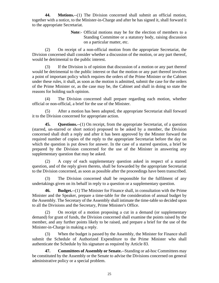**44. Motions.**--(1) The Division concerned shall submit an official motion, together with a notice, to the Minister-in-Charge and after he has signed it, shall forward it to the appropriate Secretariat.

> **Note**:- Official motions may be for the election of members to a Standing Committee or a statutory body, raising discussion on a particular matter, etc.

(2) On receipt of a non-official motion from the appropriate Secretariat, the Division concerned shall consider whether a discussion of the motion, or any part thereof, would be detrimental to the public interest.

(3) If the Division is of opinion that discussion of a motion or any part thereof would be detrimental to the public interest or that the motion or any part thereof involves a point of important policy which requires the orders of the Prime Minister or the Cabinet under these rules, it shall, as soon as the motion is admitted, submit the case for the orders of the Prime Minister or, as the case may be, the Cabinet and shall in doing so state the reasons for holding such opinion.

(4) The Division concerned shall prepare regarding each motion, whether official or non-official, a brief for the use of the Minister.

After a motion has been adopted, the appropriate Secretariat shall forward it to the Division concerned for appropriate action.

**45. Questions.**--(1) On receipt, from the appropriate Secretariat, of a question (starred, un-starred or short notice) proposed to be asked by a member, the Division concerned shall draft a reply and after it has been approved by the Minster forward the required number of copies of the reply to the appropriate Secretariat before the day on which the question is put down for answer. In the case of a starred question, a brief be prepared by the Division concerned for the use of the Minister in answering any supplementary question that may be asked.

(2) A copy of each supplementary question asked in respect of a starred question, and of the reply given thereto, shall be forwarded by the appropriate Secretariat to the Division concerned, as soon as possible after the proceedings have been transcribed.

(3) The Division concerned shall be responsible for the fulfilment of any undertakings given on its behalf in reply to a question or a supplementary question.

**46. Budget.**--(1) The Minister for Finance shall, in consultation with the Prime Minister and the Speaker, prepare a time-table for the consideration of annual budget by the Assembly. The Secretary of the Assembly shall intimate the time-table so decided upon to all the Divisions and the Secretary, Prime Minister's Office.

(2) On receipt of a motion proposing a cut in a demand (or supplementary demand) for grant of funds, the Division concerned shall examine the points raised by the member, and any further points likely to be raised, and prepare a brief for the use of the Minister-in-Charge in making a reply.

(3) When the budget is passed by the Assembly, the Minister for Finance shall submit the Schedule of Authorized Expenditure to the Prime Minister who shall authenticate the Schedule by his signature as required by Article 83.

**47. Committees of Assembly or Senate.**--Standing or ad-hoc Committees may be constituted by the Assembly or the Senate to advise the Divisions concerned on general administrative policy or a special problem.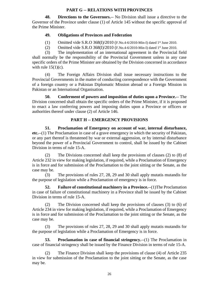# **PART G -- RELATIONS WITH PROVINCES**

**48. Directions to the Governors.**-- No Division shall issue a directive to the Governor of the Province under clause (1) of Article 145 without the specific approval of the Prime Minister.

# **49. Obligations of Provinces and Federation**

- (1) Omitted vide S.R.O 368(I)/2010 (F.No.4-6/2010-Min-I) dated 1st June 2010.
- (2) Omitted vide S.R.O 368(I)/2010 (F.No.4-6/2010-Min-I) dated 1st June 2010.

(3) The implementation of an international agreement in the Provincial field shall normally be the responsibility of the Provincial Government unless in any case specific orders of the Prime Minister are obtained by the Division concerned in accordance with rule  $15(1)(c)$ .

(4) The Foreign Affairs Division shall issue necessary instructions to the Provincial Governments in the matter of conducting correspondence with the Government of a foreign country or a Pakistan Diplomatic Mission abroad or a Foreign Mission in Pakistan or an International Organisation.

**50. Conferment of powers and imposition of duties upon a Province.**-- The Division concerned shall obtain the specific orders of the Prime Minister, if it is proposed to enact a law conferring powers and imposing duties upon a Province or officers or authorities thereof under clause (2) of Article 146.

# **PART H -- EMERGENCY PROVISIONS**

**51. Proclamation of Emergency on account of war, internal disturbance, etc.**--(1) The Proclamation in case of a grave emergency in which the security of Pakistan, or any part thereof is threatened by war or external aggression, or by internal disturbance beyond the power of a Provincial Government to control, shall be issued by the Cabinet Division in terms of rule 15-A.

(2) The Divisions concerned shall keep the provisions of clauses (2) to (8) of Article 232 in view for making legislation, if required, while a Proclamation of Emergency is in force and for submission of the Proclamation to the joint sitting or the Senate, as the case may be.

(3) The provisions of rules 27, 28, 29 and 30 shall apply mutatis mutandis for the purpose of legislation while a Proclamation of emergency is in force.

**52. Failure of constitutional machinery in a Province.**--(1)The Proclamation in case of failure of constitutional machinery in a Province shall be issued by the Cabinet Division in terms of rule 15-A.

(2) The Division concerned shall keep the provisions of clauses (3) to (6) of Article 234 in view for making legislation, if required, while a Proclamation of Emergency is in force and for submission of the Proclamation to the joint sitting or the Senate, as the case may be.

(3) The provisions of rules 27, 28, 29 and 30 shall apply mutatis mutandis for the purpose of legislation while a Proclamation of Emergency is in force.

**53. Proclamation in case of financial stringency.**--(1) The Proclamation in case of financial stringency shall be issued by the Finance Division in terms of rule 15-A.

(2) The Finance Division shall keep the provisions of clause (4) of Article 235 in view for submission of the Proclamation to the joint sitting or the Senate, as the case may be.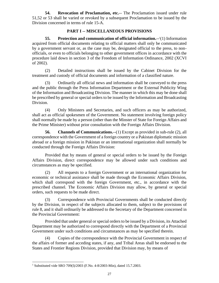**54. Revocation of Proclamation, etc.**-- The Proclamation issued under rule 51,52 or 53 shall be varied or revoked by a subsequent Proclamation to be issued by the Division concerned in terms of rule 15-A.

## **PART I -- MISCELLANEOUS PROVISIONS**

**55. Protection and communication of official information.**-- 1 (1) Information acquired from official documents relating to official matters shall only be communicated by a government servant or, as the case may be, designated official to the press, to nonofficials, or even to officials belonging to other government offices in accordance with the procedure laid down in section 3 of the Freedom of Information Ordinance, 2002 (XCVI of 2002).

(2) Detailed instructions shall be issued by the Cabinet Division for the treatment and custody of official documents and information of a classified nature.

(3) Ordinarily all official news and information shall be conveyed to the press and the public through the Press Information Department or the External Publicity Wing of the Information and Broadcasting Division. The manner in which this may be done shall be prescribed by general or special orders to be issued by the Information and Broadcasting Division.

(4) Only Ministers and Secretaries, and such officers as may be authorized, shall act as official spokesmen of the Government. No statement involving foreign policy shall normally be made by a person (other than the Minster of State for Foreign Affairs and the Prime Minister) without prior consultation with the Foreign Affairs Division.

**56. Channels of Communications.**--(1) Except as provided in sub-rule (2), all correspondence with the Government of a foreign country or a Pakistan diplomatic mission abroad or a foreign mission in Pakistan or an international organization shall normally be conducted through the Foreign Affairs Division:

Provided that by means of general or special orders to be issued by the Foreign Affairs Division, direct correspondence may be allowed under such conditions and circumstances as may be specified.

(2) All requests to a foreign Government or an international organization for economic or technical assistance shall be made through the Economic Affairs Division, which shall correspond with the foreign Government, etc., in accordance with the prescribed channel. The Economic Affairs Division may allow, by general or special orders, such requests to be made direct.

(3) Correspondence with Provincial Governments shall be conducted directly by the Division, in respect of the subjects allocated to them, subject to the provisions of rule 8, and it shall ordinarily be addressed to the Secretary of the Department concerned in the Provincial Government:

Provided that under general or special orders to be issued by a Division, its Attached Department may be authorized to correspond directly with the Department of a Provincial Government under such conditions and circumstances as may be specified therein.

(4) Copies of the correspondence with the Provincial Government in respect of the affairs of former and acceding states, if any, and Tribal Areas shall be endorsed to the States and Frontier Regions Division, provided that Division may, by means of

<sup>&</sup>lt;sup>1</sup> Substituted vide SRO 709(I)/2003 (F.No. 4-8/2003-Min), dated 15.7.2003.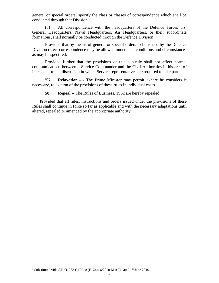general or special orders, specify the class or classes of correspondence which shall be conducted through that Division.

(5) All correspondence with the headquarters of the Defence Forces viz. General Headquarters, Naval Headquarters, Air Headquarters, or their subordinate formations, shall normally be conducted through the Defence Division:

Provided that by means of general or special orders to be issued by the Defence Division direct correspondence may be allowed under such conditions and circumstances as may be specified:

Provided further that the provisions of this sub-rule shall not affect normal communications between a Service Commander and the Civil Authorities in his area of inter-department discussion in which Service representatives are required to take part.

<sup>1</sup>**57. Relaxation.**--**.-** The Prime Minister may permit, where he considers it necessary, relaxation of the provisions of these rules in individual cases.

**58. Repeal.**-- The Rules of Business, 1962 are hereby repealed:

 Provided that all rules, instructions and orders issued under the provisions of these Rules shall continue in force so far as applicable and with the necessary adaptations until altered, repealed or amended by the appropriate authority.

<sup>&</sup>lt;sup>1</sup> Substituted vide S.R.O. 368 (I)/2010 (F.No.4-6/2010-Min-I) dated 1<sup>st</sup> June 2010.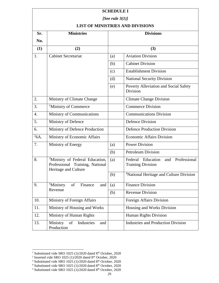| <b>SCHEDULE I</b>                       |                                                                                                        |     |                                                                         |  |  |  |
|-----------------------------------------|--------------------------------------------------------------------------------------------------------|-----|-------------------------------------------------------------------------|--|--|--|
| [See rule $3(1)$ ]                      |                                                                                                        |     |                                                                         |  |  |  |
| <b>LIST OF MINISTRIES AND DIVISIONS</b> |                                                                                                        |     |                                                                         |  |  |  |
| Sr.                                     | <b>Ministries</b>                                                                                      |     | <b>Divisions</b>                                                        |  |  |  |
| No.                                     |                                                                                                        |     |                                                                         |  |  |  |
| (1)                                     | (2)                                                                                                    |     | (3)                                                                     |  |  |  |
| 1.                                      | <b>Cabinet Secretariat</b>                                                                             | (a) | <b>Aviation Division</b>                                                |  |  |  |
|                                         |                                                                                                        | (b) | <b>Cabinet Division</b>                                                 |  |  |  |
|                                         |                                                                                                        | (c) | <b>Establishment Division</b>                                           |  |  |  |
|                                         |                                                                                                        | (d) | <b>National Security Division</b>                                       |  |  |  |
|                                         |                                                                                                        | (e) | Poverty Alleviation and Social Safety<br>Division                       |  |  |  |
| 2.                                      | Ministry of Climate Change                                                                             |     | <b>Climate Change Division</b>                                          |  |  |  |
| 3.                                      | <sup>1</sup> Ministry of Commerce                                                                      |     | <b>Commerce Division</b>                                                |  |  |  |
| 4.                                      | Ministry of Communications                                                                             |     | <b>Communications Division</b>                                          |  |  |  |
| 5.                                      | Ministry of Defence                                                                                    |     | <b>Defence Division</b>                                                 |  |  |  |
| 6.                                      | Ministry of Defence Production                                                                         |     | <b>Defence Production Division</b>                                      |  |  |  |
| $\overline{^{2}6A}$ .                   | Ministry of Economic Affairs                                                                           |     | <b>Economic Affairs Division</b>                                        |  |  |  |
| 7.                                      | Ministry of Energy                                                                                     | (a) | <b>Power Division</b>                                                   |  |  |  |
|                                         |                                                                                                        | (b) | <b>Petroleum Division</b>                                               |  |  |  |
| 8.                                      | <sup>3</sup> Ministry of Federal Education,<br>Professional Training, National<br>Heritage and Culture | (a) | Professional<br>Federal<br>Education<br>and<br><b>Training Division</b> |  |  |  |
|                                         |                                                                                                        | (b) | <sup>4</sup> National Heritage and Culture Division                     |  |  |  |
| 9.                                      | <sup>5</sup> Ministry<br>Finance<br>of<br>and<br>Revenue                                               | (a) | <b>Finance Division</b>                                                 |  |  |  |
|                                         |                                                                                                        | (b) | <b>Revenue Division</b>                                                 |  |  |  |
| 10.                                     | Ministry of Foreign Affairs                                                                            |     | Foreign Affairs Division                                                |  |  |  |
| 11.                                     | Ministry of Housing and Works                                                                          |     | Housing and Works Division                                              |  |  |  |
| 12.                                     | Ministry of Human Rights                                                                               |     | Human Rights Division                                                   |  |  |  |
| 13.                                     | of<br>Industries<br>Ministry<br>and<br>Production                                                      |     | <b>Industries and Production Division</b>                               |  |  |  |

<sup>&</sup>lt;sup>1</sup> Substituted vide SRO 1025 (1)/2020 dated 8<sup>th</sup> October, 2020<br><sup>2</sup> Inserted vide SRO 1025 (1)/2020 dated 8<sup>th</sup> October, 2020

 $3$  Substituted vide SRO 1025 (1)/2020 dated  $8<sup>th</sup>$  October, 2020

 $4$  Substituted vide SRO 1025 (1)/2020 dated  $8<sup>th</sup>$  October, 2020

 $5$  Substituted vide SRO 1025 (1)/2020 dated 8<sup>th</sup> October, 2020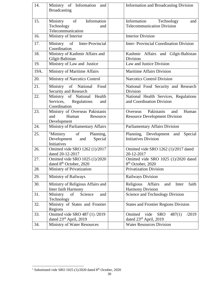| 14.  | Ministry of Information and              | Information and Broadcasting Division         |
|------|------------------------------------------|-----------------------------------------------|
|      | <b>Broadcasting</b>                      |                                               |
|      |                                          |                                               |
| 15.  | of<br>Information<br>Ministry            | Information Technology<br>and                 |
|      | Technology<br>and                        | <b>Telecommunication Division</b>             |
|      | Telecommunication                        |                                               |
| 16.  | Ministry of Interior                     | <b>Interior Division</b>                      |
| 17.  | Inter-Provincial<br>Ministry of          | <b>Inter-Provincial Coordination Division</b> |
|      | Coordination                             |                                               |
| 18.  | Ministry of Kashmir Affairs and          | Kashmir Affairs and Gilgit-Baltistan          |
|      | Gilgit-Baltistan                         | Division                                      |
| 19.  | Ministry of Law and Justice              | Law and Justice Division                      |
| 19A. | Ministry of Maritime Affairs             | <b>Maritime Affairs Division</b>              |
| 20.  | Ministry of Narcotics Control            | <b>Narcotics Control Division</b>             |
| 21.  | Ministry of National<br>Food             | National Food Security and Research           |
|      | Security and Research                    | Division                                      |
| 22.  | Ministry of National Health              | National Health Services, Regulations         |
|      | Services,<br>Regulations<br>and          | and Coordination Division                     |
|      | Coordination                             |                                               |
| 23.  | Ministry of Overseas Pakistanis          | Overseas Pakistanis<br>Human<br>and           |
|      | Human<br>and<br>Resource                 | <b>Resource Development Division</b>          |
|      | Development                              |                                               |
| 24.  | Ministry of Parliamentary Affairs        | Parliamentary Affairs Division                |
| 25.  | <sup>1</sup> Ministry<br>of<br>Planning, | Planning, Development and<br>Special          |
|      | Development<br>and<br>Special            | <b>Initiatives Division</b>                   |
|      | Initiatives                              |                                               |
| 26.  | Omitted vide SRO 1262 (1)/2017           | Omitted vide SRO 1262 (1)/2017 dated          |
|      | dated 20-12-2017                         | 20-12-2017                                    |
| 27.  | Omitted vide SRO 1025 (1)/2020           | Omitted vide SRO 1025 (1)/2020 dated          |
|      | dated 8 <sup>th</sup> October, 2020      | 8 <sup>th</sup> October, 2020                 |
| 28.  | Ministry of Privatization                | <b>Privatization Division</b>                 |
| 29.  | Ministry of Railways                     | Railways Division                             |
| 30.  | Ministry of Religious Affairs and        | Religious<br>Affairs<br>Inter<br>faith<br>and |
|      | Inter faith Harmony                      | <b>Harmony Division</b>                       |
| 31.  | Ministry<br>Science<br>of<br>and         | Science and Technology Division               |
|      | Technology                               |                                               |
| 32.  | Ministry of States and Frontier          | <b>States and Frontier Regions Division</b>   |
|      | Regions                                  |                                               |
| 33.  | Omitted vide SRO 487 (1) /2019           | /2019<br>Omitted vide<br><b>SRO</b><br>487(1) |
|      | dated $23rd$ April, 2019                 | dated 23rd April, 2019                        |
| 34.  | Ministry of Water Resources              | <b>Water Resources Division</b>               |

<sup>&</sup>lt;sup>1</sup> Substituted vide SRO 1025 (1)/2020 dated  $8<sup>th</sup>$  October, 2020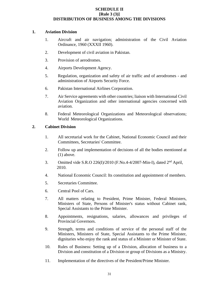## **SCHEDULE II [Rule 3 (3)] DISTRIBUTION OF BUSINESS AMONG THE DIVISIONS**

#### **1. Aviation Division**

- 1. Aircraft and air navigation; administration of the Civil Aviation Ordinance, 1960 (XXXII 1960).
- 2. Development of civil aviation in Pakistan.
- 3. Provision of aerodromes.
- 4. Airports Development Agency.
- 5. Regulation, organization and safety of air traffic and of aerodromes and administration of Airports Security Force.
- 6. Pakistan International Airlines Corporation.
- 7. Air Service agreements with other countries; liaison with International Civil Aviation Organization and other international agencies concerned with aviation.
- 8. Federal Meteorological Organizations and Meteorological observations; World Meteorological Organizations.

### **2. Cabinet Division**

- 1. All secretarial work for the Cabinet, National Economic Council and their Committees, Secretaries' Committee.
- 2. Follow up and implementation of decisions of all the bodies mentioned at (1) above.
- 3. Omitted vide S.R.O 226(I)/2010 (F.No.4-4/2007-Min-I), dated 2<sup>nd</sup> April, 2010.
- 4. National Economic Council: Its constitution and appointment of members.
- 5. Secretaries Committee.
- 6. Central Pool of Cars.
- 7. All matters relating to President, Prime Minister, Federal Ministers, Ministers of State, Persons of Minister's status without Cabinet rank, Special Assistants to the Prime Minister.
- 8. Appointments, resignations, salaries, allowances and privileges of Provincial Governors.
- 9. Strength, terms and conditions of service of the personal staff of the Ministers, Ministers of State, Special Assistants to the Prime Minister, dignitaries who enjoy the rank and status of a Minister or Minister of State.
- 10. Rules of Business: Setting up of a Division, allocation of business to a Division and constitution of a Division or group of Divisions as a Ministry.
- 11. Implementation of the directives of the President/Prime Minister.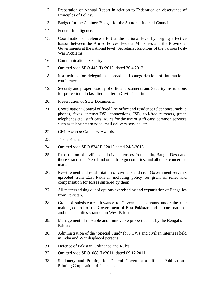- 12. Preparation of Annual Report in relation to Federation on observance of Principles of Policy.
- 13. Budget for the Cabinet: Budget for the Supreme Judicial Council.
- 14. Federal Intelligence.
- 15. Coordination of defence effort at the national level by forging effective liaison between the Armed Forces, Federal Ministries and the Provincial Governments at the national level; Secretariat functions of the various Post-War Problems.
- 16. Communications Security.
- 17. Omitted vide SRO 445 (I) /2012, dated 30.4.2012.
- 18. Instructions for delegations abroad and categorization of International conferences.
- 19. Security and proper custody of official documents and Security Instructions for protection of classified matter in Civil Departments.
- 20. Preservation of State Documents.
- 21. Coordination: Control of fixed line office and residence telephones, mobile phones, faxes, internet/DSL connections, ISD, toll-free numbers, green telephones etc., staff cars; Rules for the use of staff cars; common services such as teleprinter service, mail delivery service, etc.
- 22. Civil Awards: Gallantry Awards.
- 23. Tosha Khana.
- 24. Omitted vide SRO 834( i) / 2015 dated 24-8-2015.
- 25. Repatriation of civilians and civil internees from India, Bangla Desh and those stranded in Nepal and other foreign countries, and all other concerned matters.
- 26. Resettlement and rehabilitation of civilians and civil Government servants uprooted from East Pakistan including policy for grant of relief and compensation for losses suffered by them.
- 27. All matters arising out of options exercised by and expatriation of Bengalies from Pakistan.
- 28. Grant of subsistence allowance to Government servants under the rule making control of the Government of East Pakistan and its corporations, and their families stranded in West Pakistan.
- 29. Management of movable and immovable properties left by the Bengalis in Pakistan.
- 30. Administration of the "Special Fund" for POWs and civilian internees held in India and War displaced persons.
- 31. Defence of Pakistan Ordinance and Rules.
- 32. Omitted vide SRO1088 (I)/2011, dated 09.12.2011.
- 33. Stationery and Printing for Federal Government official Publications, Printing Corporation of Pakistan.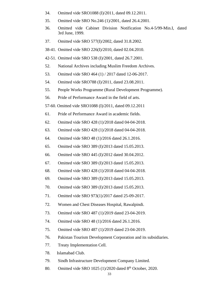- 34. Omitted vide SRO1088 (I)/2011, dated 09.12.2011.
- 35. Omitted vide SRO No.246 (1)/2001, dated 26.4.2001.
- 36. Omitted vide Cabinet Division Notification No.4-5/99-Min.I, dated 3rd June, 1999.
- 37. Omitted vide SRO 577(I)/2002, dated 31.8.2002.
- 38-41. Omitted vide SRO 226(I)/2010, dated 02.04.2010.
- 42-51. Omitted vide SRO 538 (I)/2001, dated 26.7.2001.
- 52. National Archives including Muslim Freedom Archives.
- 53. Omitted vide SRO 464 (1) / 2017 dated 12-06-2017.
- 54. Omitted vide SRO788 (I)/2011, dated 23.08.2011.
- 55. People Works Programme (Rural Development Programme).
- 56. Pride of Performance Award in the field of arts.
- 57-60. Omitted vide SRO1088 (I)/2011, dated 09.12.2011
- 61. Pride of Performance Award in academic fields.
- 62. Omitted vide SRO 428 (1)/2018 dated 04-04-2018.
- 63. Omitted vide SRO 428 (1)/2018 dated 04-04-2018.
- 64. Omitted vide SRO 48 (1)/2016 dated 26.1.2016.
- 65. Omitted vide SRO 389 (I)/2013 dated 15.05.2013.
- 66. Omitted vide SRO 445 (I)/2012 dated 30.04.2012.
- 67. Omitted vide SRO 389 (I)/2013 dated 15.05.2013.
- 68. Omitted vide SRO 428 (1)/2018 dated 04-04-2018.
- 69. Omitted vide SRO 389 (I)/2013 dated 15.05.2013.
- 70. Omitted vide SRO 389 (I)/2013 dated 15.05.2013.
- 71. Omitted vide SRO 973(1)/2017 dated 25-09-2017.
- 72. Women and Chest Diseases Hospital, Rawalpindi.
- 73. Omitted vide SRO 487 (1)/2019 dated 23-04-2019.
- 74. Omitted vide SRO 48 (1)/2016 dated 26.1.2016.
- 75. Omitted vide SRO 487 (1)/2019 dated 23-04-2019.
- 76. Pakistan Tourism Development Corporation and its subsidiaries.
- 77. Treaty Implementation Cell.
- 78. Islamabad Club.
- 79. Sindh Infrastructure Development Company Limited.
- 80. Omitted vide SRO 1025  $(1)/2020$  dated  $8<sup>th</sup>$  October, 2020.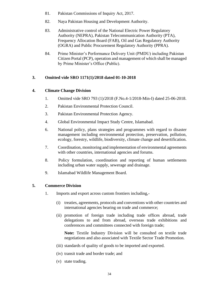- 81. Pakistan Commissions of Inquiry Act, 2017.
- 82. Naya Pakistan Housing and Development Authority.
- 83. Administrative control of the National Electric Power Regulatory Authority (NEPRA), Pakistan Telecommunication Authority (PTA), Frequency Allocation Board (FAB), Oil and Gas Regulatory Authority (OGRA) and Public Procurement Regulatory Authority (PPRA).
- 84. Prime Minister's Performance Delivery Unit (PMDU) including Pakistan Citizen Portal (PCP), operation and management of which shall be managed by Prime Minister's Office (Public).

# **3. Omitted vide SRO 1171(1)/2018 dated 01-10-2018**

# **4. Climate Change Division**

- 1. Omitted vide SRO 793 (1)/2018 (F.No.4-1/2018-Min-I) dated 25-06-2018.
- 2. Pakistan Environmental Protection Council.
- 3. Pakistan Environmental Protection Agency.
- 4. Global Environmental Impact Study Centre, Islamabad.
- 6. National policy, plans strategies and programmes with regard to disaster management including environmental protection, preservation, pollution, ecology, forestry, wildlife, biodiversity, climate change and desertification.
- 7. Coordination, monitoring and implementation of environmental agreements with other countries, international agencies and forums.
- 8. Policy formulation, coordination and reporting of human settlements including urban water supply, sewerage and drainage.
- 9. Islamabad Wildlife Management Board.

# **5. Commerce Division**

- 1. Imports and export across custom frontiers including,-
	- (i) treaties, agreements, protocols and conventions with other countries and international agencies bearing on trade and commerce;
	- (ii) promotion of foreign trade including trade offices abroad, trade delegations to and from abroad, overseas trade exhibitions and conferences and committees connected with foreign trade;

**Note:** Textile Industry Division will be consulted on textile trade negotiations and also associated with Textile Sector Trade Promotion.

- (iii) standards of quality of goods to be imported and exported.
- (iv) transit trade and border trade; and
- (v) state trading.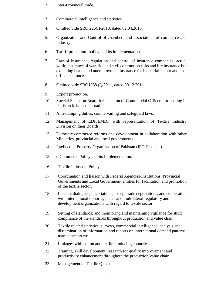- 2. Inter-Provincial trade.
- 3. Commercial intelligence and statistics.
- 4. Omitted vide SRO 226(I)/2010, dated 02.04.2010.
- 5. Organization and Control of chambers and associations of commerce and industry.
- 6. Tariff (protection) policy and its implementation.
- 7. Law of insurance; regulation and control of insurance companies; actual work; insurance of war, riot and civil commotion risks and life insurance but excluding health and unemployment insurance for industrial labour and post office insurance.
- 8. Omitted vide SRO1088 (I)/2011, dated 09.12.2011.
- 9. Export promotion.
- 10. Special Selection Board for selection of Commercial Officers for posting in Pakistan Missions abroad.
- 11. Anti-dumping duties, countervailing and safeguard laws.
- 12. Management of EDF/EMDF with representation of Textile Industry Division on their Boards.
- 13. Domestic commerce reforms and development in collaboration with other Ministries, provincial and local governments.
- 14. Intellectual Property Organization of Pakistan (IPO-Pakistan).
- 15. e-Commerce Policy and its Implementation.
- 16. Textile Industrial Policy.
- 17. Coordination and liaison with Federal Agencies/Institutions, Provincial Governments and Local Government entities for facilitation and promotion of the textile sector.
- 18. Liaison, dialogues, negotiations, except trade negotiations, and cooperation with international donor agencies and multilateral regulatory and development organizations with regard to textile sector.
- 19. Setting of standards; and monitoring and maintaining vigilance for strict compliance of the standards throughout production and value chain.
- 20. Textile related statistics, surveys, commercial intelligence, analysis and dissemination of information and reports on international demand patterns, market access etc.
- 21. Linkages with cotton and textile producing countries.
- 22. Training, skill development, research for quality improvement and productivity enhancement throughout the production/value chain.
- 23. Management of Textile Quotas.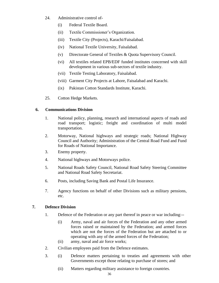- 24. Administrative control of-
	- (i) Federal Textile Board.
	- (ii) Textile Commissioner's Organization.
	- (iii) Textile City (Projects), Karachi/Faisalabad.
	- (iv) National Textile University, Faisalabad.
	- (v) Directorate General of Textiles & Quota Supervisory Council.
	- (vi) All textiles related EPB/EDF funded institutes concerned with skill development in various sub-sectors of textile industry.
	- (vii) Textile Testing Laboratory, Faisalabad.
	- (viii) Garment City Projects at Lahore, Faisalabad and Karachi.
	- (ix) Pakistan Cotton Standards Institute, Karachi.
- 25. Cotton Hedge Markets.

# **6. Communications Division**

- 1. National policy, planning, research and international aspects of roads and road transport; logistic; freight and coordination of multi model transportation.
- 2. Motorway, National highways and strategic roads; National Highway Council and Authority; Administration of the Central Road Fund and Fund for Roads of National Importance.
- 3. Enemy property.
- 4. National highways and Motorways police.
- 5. National Roads Safety Council, National Road Safety Steering Committee and National Road Safety Secretariat.
- 6. Posts, including Saving Bank and Postal Life Insurance.
- 7. Agency functions on behalf of other Divisions such as military pensions, etc.

# **7. Defence Division**

- 1. Defence of the Federation or any part thereof in peace or war including:--
	- (i) Army, naval and air forces of the Federation and any other armed forces raised or maintained by the Federation; and armed forces which are not the forces of the Federation but are attached to or operating with any of the armed forces of the Federation;
	- (ii) army, naval and air force works;
- 2. Civilian employees paid from the Defence estimates.
- 3. (i) Defence matters pertaining to treaties and agreements with other Governments except those relating to purchase of stores; and
	- (ii) Matters regarding military assistance to foreign countries.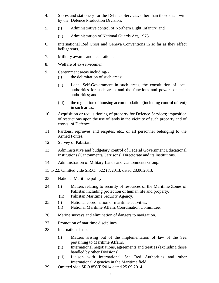- 4. Stores and stationery for the Defence Services, other than those dealt with by the Defence Production Division.
- 5. (i) Administrative control of Northern Light Infantry; and
	- (ii) Administration of National Guards Act, 1973.
- 6. International Red Cross and Geneva Conventions in so far as they effect belligerents.
- 7. Military awards and decorations.
- 8. Welfare of ex-servicemen.
- 9. Cantonment areas including--
	- (i) the delimitation of such areas;
	- (ii) Local Self-Government in such areas, the constitution of local authorities for such areas and the functions and powers of such authorities; and
	- (iii) the regulation of housing accommodation (including control of rent) in such areas.
- 10. Acquisition or requisitioning of property for Defence Services; imposition of restrictions upon the use of lands in the vicinity of such property and of works of Defence.
- 11. Pardons, reprieves and respites, etc., of all personnel belonging to the Armed Forces.
- 12. Survey of Pakistan.
- 13. Administrative and budgetary control of Federal Government Educational Institutions (Cantonments/Garrisons) Directorate and its Institutions.
- 14. Administration of Military Lands and Cantonments Group.

15 to 22. Omitted vide S.R.O. 622 (I)/2013, dated 28.06.2013.

- 23. National Maritime policy.
- 24. (i) Matters relating to security of resources of the Maritime Zones of Pakistan including protection of human life and property.
	- (ii) Pakistan Maritime Security Agency.
- 25. (i) National coordination of maritime activities.
	- (ii) National Maritime Affairs Coordination Committee.
- 26. Marine surveys and elimination of dangers to navigation.
- 27. Promotion of maritime disciplines.
- 28. International aspects:
	- (i) Matters arising out of the implementation of law of the Sea pertaining to Maritime Affairs.
	- (ii) International negotiations, agreements and treaties (excluding those handled by other Divisions).
	- (iii) Liaison with International Sea Bed Authorities and other International Agencies in the Maritime field.
- 29. Omitted vide SRO 850(I)/2014 dated 25.09.2014.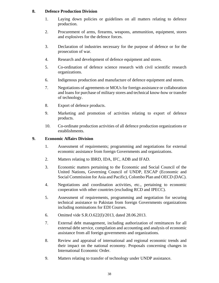# **8. Defence Production Division**

- 1. Laying down policies or guidelines on all matters relating to defence production.
- 2. Procurement of arms, firearms, weapons, ammunition, equipment, stores and explosives for the defence forces.
- 3. Declaration of industries necessary for the purpose of defence or for the prosecution of war.
- 4. Research and development of defence equipment and stores.
- 5. Co-ordination of defence science research with civil scientific research organizations.
- 6. Indigenous production and manufacture of defence equipment and stores.
- 7. Negotiations of agreements or MOUs for foreign assistance or collaboration and loans for purchase of military stores and technical know-how or transfer of technology.
- 8. Export of defence products.
- 9. Marketing and promotion of activities relating to export of defence products.
- 10. Co-ordinate production activities of all defence production organizations or establishments.

# **9. Economic Affairs Division**

- 1. Assessment of requirements; programming and negotiations for external economic assistance from foreign Governments and organizations.
- 2. Matters relating to IBRD, IDA, IFC, ADB and IFAD.
- 3. Economic matters pertaining to the Economic and Social Council of the United Nations, Governing Council of UNDP, ESCAP (Economic and Social Commission for Asia and Pacific), Colombo Plan and OECD (DAC).
- 4. Negotiations and coordination activities, etc., pertaining to economic cooperation with other countries (excluding RCD and IPECC).
- 5. Assessment of requirements, programming and negotiation for securing technical assistance to Pakistan from foreign Governments organizations including nominations for EDI Courses.
- 6. Omitted vide S.R.O.622(I)/2013, dated 28.06.2013.
- 7. External debt management, including authorization of remittances for all external debt service, compilation and accounting and analysis of economic assistance from all foreign governments and organizations.
- 8. Review and appraisal of international and regional economic trends and their impact on the national economy. Proposals concerning changes in International Economic Order.
- 9. Matters relating to transfer of technology under UNDP assistance.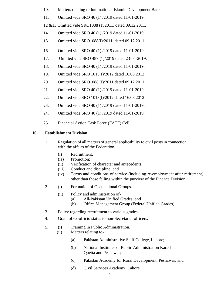- 10. Matters relating to International Islamic Development Bank.
- 11. Omitted vide SRO 40 (1) /2019 dated 11-01-2019.

12 &13 Omitted vide SRO1088 (I)/2011, dated 09.12.2011.

- 14. Omitted vide SRO 40 (1) /2019 dated 11-01-2019.
- 15. Omitted vide SRO1088(I)/2011, dated 09.12.2011.
- 16. Omitted vide SRO 40 (1) /2019 dated 11-01-2019.
- 17. Omitted vide SRO 487 (1)/2019 dated 23-04-2019.
- 18. Omitted vide SRO 40 (1) /2019 dated 11-01-2019.
- 19. Omitted vide SRO 1013(I)/2012 dated 16.08.2012.
- 20. Omitted vide SRO1088 (I)/2011 dated 09.12.2011.
- 21. Omitted vide SRO 40 (1) /2019 dated 11-01-2019.
- 22. Omitted vide SRO 1013(I)/2012 dated 16.08.2012
- 23. Omitted vide SRO 40 (1) /2019 dated 11-01-2019.
- 24. Omitted vide SRO 40 (1) /2019 dated 11-01-2019.
- 25. Financial Action Task Force (FATF) Cell.

# **10. Establishment Division**

- 1. Regulation of all matters of general applicability to civil posts in connection with the affairs of the Federation.
	- (i) Recruitment;
	- (ia) Promotion;
	- (ii) Verification of character and antecedents;
	- (iii) Conduct and discipline; and
	- (iv) Terms and conditions of service (including re-employment after retirement) other than those falling within the purview of the Finance Division.
- 2. (i) Formation of Occupational Groups.
	- (ii) Policy and administration of-
		- (a) All-Pakistan Unified Grades; and
		- (b) Office Management Group (Federal Unified Grades).
- 3. Policy regarding recruitment to various grades.
- 4. Grant of ex-officio status to non-Secretariat officers.
- 5. (i) Training in Public Administration.
	- (ii) Matters relating to-
		- (a) Pakistan Administrative Staff College, Lahore;
		- (b) National Institutes of Public Administration Karachi, Quetta and Peshawar;
		- (c) Pakistan Academy for Rural Development, Peshawar; and
		- (d) Civil Services Academy, Lahore.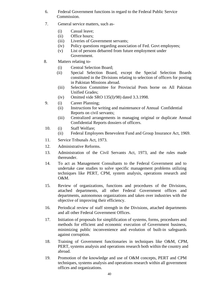- 6. Federal Government functions in regard to the Federal Public Service Commission.
- 7. General service matters, such as-
	- (i) Casual leave;
	- (ii) Office hours;
	- (iii) Liveries of Government servants;
	- (iv) Policy questions regarding association of Fed. Govt employees;
	- (v) List of persons debarred from future employment under Government.
- 8. Matters relating to-
	- (i) Central Selection Board;
	- (ii) Special Selection Board, except the Special Selection Boards constituted in the Divisions relating to selection of officers for posting in Pakistan Missions abroad.
	- (iii) Selection Committee for Provincial Posts borne on All Pakistan Unified Grades;
	- (iv) Omitted vide SRO 135(I)/98) dated 3.3.1998.
- 9. (i) Career Planning;
	- (ii) Instructions for writing and maintenance of Annual Confidential Reports on civil servants;
	- (iii) Centralized arrangements in managing original or duplicate Annual Confidential Reports dossiers of officers.
- 10. (i) Staff Welfare;
	- (ii) Federal Employees Benevolent Fund and Group Insurance Act, 1969.
- 11. Service Tribunals Act, 1973.
- 12. Administrative Reforms.
- 13. Administration of the Civil Servants Act, 1973, and the rules made thereunder.
- 14. To act as Management Consultants to the Federal Government and to undertake case studies to solve specific management problems utilizing techniques like PERT, CPM, system analysis, operations research and O&M.
- 15. Review of organizations, functions and procedures of the Divisions, attached departments, all other Federal Government offices and departments, autonomous organizations and taken over industries with the objective of improving their efficiency.
- 16. Periodical review of staff strength in the Divisions, attached departments and all other Federal Government Offices.
- 17. Initiation of proposals for simplification of systems, forms, procedures and methods for efficient and economic execution of Government business, minimizing public inconvenience and evolution of built-in safeguards against corruption.
- 18. Training of Government functionaries in techniques like O&M, CPM, PERT, systems analysis and operations research both within the country and abroad.
- 19. Promotion of the knowledge and use of O&M concepts, PERT and CPM techniques, systems analysis and operations research within all government offices and organizations.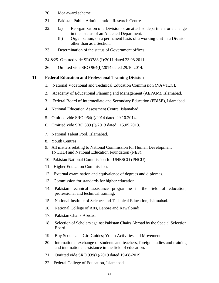- 20. Idea award scheme.
- 21. Pakistan Public Administration Research Centre.
- 22. (a) Reorganization of a Division or an attached department or a change in the status of an Attached Department.
	- (b) Organization, on a permanent basis of a working unit in a Division other than as a Section.
- 23. Determination of the status of Government offices.

24.&25. Omitted vide SRO788 (I)/2011 dated 23.08.2011.

26. Omitted vide SRO 964(I)/2014 dated 29.10.2014.

#### **11. Federal Education and Professional Training Division**

- 1. National Vocational and Technical Education Commission (NAVTEC).
- 2. Academy of Educational Planning and Management (AEPAM), Islamabad.
- 3. Federal Board of Intermediate and Secondary Education (FBISE), Islamabad.
- 4. National Education Assessment Centre, Islamabad.
- 5. Omitted vide SRO 964(I)/2014 dated 29.10.2014.
- 6. Omitted vide SRO 389 (I)/2013 dated 15.05.2013.
- 7. National Talent Pool, Islamabad.
- 8. Youth Centres.
- 9. All matters relating to National Commission for Human Development (NCHD) and National Education Foundation (NEF).
- 10. Pakistan National Commission for UNESCO (PNCU).
- 11. Higher Education Commission.
- 12. External examination and equivalence of degrees and diplomas.
- 13. Commission for standards for higher education.
- 14. Pakistan technical assistance programme in the field of education, professional and technical training.
- 15. National Institute of Science and Technical Education, Islamabad.
- 16. National College of Arts, Lahore and Rawalpindi.
- 17. Pakistan Chairs Abroad.
- 18. Selection of Scholars against Pakistan Chairs Abroad by the Special Selection Board.
- 19. Boy Scouts and Girl Guides; Youth Activities and Movement.
- 20. International exchange of students and teachers, foreign studies and training and international assistance in the field of education.
- 21. Omitted vide SRO 939(1)/2019 dated 19-08-2019.
- 22. Federal College of Education, Islamabad.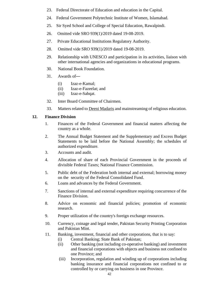- 23. Federal Directorate of Education and education in the Capital.
- 24. Federal Government Polytechnic Institute of Women, Islamabad.
- 25. Sir Syed School and College of Special Education, Rawalpindi.
- 26. Omitted vide SRO 939(1)/2019 dated 19-08-2019.
- 27. Private Educational Institutions Regulatory Authority.
- 28. Omitted vide SRO 939(1)/2019 dated 19-08-2019.
- 29. Relationship with UNESCO and participation in its activities, liaison with other international agencies and organizations in educational programs.
- 30. National Book Foundation.
- 31. Awards of—
	- (i) Izaz-e-Kamal;
	- (ii) Izaz-e-Fazeelat; and
	- (iii) Izaz-e-Sabqat.
- 32. Inter Board Committee of Chairmen.
- 33. Matters related to Deeni Madaris and mainstreaming of religious education.

#### **12. Finance Division**

- 1. Finances of the Federal Government and financial matters affecting the country as a whole.
- 2. The Annual Budget Statement and the Supplementary and Excess Budget Statements to be laid before the National Assembly; the schedules of authorized expenditure.
- 3. Accounts and audit.
- 4. Allocation of share of each Provincial Government in the proceeds of divisible Federal Taxes; National Finance Commission.
- 5. Public debt of the Federation both internal and external; borrowing money on the security of the Federal Consolidated Fund.
- 6. Loans and advances by the Federal Government.
- 7. Sanctions of internal and external expenditure requiring concurrence of the Finance Division.
- 8. Advice on economic and financial policies; promotion of economic research.
- 9. Proper utilization of the country's foreign exchange resources.
- 10. Currency, coinage and legal tender, Pakistan Security Printing Corporation and Pakistan Mint.
- 11. Banking, investment, financial and other corporations, that is to say:
	- (i) Central Banking; State Bank of Pakistan;
	- (ii) Other banking (not including co-operative banking) and investment and financial corporations with objects and business not confined to one Province; and
	- (iii) Incorporation, regulation and winding up of corporations including banking insurance and financial corporations not confined to or controlled by or carrying on business in one Province.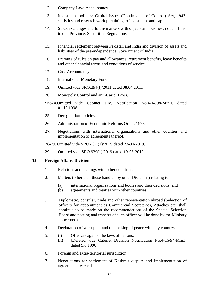- 12. Company Law: Accountancy.
- 13. Investment policies: Capital issues (Continuance of Control) Act, 1947; statistics and research work pertaining to investment and capital.
- 14. Stock exchanges and future markets with objects and business not confined to one Province; Secu,rities Regulations.
- 15. Financial settlement between Pakistan and India and division of assets and liabilities of the pre-independence Government of India.
- 16. Framing of rules on pay and allowances, retirement benefits, leave benefits and other financial terms and conditions of service.
- 17. Cost Accountancy.
- 18. International Monetary Fund.
- 19. Omitted vide SRO.294(I)/2011 dated 08.04.2011.
- 20. Monopoly Control and anti-Cartel Laws.
- 21to24.Omitted vide Cabinet Div. Notification No.4-14/98-Min.I, dated 01.12.1998.
- 25. Deregulation policies.
- 26. Administration of Economic Reforms Order, 1978.
- 27. Negotiations with international organizations and other counties and implementation of agreements thereof.
- 28-29. Omitted vide SRO 487 (1)/2019 dated 23-04-2019.
- 29. Omitted vide SRO 939(1)/2019 dated 19-08-2019.

#### **13. Foreign Affairs Division**

- 1. Relations and dealings with other countries.
- 2. Matters (other than those handled by other Divisions) relating to--
	- (a) international organizations and bodies and their decisions; and
	- (b) agreements and treaties with other countries.
- 3. Diplomatic, consular, trade and other representation abroad (Selection of officers for appointment as Commercial Secretaries, Attaches etc. shall continue to be made on the recommendations of the Special Selection Board and posting and transfer of such officer will be done by the Ministry concerned).
- 4. Declaration of war upon, and the making of peace with any country.
- 5. (i) Offences against the laws of nations.
	- (ii) [Deleted vide Cabinet Division Notification No.4-16/94-Min.I, dated 9.6.1996].
- 6. Foreign and extra-territorial jurisdiction.
- 7. Negotiations for settlement of Kashmir dispute and implementation of agreements reached.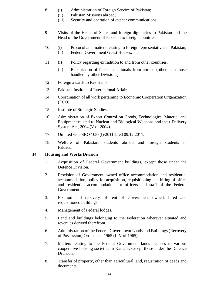- 8. (i) Administration of Foreign Service of Pakistan;
	- (ii) Pakistan Missions abroad;
	- (iii) Security and operation of cypher communications.
- 9. Visits of the Heads of States and foreign dignitaries to Pakistan and the Head of the Government of Pakistan to foreign countries.
- 10. (i) Protocol and matters relating to foreign representatives in Pakistan; (ii) Federal Government Guest Houses.
- 11. (i) Policy regarding extradition to and from other countries.
	- (ii) Repatriation of Pakistan nationals from abroad (other than those handled by other Divisions).
- 12. Foreign awards to Pakistanis.
- 13. Pakistan Institute of International Affairs.
- 14. Coordination of all work pertaining to Economic Cooperation Organization (ECO).
- 15. Institute of Strategic Studies.
- 16. Administration of Export Control on Goods, Technologies, Material and Equipment related to Nuclear and Biological Weapons and their Delivery System Act, 2004 (V of 2004).
- 17. Omitted vide SRO 1088(I)/2011dated 09.12.2011.
- 18. Welfare of Pakistani students abroad and foreign students in Pakistan.

# **14. Housing and Works Division**

- 1. Acquisition of Federal Government buildings, except those under the Defence Division.
- 2. Provision of Government owned office accommodation and residential accommodation, policy for acquisition, requisitioning and hiring of office and residential accommodation for officers and staff of the Federal Government.
- 3. Fixation and recovery of rent of Government owned, hired and requisitioned buildings.
- 4. Management of Federal lodges.
- 5. Land and buildings belonging to the Federation wherever situated and revenues derived therefrom.
- 6. Administration of the Federal Government Lands and Buildings (Recovery of Possession) Ordinance, 1965 (LIV of 1965).
- 7. Matters relating to the Federal Government lands licenses to various cooperative housing societies in Karachi, except those under the Defence Division.
- 8. Transfer of property, other than agricultural land, registration of deeds and documents.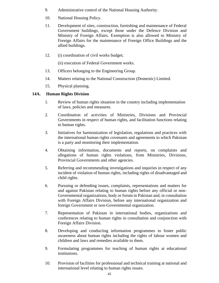- 9. Administrative control of the National Housing Authority.
- 10. National Housing Policy.
- 11. Development of sites, construction, furnishing and maintenance of Federal Government buildings, except those under the Defence Division and Ministry of Foreign Affairs. Exemption is also allowed to Ministry of Foreign Affairs for the maintenance of Foreign Office Buildings and the allied buildings.
- 12. (i) coordination of civil works budget;

(ii) execution of Federal Government works.

- 13. Officers belonging to the Engineering Group.
- 14. Matters relating to the National Construction (Domestic) Limited.
- 15. Physical planning.

# **14A. Human Rights Division**

- 1. Review of human rights situation in the country including implementation of laws, policies and measures.
- 2. Coordination of activities of Ministries, Divisions and Provincial Governments in respect of human rights, and facilitation functions relating to human rights.
- 3. Initiatives for harmonization of legislation, regulations and practices with the international human rights covenants and agreements to which Pakistan is a party and monitoring their implementation.
- 4. Obtaining information, documents and reports, on complaints and allegations of human rights violations, from Ministries, Divisions, Provincial Governments and other agencies.
- 5. Referring and recommending investigations and inquiries in respect of any incident of violation of human rights, including rights of disadvantaged and child rights.
- 6. Pursuing or defending issues, complaints, representations and matters for and against Pakistan relating to human rights before any official or non-Governmental organizations, body or forum in Pakistan and, in consultation with Foreign Affairs Division, before any international organization and foreign Government or non-Governmental organization.
- 7. Representation of Pakistan in international bodies, organizations and conferences relating to human rights in consultation and conjunction with Foreign Affairs Division.
- 8. Developing and conducting information programmes to foster public awareness about human rights including the rights of labour women and children and laws and remedies available to them.
- 9. Formulating programmes for teaching of human rights at educational institutions.
- 10. Provision of facilities for professional and technical training at national and international level relating to human rights issues.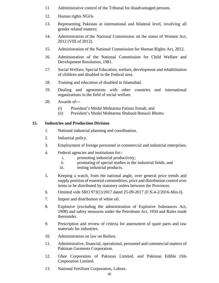- 11 Administrative control of the Tribunal for disadvantaged persons.
- 12. Human rights NGOs
- 13. Representing Pakistan at international and bilateral level, involving all gender related matters;
- 14. Administration of the National Commission on the status of Women Act, 2012 (VIII of 2012).
- 15. Administration of the National Commission for Human Rights Act, 2012.
- 16. Administration of the National Commission for Child Welfare and Development Resolution, 1981.
- 17. Social Welfare, Special Education, welfare, development and rehabilitation of children and disabled in the Federal area.
- 18. Training and education of disabled in Islamabad.
- 19. Dealing and agreements with other countries and international organizations in the field of social welfare.
- 20. Awards of—
	- (i) President's Medal Mohtarma Fatima Jinnah; and
	- (ii) President's Medal Mohtarma Shaheed Benazir Bhutto.

#### **15. Industries and Production Division**

- 1. National industrial planning and coordination.
- 2. Industrial policy.
- 3. Employment of foreign personnel in commercial and industrial enterprises.
- 4. Federal agencies and institutions for:
	- i. promoting industrial productivity;
	- ii. promoting of special studies in the industrial fields; and
	- iii. testing industrial products.
- 5. Keeping a watch, from the national angle, over general price trends and supply position of essential commodities; price and distribution control over items to be distributed by statutory orders between the Provinces.
- 6. Omitted vide SRO 973(1)/2017 dated 25-09-2017 (F.N.4-2/2016-Min-I).
- 7. Import and distribution of white oil.
- 8. Explosive (excluding the administration of Explosive Substances Act, 1908) and safety measures under the Petroleum Act, 1934 and Rules made thereunder.
- 9. Prescription and review of criteria for assessment of spare parts and raw materials for industries.
- 10. Administration on law on Boilers.
- 11. Administrative, financial, operational, personnel and commercial matters of Pakistan Garments Corporation.
- 12. Ghee Corporation of Pakistan Limited, and Pakistan Edible Oils Corporation Limited.
- 13. National Fertilizer Corporation, Lahore.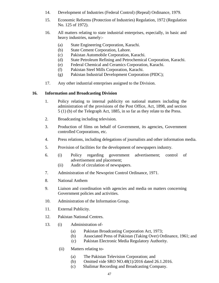- 14. Development of Industries (Federal Control) (Repeal) Ordinance, 1979.
- 15. Economic Reforms (Protection of Industries) Regulation, 1972 (Regulation No. 125 of 1972).
- 16. All matters relating to state industrial enterprises, especially, in basic and heavy industries, namely:-
	- (a) State Engineering Corporation, Karachi.
	- (b) State Cement Corporation, Lahore.
	- (c) Pakistan Automobile Corporation, Karachi.
	- (d) State Petroleum Refining and Petrochemical Corporation, Karachi.
	- (e) Federal Chemical and Ceramics Corporation, Karachi.
	- (f) Pakistan Steel Mills Corporation, Karachi.
	- (g) Pakistan Industrial Development Corporation (PIDC);
- 17. Any other industrial enterprises assigned to the Division.

#### **16. Information and Broadcasting Division**

- 1. Policy relating to internal publicity on national matters including the administration of the provisions of the Post Office, Act, 1898, and section 5 (1) (b) of the Telegraph Act, 1885, in so far as they relate to the Press.
- 2. Broadcasting including television.
- 3. Production of films on behalf of Government, its agencies, Government controlled Corporations, etc.
- 4. Press relations, including delegations of journalists and other information media.
- 5. Provision of facilities for the development of newspapers industry.
- 6. (i) Policy regarding government advertisement; control of advertisement and placement;
	- (ii) Audit of circulation of newspapers.
- 7. Administration of the Newsprint Control Ordinance, 1971.
- 8. National Anthem
- 9. Liaison and coordination with agencies and media on matters concerning Government policies and activities.
- 10. Administration of the Information Group.
- 11. External Publicity.
- 12. Pakistan National Centres.
- 13. (i) Administration of-
	- (a) Pakistan Broadcasting Corporation Act, 1973;
	- (b) Associated Press of Pakistan (Taking Over) Ordinance, 1961; and
	- (c) Pakistan Electronic Media Regulatory Authority.
	- (ii) Matters relating to-
		- (a) The Pakistan Television Corporation; and
		- (b) Omitted vide SRO NO.48(1)/2016 dated 26.1.2016.
		- (c) Shalimar Recording and Broadcasting Company.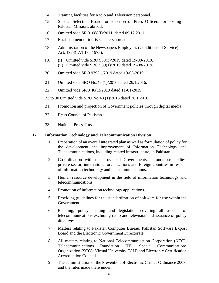- 14. Training facilities for Radio and Television personnel.
- 15. Special Selection Board for selection of Press Officers for posting in Pakistan Missions abroad.
- 16. Omitted vide SRO1088(I)/2011, dated 09.12.2011.
- 17. Establishment of tourists centers abroad.
- 18. Administration of the Newspapers Employees (Conditions of Service) Act, 1973(LVIII of 1973).
- 19. (i) Omitted vide SRO 939(1)/2019 dated 19-08-2019. (ii) Omitted vide SRO 939(1)/2019 dated 19-08-2019.
- 20. Omitted vide SRO 939(1)/2019 dated 19-08-2019.
- 21. Omitted vide SRO No.48 (1)/2016 dated 26.1.2016.
- 22. Omitted vide SRO 40(1)/2019 dated 11-01-2019.

23 to 30 Omitted vide SRO No.48 (1)/2016 dated 26.1.2016.

- 31. Promotion and projection of Government policies through digital media.
- 32. Press Council of Pakistan.
- 33. National Press Trust.

#### **17. Information Technology and Telecommunication Division**

- 1. Preparation of an overall integrated plan as well as formulation of policy for the development and improvement of Information Technology and Telecommunications, including related infrastructure, in Pakistan.
- 2. Co-ordination with the Provincial Governments, autonomous bodies, private sector, international organizations and foreign countries in respect of information technology and telecommunications.
- 3. Human resource development in the field of information technology and telecommunications.
- 4. Promotion of information technology applications.
- 5. Providing guidelines for the standardization of software for use within the Government.
- 6. Planning, policy making and legislation covering all aspects of telecommunications excluding radio and television and issuance of policy directives.
- 7. Matters relating to Pakistan Computer Bureau, Pakistan Software Export Board and the Electronic Government Directorate.
- 8. All matters relating to National Telecommunication Corporation (NTC), Telecommunications Foundation (TF), Special Communications Organization (SCO), Virtual University (V.U) and Electronic Certification Accreditation Council.
- 9. The administration of the Prevention of Electronic Crimes Ordinance 2007, and the rules made there under.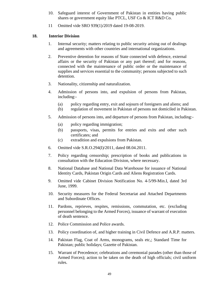- 10. Safeguard interest of Government of Pakistan in entities having public shares or government equity like PTCL, USF Co & ICT R&D Co.
- 11 Omitted vide SRO 939(1)/2019 dated 19-08-2019.

#### **18. Interior Division**

- 1. Internal security; matters relating to public security arising out of dealings and agreements with other countries and international organizations.
- 2. Preventive detention for reasons of State connected with defence, external affairs or the security of Pakistan or any part thereof; and for reasons, connected with the maintenance of public order or the maintenance of supplies and services essential to the community; persons subjected to such detention.
- 3. Nationality, citizenship and naturalization.
- 4. Admission of persons into, and expulsion of persons from Pakistan, including:-
	- (a) policy regarding entry, exit and sojourn of foreigners and aliens; and
	- (b) regulation of movement in Pakistan of persons not domiciled in Pakistan.
- 5. Admission of persons into, and departure of persons from Pakistan, including:-
	- (a) policy regarding immigration;
	- (b) passports, visas, permits for entries and exits and other such certificates; and
	- (c) extradition and expulsions from Pakistan.
- 6. Omitted vide S.R.O.294(I)/2011, dated 08.04.2011.
- 7. Policy regarding censorship; prescription of books and publications in consultation with the Education Division, where necessary.
- 8. National Database and National Data Warehouse for issuance of National Identity Cards, Pakistan Origin Cards and Aliens Registration Cards.
- 9. Omitted vide Cabinet Division Notification No. 4-5/99-Min.I, dated 3rd June, 1999.
- 10. Security measures for the Federal Secretariat and Attached Departments and Subordinate Offices.
- 11. Pardons, reprieves, respites, remissions, commutation, etc. (excluding personnel belonging to the Armed Forces), issuance of warrant of execution of death sentence.
- 12. Police Commission and Police awards.
- 13. Policy coordination of, and higher training in Civil Defence and A.R.P. matters.
- 14. Pakistan Flag, Coat of Arms, monograms, seals etc,; Standard Time for Pakistan; public holidays; Gazette of Pakistan.
- 15. Warrant of Precedence; celebrations and ceremonial parades (other than those of Armed Forces); action to be taken on the death of high officials; civil uniform rules.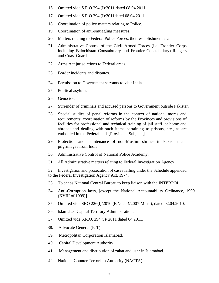- 16. Omitted vide S.R.O.294 (I)/2011 dated 08.04.2011.
- 17. Omitted vide S.R.O.294 (I)/2011dated 08.04.2011.
- 18. Coordination of policy matters relating to Police.
- 19. Coordination of anti-smuggling measures.
- 20. Matters relating to Federal Police Forces, their establishment etc.
- 21. Administrative Control of the Civil Armed Forces (i.e. Frontier Corps including Balochistan Constabulary and Frontier Constabulary) Rangers and Coast Guards.
- 22. Arms Act jurisdictions to Federal areas.
- 23. Border incidents and disputes.
- 24. Permission to Government servants to visit India.
- 25. Political asylum.
- 26. Genocide.
- 27. Surrender of criminals and accused persons to Government outside Pakistan.
- 28. Special studies of penal reforms in the context of national mores and requirements; coordination of reforms by the Provinces and provisions of facilities for professional and technical training of jail staff, at home and abroad; and dealing with such items pertaining to prisons, etc., as are embodied in the Federal and <sup>i</sup>[Provincial Subjects].
- 29. Protection and maintenance of non-Muslim shrines in Pakistan and pilgrimages from India.
- 30. Administrative Control of National Police Academy.
- 31. All Administrative matters relating to Federal Investigation Agency.

32. Investigation and prosecution of cases falling under the Schedule appended to the Federal Investigation Agency Act, 1974.

- 33. To act as National Central Bureau to keep liaison with the INTERPOL.
- 34. Anti-Corruption laws, [except the National Accountability Ordinance, 1999 (XVIII of 1999)].
- 35. Omitted vide SRO 226(I)/2010 (F.No.4-4/2007-Min-I), dated 02.04.2010.
- 36. Islamabad Capital Territory Administration.
- 37. Omitted vide S.R.O. 294 (I)/ 2011 dated 04.2011.
- 38. Advocate General (ICT).
- 39. Metropolitan Corporation Islamabad.
- 40. Capital Development Authority.
- 41. Management and distribution of zakat and ushr in Islamabad.
- 42. National Counter Terrorism Authority (NACTA).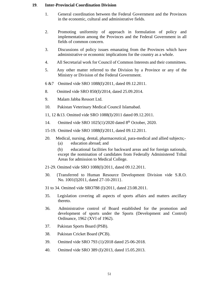#### **19**. **Inter-Provincial Coordination Division**

- 1. General coordination between the Federal Government and the Provinces in the economic, cultural and administrative fields.
- 2. Promoting uniformity of approach in formulation of policy and implementation among the Provinces and the Federal Government in all fields of common concern.
- 3. Discussions of policy issues emanating from the Provinces which have administrative or economic implications for the country as a whole.
- 4. All Secretarial work for Council of Common Interests and their committees.
- 5. Any other matter referred to the Division by a Province or any of the Ministry or Division of the Federal Government.
- 6 &7 Omitted vide SRO 1088(I)/2011, dated 09.12.2011.
- 8. Omitted vide SRO 850(I)/2014, dated 25.09.2014.
- 9. Malam Jabba Ressort Ltd.
- 10. Pakistan Veterinary Medical Council Islamabad.
- 11, 12 &13. Omitted vide SRO 1088(I)/2011 dated 09.12.2011.
- 14. Omitted vide SRO 1025(1)/2020 dated 8<sup>th</sup> October, 2020.
- 15-19. Omitted vide SRO 1088(I)/2011, dated 09.12.2011.
- 20. Medical, nursing, dental, pharmaceutical, para-medical and allied subjects;- (a) education abroad; and
	- (b) educational facilities for backward areas and for foreign nationals, except the nomination of candidates from Federally Administered Tribal Areas for admission to Medical College.
- 21-29. Omitted vide SRO 1088(I)/2011, dated 09.12.2011.
- 30. {Transferred to Human Resource Development Division vide S.R.O. No. 1001(I)2011, dated 27-10-2011}.
- 31 to 34. Omitted vide SRO788 (I)/2011, dated 23.08.2011.
- 35. Legislation covering all aspects of sports affairs and matters ancillary thereto.
- 36. Administrative control of Board established for the promotion and development of sports under the Sports (Development and Control) Ordinance, 1962 (XVI of 1962).
- 37. Pakistan Sports Board (PSB).
- 38. Pakistan Cricket Board (PCB).
- 39. Omitted vide SRO 793 (1)/2018 dated 25-06-2018.
- 40. Omitted vide SRO 389 (I)/2013, dated 15.05.2013.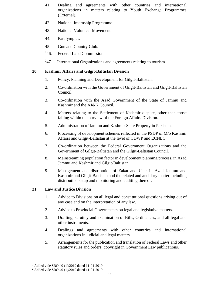- 41. Dealing and agreements with other countries and international organizations in matters relating to Youth Exchange Programmes (External).
- 42. National Internship Programme.
- 43. National Volunteer Movement.
- 44. Paralympics.
- 45. Gun and Country Club.
- $^{14}6.$ Federal Land Commission.
- $^{2}47.$ International Organizations and agreements relating to tourism.

# **20. Kashmir Affairs and Gilgit-Baltistan Division**

- 1. Policy, Planning and Development for Gilgit-Baltistan.
- 2. Co-ordination with the Government of Gilgit-Baltistan and Gilgit-Baltistan Council.
- 3. Co-ordination with the Azad Government of the State of Jammu and Kashmir and the AJ&K Council.
- 4. Matters relating to the Settlement of Kashmir dispute, other than those falling within the purview of the Foreign Affairs Division.
- 5. Administration of Jammu and Kashmir State Property in Pakistan.
- 6. Processing of development schemes reflected in the PSDP of M/o Kashmir Affairs and Gilgit-Baltistan at the level of CDWP and ECNEC.
- 7. Co-ordination between the Federal Government Organizations and the Government of Gilgit-Baltistan and the Gilgit-Baltistan Council.
- 8. Mainstreaming population factor in development planning process, in Azad Jammu and Kashmir and Gilgit-Baltistan.
- 9. Management and distribution of Zakat and Ushr in Azad Jammu and Kashmir and Gilgit-Baltistan and the related and ancillary matter including distribution setup and monitoring and auditing thereof.

# **21. Law and Justice Division**

- 1. Advice to Divisions on all legal and constitutional questions arising out of any case and on the interpretation of any law.
- 2. Advice to Provincial Governments on legal and legislative matters.
- 3. Drafting, scrutiny and examination of Bills, Ordinances, and all legal and other instruments.
- 4. Dealings and agreements with other countries and International organizations in judicial and legal matters.
- 5. Arrangements for the publication and translation of Federal Laws and other statutory rules and orders; copyright in Government Law publications.

<sup>&</sup>lt;sup>1</sup> Added vide SRO 40 (1)/2019 dated 11-01-2019.

<sup>2</sup> Added vide SRO 40 (1)/2019 dated 11-01-2019.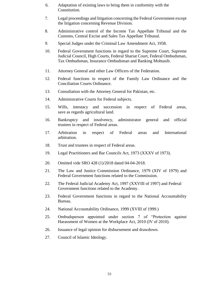- 6. Adaptation of existing laws to bring them in conformity with the Constitution.
- 7. Legal proceedings and litigation concerning the Federal Government except the litigation concerning Revenue Division.
- 8. Administrative control of the Income Tax Appellate Tribunal and the Customs, Central Excise and Sales Tax Appellate Tribunal.
- 9. Special Judges under the Criminal Law Amendment Act, 1958.
- 10. Federal Government functions in regard to the Supreme Court, Supreme Judicial Council, High Courts, Federal Shariat Court, Federal Ombudsman, Tax Ombudsman, Insurance Ombudsman and Banking Mohtasib.
- 11. Attorney General and other Law Officers of the Federation.
- 12. Federal functions in respect of the Family Law Ordinance and the Conciliation Courts Ordinance.
- 13. Consultation with the Attorney General for Pakistan, etc.
- 14. Administrative Courts for Federal subjects.
- 15. Wills, intestacy and succession in respect of Federal areas, save as regards agricultural land.
- 16. Bankruptcy and insolvency, administrator general and official trustees in respect of Federal areas.
- 17. Arbitration in respect of Federal areas and International arbitration.
- 18. Trust and trustees in respect of Federal areas.
- 19. Legal Practitioners and Bar Councils Act, 1973 (XXXV of 1973).
- 20. Omitted vide SRO 428 (1)/2018 dated 04-04-2018.
- 21. The Law and Justice Commission Ordinance, 1979 (XIV of 1979) and Federal Government functions related to the Commission.
- 22. The Federal Judicial Academy Act, 1997 (XXVIII of 1997) and Federal Government functions related to the Academy.
- 23. Federal Government functions in regard to the National Accountability Bureau.
- 24. National Accountability Ordinance, 1999 (XVIII of 1999.)
- 25. Ombudsperson appointed under section 7 of "Protection against Harassment of Women at the Workplace Act, 2010 (IV of 2010).
- 26. Issuance of legal opinion for disbursement and drawdown.
- 27. Council of Islamic Ideology.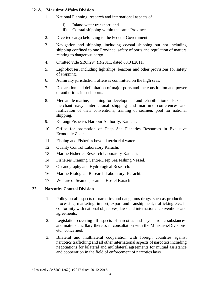#### **<sup>1</sup>21A. Maritime Affairs Division**

- 1. National Planning, research and international aspects of
	- i) Inland water transport; and
	- ii) Coastal shipping within the same Province.
- 2. Diverted cargo belonging to the Federal Government.
- 3. Navigation and shipping, including coastal shipping but not including shipping confined to one Province; safety of ports and regulation of matters relating to dangerous cargo.
- 4. Omitted vide SRO.294 (I)/2011, dated 08.04.2011.
- 5. Light-houses, including lightships, beacons and other provisions for safety of shipping.
- 6. Admiralty jurisdiction; offenses committed on the high seas.
- 7. Declaration and delimitation of major ports and the constitution and power of authorities in such ports.
- 8. Mercantile marine; planning for development and rehabilitation of Pakistan merchant navy; international shipping and maritime conferences and ratification of their conventions; training of seamen; pool for national shipping.
- 9. Korangi Fisheries Harbour Authority, Karachi.
- 10. Office for promotion of Deep Sea Fisheries Resources in Exclusive Economic Zone.
- 11. Fishing and Fisheries beyond territorial waters.
- 12. Quality Control Laboratory Karachi.
- 13. Marine Fisheries Research Laboratory Karachi.
- 14. Fisheries Training Centre/Deep Sea Fishing Vessel.
- 15. Oceanography and Hydrological Research.
- 16. Marine Biological Research Laboratory, Karachi.
- 17. Welfare of Seamen; seamen Hostel Karachi.

# **22. Narcotics Control Division**

- 1. Policy on all aspects of narcotics and dangerous drugs, such as production, processing, marketing, import, export and transhipment, trafficking etc., in conformity with national objectives, laws and international conventions and agreements.
- 2. Legislation covering all aspects of narcotics and psychotropic substances, and matters ancillary thereto, in consultation with the Ministries/Divisions, etc., concerned.
- 3. Bilateral and multilateral cooperation with foreign countries against narcotics trafficking and all other international aspects of narcotics including negotiations for bilateral and multilateral agreements for mutual assistance and cooperation in the field of enforcement of narcotics laws.

<sup>&</sup>lt;sup>1</sup> Inserted vide SRO 1262(1)/2017 dated 20-12-2017.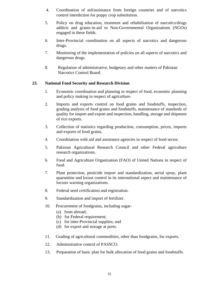- 4. Coordination of aid/assistance from foreign countries and of narcotics control interdiction for poppy crop substitution.
- 5. Policy on drug education, treatment and rehabilitation of narcotics/drugs addicts and grants-in-aid to Non-Governmental Organizations (NGOs) engaged in these fields.
- 6. Inter-Provincial coordination on all aspects of narcotics and dangerous drugs.
- 7. Monitoring of the implementation of policies on all aspects of narcotics and dangerous drugs.
- 8. Regulation of administrative, budgetary and other matters of Pakistan Narcotics Control Board.

# **23. National Food Security and Research Division**

- 1. Economic coordination and planning in respect of food, economic planning and policy making in respect of agriculture.
- 2. Imports and exports control on food grains and foodstuffs, inspection, grading analysis of food grains and foodstuffs, maintenance of standards of quality for import and export and inspection, handling, storage and shipment of rice exports.
- 3. Collection of statistics regarding production, consumption, prices, imports and exports of food grains.
- 4. Coordination with aid and assistance agencies in respect of food sector.
- 5. Pakistan Agricultural Research Council and other Federal agriculture research organizations.
- 6. Food and Agriculture Organization (FAO) of United Nations in respect of food.
- 7. Plant protection, pesticide import and standardization, aerial spray, plant quarantine and locust control in its international aspect and maintenance of locusts warning organizations.
- 8. Federal seed certification and registration.
- 9. Standardization and import of fertilizer.
- 10. Procurement of foodgrains, including sugar-
	- (a) from abroad;
	- (b) for Federal requirement;
	- (c) for inter-Provincial supplies; and
	- (d) for export and storage at ports.
- 11. Grading of agricultural commodities, other than foodgrains, for exports.
- 12. Administrative control of PASSCO.
- 13. Preparation of basic plan for bulk allocation of food grains and foodstuffs.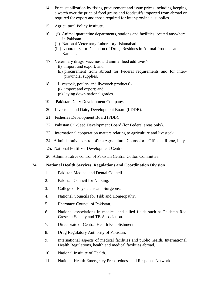- 14. Price stabilization by fixing procurement and issue prices including keeping a watch over the price of food grains and foodstuffs imported from abroad or required for export and those required for inter-provincial supplies.
- 15. Agricultural Policy Institute.
- 16. (i) Animal quarantine departments, stations and facilities located anywhere in Pakistan.
	- (ii) National Veterinary Laboratory, Islamabad.
	- (iii) Laboratory for Detection of Drugs Residues in Animal Products at Karachi.
- 17. Veterinary drugs, vaccines and animal feed additives'-
	- **(i)** import and export; and
	- **(ii)** procurement from abroad for Federal requirements and for interprovincial supplies.
- 18. Livestock, poultry and livestock products'-
	- **(i)** import and export; and
	- **(ii)** laying down national grades.
- 19. Pakistan Dairy Development Company.
- 20. Livestock and Dairy Development Board (LDDB).
- 21. Fisheries Development Board (FDB).
- 22. Pakistan Oil-Seed Development Board (for Federal areas only).
- 23. International cooperation matters relating to agriculture and livestock.
- 24. Administrative control of the Agricultural Counselor's Office at Rome, Italy.
- 25. National Fertilizer Development Centre.
- 26. Administrative control of Pakistan Central Cotton Committee.

# **24. National Health Services, Regulations and Coordination Division**

- 1. Pakistan Medical and Dental Council.
- 2. Pakistan Council for Nursing.
- 3. College of Physicians and Surgeons.
- 4. National Councils for Tibb and Homeopathy.
- 5. Pharmacy Council of Pakistan.
- 6. National associations in medical and allied fields such as Pakistan Red Crescent Society and TB Association.
- 7. Directorate of Central Health Establishment.
- 8. Drug Regulatory Authority of Pakistan.
- 9. International aspects of medical facilities and public health, International Health Regulations, health and medical facilities abroad.
- 10. National Institute of Health.
- 11. National Health Emergency Preparedness and Response Network.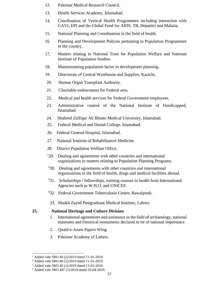- 12. Pakistan Medical Research Council.
- 13. Health Services Academy, Islamabad.
- 14. Coordination of Vertical Health Programmes including interaction with GAVI, EPI and the Global Fund for AIDS, TB, Hepatitis and Malaria.
- 15. National Planning and Coordination in the field of health.
- 16. Planning and Development Policies pertaining to Population Programmes in the country.
- 17. Matters relating to National Trust for Population Welfare and National Institute of Population Studies.
- 18. Mainstreaming population factor in development planning.
- 19. Directorate of Central Warehouse and Supplies, Karachi.
- 20. Human Organ Transplant Authority.
- 21. Charitable endowments for Federal area.
- 22. Medical and health services for Federal Government employees.
- 23. Administrative control of the National Institute of Handicapped, Islamabad.
- 24. Shaheed Zulfiqar Ali Bhutto Medical University, Islamabad.
- 25. Federal Medical and Dental College, Islamabad.
- 26. Federal General Hospital, Islamabad.
- 27. National Institute of Rehabilitative Medicine.
- 28. District Population Welfare Office.
- $129.$  Dealing and agreements with other countries and international organizations in matters relating to Population Planning Programs.
- <sup>2</sup>30. Dealing and agreements with other countries and international organizations in the field of health, drugs and medical facilities abroad.
- $331.$  Scholarships / fellowships, training courses in health from International Agencies such as W.H.O. and UNICEF.
- 4 32. Federal Government Tuberculosis Centre, Rawalpindi.
- 33. Shaikh Zayed Postgraduate Medical Institute, Lahore.

# **25. National Heritage and Culture Division**

- 1. International agreements and assistance in the field of archaeology, national museums and historical monuments declared to be of national importance.
- 2. Quaid-e-Azam Papers Wing.
- 3. Pakistan Academy of Letters.

<sup>&</sup>lt;sup>1</sup> Added vide SRO 40 (1)/2019 dated 11-01-2019.

<sup>2</sup> Added vide SRO 40 (1)/2019 dated 11-01-2019.

<sup>3</sup> Added vide SRO 40 (1)/2019 dated 11-01-2019.

<sup>4</sup> Added vide SRO 487 (1)/2019 dated 23-04-2019.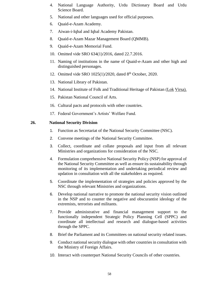- 4. National Language Authority, Urdu Dictionary Board and Urdu Science Board.
- 5. National and other languages used for official purposes.
- 6. Quaid-e-Azam Academy.
- 7. Aiwan-i-Iqbal and Iqbal Academy Pakistan.
- 8. Quaid-e-Azam Mazar Management Board (QMMB).
- 9. Quaid-e-Azam Memorial Fund.
- 10. Omitted vide SRO 634(1)/2016, dated 22.7.2016.
- 11. Naming of institutions in the name of Quaid-e-Azam and other high and distinguished personages.
- 12. Omitted vide SRO 1025(1)/2020, dated 8<sup>th</sup> October, 2020.
- 13. National Library of Pakistan.
- 14. National Institute of Folk and Traditional Heritage of Pakistan (Lok Virsa).
- 15. Pakistan National Council of Arts.
- 16. Cultural pacts and protocols with other countries.
- 17. Federal Government's Artists' Welfare Fund.

#### **26. National Security Division**

- 1. Function as Secretariat of the National Security Committee (NSC).
- 2. Convene meetings of the National Security Committee.
- 3. Collect, coordinate and collate proposals and input from all relevant Ministries and organizations for consideration of the NSC.
- 4. Formulation comprehensive National Security Policy (NSP) for approval of the National Security Committee as well as ensure its sustainability through monitoring of its implementation and undertaking periodical review and updation in consultation with all the stakeholders as required.
- 5. Coordinate the implementation of strategies and policies approved by the NSC through relevant Ministries and organizations.
- 6. Develop national narrative to promote the national security vision outlined in the NSP and to counter the negative and obscurantist ideology of the extremists, terrorists and militants.
- 7. Provide administrative and financial management support to the functionally independent Strategic Policy Planning Cell (SPPC) and coordinate all intellectual and research and dialogue-based activities through the SPPC.
- 8. Brief the Parliament and its Committees on national security related issues.
- 9. Conduct national security dialogue with other countries in consultation with the Ministry of Foreign Affairs.
- 10. Interact with counterpart National Security Councils of other countries.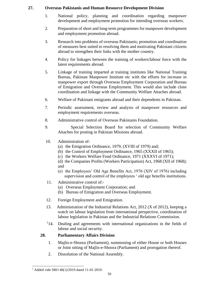# **27. Overseas Pakistanis and Human Resource Development Division**

- 1. National policy, planning and coordination regarding manpower development and employment promotion for intending overseas workers.
- 2. Preparation of short and long-term programmes for manpower development and employment promotion abroad.
- 3. Research into problems of overseas Pakistanis; promotion and coordination of measures best suited to resolving them and motivating Pakistani citizens abroad to strengthen their links with the mother country.
- 4. Policy for linkages between the training of workers/labour force with the latest requirements abroad.
- 5. Linkage of training imparted at training institutes like National Training Bureau, Pakistan Manpower Institute etc with the efforts for increase in manpower export through Overseas Employment Corporation and Bureau of Emigration and Overseas Employment. This would also include close coordination and linkage with the Community Welfare Attaches abroad.
- 6. Welfare of Pakistani emigrants abroad and their dependents in Pakistan.
- 7. Periodic assessment, review and analysis of manpower resources and employment requirements overseas.
- 8. Administrative control of Overseas Pakistanis Foundation.
- 9. Special Selection Board for selection of Community Welfare Attaches for posting in Pakistan Missions abroad.
- 10. Administration of-
	- (a) the Emigration Ordinance, 1979, (XVIII of 1979) and;
	- (b) the Control of Employment Ordinance, 1965 (XXXII of 1965);
	- (c) the Workers Welfare Fund Ordinance, 1971 (XXXVI of 1971);
	- (d) the Companies Profits (Workers Participation) Act, 1968 (XII of 1968); and
	- (e) the Employees' Old Age Benefits Act, 1976 (XIV of 1976) including supervision and control of the employees ' old age benefits institutions.
- 11. Administrative control of:-
	- (a) Overseas Employment Corporation; and
	- (b) Bureau of Emigration and Overseas Employment.
- 12. Foreign Employment and Emigration.
- 13. Administration of the Industrial Relations Act, 2012 (X of 2012), keeping a watch on labour legislation from international perspective, coordination of labour legislation in Pakistan and the Industrial Relations Commission.
- $114.$ Dealing and agreements with international organizations in the fields of labour and social security.

#### **28. Parliamentary Affairs Division**

- 1. Majlis-e-Shoora (Parliament), summoning of either House or both Houses or Joint sitting of Majlis-e-Shoora (Parliament) and prorogation thereof.
- 2. Dissolution of the National Assembly.

<sup>&</sup>lt;sup>1</sup> Added vide SRO 40(1)/2019 dated 11-01-2019.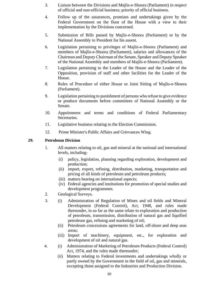- 3. Liaison between the Divisions and Majlis-e-Shoora (Parliament) in respect of official and non-official business; priority of official business.
- 4. Follow up of the assurances, promises and undertakings given by the Federal Government on the floor of the House with a view to their implementation by the Divisions concerned.
- 5. Submission of Bills passed by Majlis-e-Shoora (Parliament) or by the National Assembly to President for his assent.
- 6. Legislation pertaining to privileges of Majlis-e-Shoora (Parliament) and members of Majlis-e-Shoora (Parliament), salaries and allowances of the Chairman and Deputy Chairman of the Senate, Speaker and Deputy Speaker of the National Assembly and members of Majlis-e-Shoora (Parliament).
- 7. Legislation pertaining to the Leader of the House and the Leader of the Opposition, provision of staff and other facilities for the Leader of the House.
- 8. Rules of Procedure of either House or Joint Sitting of Majlis-e-Shoora (Parliament).
- 9. Legislation pertaining to punishment of persons who refuse to give evidence or produce documents before committees of National Assembly or the Senate.
- 10. Appointment and terms and conditions of Federal Parliamentary Secretaries.
- 11. Legislative business relating to the Election Commission.
- 12. Prime Minister's Public Affairs and Grievances Wing.

#### **29. Petroleum Division**

- 1. All matters relating to oil, gas and mineral at the national and international levels, including-
	- (i) policy, legislation, planning regarding exploration, development and production;
	- (ii) import, export, refining, distribution, marketing, transportation and pricing of all kinds of petroleum and petroleum products;
	- (iii) matters bearing on international aspects;
	- (iv) Federal agencies and institutions for promotion of special studies and development programmes.
- 2. Geological Surveys.
- 3. (i) Administration of Regulation of Mines and oil fields and Mineral Development (Federal Control), Act, 1948, and rules made thereunder, in so far as the same relate to exploration and production of petroleum, transmission, distribution of natural gas and liquified petroleum gas, refining and marketing of oil;
	- (ii) Petroleum concessions agreements for land, off-shore and deep seas areas;
	- (iii) Import of machinery, equipment, etc., for exploration and development of oil and natural gas.
- 4. (i) Administration of Marketing of Petroleum Products (Federal Control) Act, 1974, and the rules made thereunder;
	- (ii) Matters relating to Federal investments and undertakings wholly or partly owned by the Government in the field of oil, gas and minerals, excepting those assigned to the Industries and Production Division.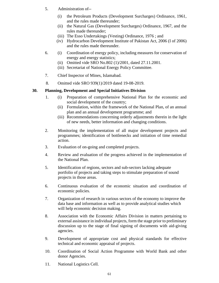- 5. Administration of--
	- (i) the Petroleum Products (Development Surcharges) Ordinance, 1961, and the rules made thereunder;
	- (ii) the Natural Gas (Development Surcharges) Ordinance, 1967, and the rules made thereunder;
	- (iii) The Esso Undertakings (Vesting) Ordinance, 1976 ; and
	- (iv) Hydrocarbon Development Institute of Pakistan Act, 2006 (I of 2006) and the rules made thereunder.
- 6. (i) Coordination of energy policy, including measures for conservation of energy and energy statistics;
	- (ii) Omitted vide SRO No.802 (1)/2001, dated 27.11.2001.
	- (iii) Secretariat of National Energy Policy Committee.
- 7. Chief Inspector of Mines, Islamabad.
- 8. Omitted vide SRO 939(1)/2019 dated 19-08-2019.

#### **30. Planning, Development and Special Initiatives Division**

- 1. (i) Preparation of comprehensive National Plan for the economic and social development of the country;
	- (ii) Formulation, within the framework of the National Plan, of an annual plan and an annual development programme; and
	- (iii) Recommendations concerning orderly adjustments therein in the light of new needs, better information and changing conditions.
- 2. Monitoring the implementation of all major development projects and programmes; identification of bottlenecks and initiation of time remedial action.
- 3. Evaluation of on-going and completed projects.
- 4. Review and evaluation of the progress achieved in the implementation of the National Plan.
- 5. Identification of regions, sectors and sub-sectors lacking adequate portfolio of projects and taking steps to stimulate preparation of sound projects in those areas.
- 6. Continuous evaluation of the economic situation and coordination of economic policies.
- 7. Organization of research in various sectors of the economy to improve the data base and information as well as to provide analytical studies which will help economic decision making.
- 8. Association with the Economic Affairs Division in matters pertaining to external assistance in individual projects, form the stage prior to preliminary discussion up to the stage of final signing of documents with aid-giving agencies.
- 9. Development of appropriate cost and physical standards for effective technical and economic appraisal of projects.
- 10. Coordination of Social Action Programme with World Bank and other donor Agencies.
- 11. National Logistics Cell.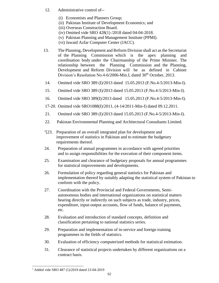- 12. Administrative control of--
	- (i) Economists and Planners Group;
	- (ii) Pakistan Institute of Development Economics; and
	- (iii) Overseas Construction Board.
	- (iv) Omitted vide SRO 428(1) /2018 dated 04-04-2018.
	- (v) Pakistan Planning and Management Institute (PPMI).
	- (vi) Jawaid Azfar Computer Center (JACC).
- 13. The Planning, Development and Reform Division shall act as the Secretariat of the Planning Commission which is the apex planning and coordination body under the Chairmanship of the Prime Minister. The relationship between the Planning Commission and the Planning, Development and Reform Division will be as defined in Cabinet Division's Resolution No.4-6/2006-Min.I, dated 30<sup>th</sup> October, 2013.
- 14. Omitted vide SRO 389 (I)/2013 dated 15.05.2013 (F.No.4-5/2013-Min-I).
- 15. Omitted vide SRO 389 (I)/2013 dated 15.05.2013 (F.No.4-5/2013-Min-I).
- 16. Omitted vide SRO 389(I)/2013 dated 15.05.2013 (F.No.4-5/2013-Min-I).
- 17-20. Omitted vide SRO1088(I)/2011, (4-14/2011-Min-I) dated 09.12.2011.
- 21. Omitted vide SRO 389 (I)/2013 dated 15.05.2013 (F.No.4-5/2013-Min-I).
- 22. Pakistan Environmental Planning and Architectural Consultants Limited.
- $1$ [23. Preparation of an overall integrated plan for development and improvement of statistics in Pakistan and to estimate the budgetary requirements thereof.
- 24. Preparation of annual programmes in accordance with agreed priorities and to assign responsibilities for the execution of their component items.
- 25. Examination and clearance of budgetary proposals for annual programmes for statistical improvements and developments.
- 26. Formulation of policy regarding general statistics for Pakistan and implementation thereof by suitably adapting the statistical system of Pakistan to conform with the policy.
- 27. Coordination with the Provincial and Federal Governments, Semiautonomous bodies and international organizations on statistical matters bearing directly or indirectly on such subjects as trade, industry, prices, expenditure, input-output accounts, flow of funds, balance of payments, etc.
- 28. Evaluation and introduction of standard concepts, definition and classification pertaining to national statistics series.
- 29. Preparation and implementation of in-service and foreign training programmes in the fields of statistics.
- 30. Evaluation of efficiency computerized methods for statistical estimation.
- 31. Clearance of statistical projects undertaken by different organizations on a contract basis.

<sup>1</sup> Added vide SRO 487 (1)/2019 dated 23-04-2019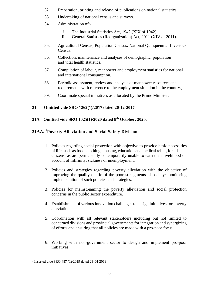- 32. Preparation, printing and release of publications on national statistics.
- 33. Undertaking of national census and surveys.
- 34. Administration of:
	- i. The Industrial Statistics Act, 1942 (XIX of 1942).
	- ii. General Statistics (Reorganization) Act, 2011 (XIV of 2011).
- 35. Agricultural Census, Population Census, National Quinquennial Livestock Census.
- 36. Collection, maintenance and analyses of demographic, population and vital health statistics.
- 37. Compilation of labour, manpower and employment statistics for national and international consumption.
- 38. Periodic assessment, review and analysis of manpower resources and requirements with reference to the employment situation in the country.]
- 39. Coordinate special initiatives as allocated by the Prime Minister.

# **31. Omitted vide SRO 1262(1)/2017 dated 20-12-2017**

#### **31A Omitted vide SRO 1025(1)/2020 dated 8th October, 2020.**

# **31AA.** <sup>1</sup>**Poverty Alleviation and Social Safety Division**

- 1. Policies regarding social protection with objective to provide basic necessities of life, such as food, clothing, housing, education and medical relief, for all such citizens, as are permanently or temporarily unable to earn their livelihood on account of infirmity, sickness or unemployment.
- 2. Policies and strategies regarding poverty alleviation with the objective of improving the quality of life of the poorest segments of society; monitoring implementation of such policies and strategies.
- 3. Policies for mainstreaming the poverty alleviation and social protection concerns in the public sector expenditure.
- 4. Establishment of various innovation challenges to design initiatives for poverty alleviation.
- 5. Coordination with all relevant stakeholders including but not limited to concerned divisions and provincial governments for integration and synergizing of efforts and ensuring that all policies are made with a pro-poor focus.
- 6. Working with non-government sector to design and implement pro-poor initiatives.

<sup>&</sup>lt;sup>1</sup> Inserted vide SRO 487 (1)/2019 dated 23-04-2019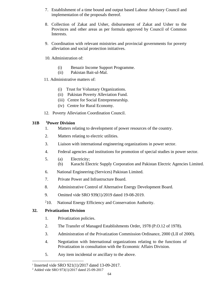- 7. Establishment of a time bound and output based Labour Advisory Council and implementation of the proposals thereof.
- 8. Collection of Zakat and Usher, disbursement of Zakat and Usher to the Provinces and other areas as per formula approved by Council of Common Interests.
- 9. Coordination with relevant ministries and provincial governments for poverty alleviation and social protection initiatives.
- 10. Administration of:
	- (i) Benazir Income Support Programme.
	- (ii) Pakistan Bait-ul-Mal.
- 11. Administrative matters of:
	- (i) Trust for Voluntary Organizations.
	- (ii) Pakistan Poverty Alleviation Fund.
	- (iii) Centre for Social Entrepreneurship.
	- (iv) Centre for Rural Economy.
- 12. Poverty Alleviation Coordination Council.

# **31B <sup>1</sup>Power Division**

- 1. Matters relating to development of power resources of the country.
- 2. Matters relating to electric utilities.
- 3. Liaison with international engineering organizations in power sector.
- 4. Federal agencies and institutions for promotion of special studies in power sector.
- 5. (a) Electricity;
	- (b) Karachi Electric Supply Corporation and Pakistan Electric Agencies Limited.
- 6. National Engineering (Services) Pakistan Limited.
- 7. Private Power and Infrastructure Board.
- 8. Administrative Control of Alternative Energy Development Board.
- 9. Omitted vide SRO 939(1)/2019 dated 19-08-2019.
- $^{2}10.$ National Energy Efficiency and Conservation Authority.

# **32. Privatization Division**

- 1. Privatization policies.
- 2. The Transfer of Managed Establishments Order, 1978 (P.O.12 of 1978).
- 3. Administration of the Privatization Commission Ordinance, 2000 (LII of 2000).
- 4. Negotiation with International organizations relating to the functions of Privatization in consultation with the Economic Affairs Division.
- 5. Any item incidental or ancillary to the above.

<sup>1</sup> Inserted vide SRO 921(1)/2017 dated 13-09-2017.

<sup>2</sup> Added vide SRO 973(1)/2017 dated 25-09-2017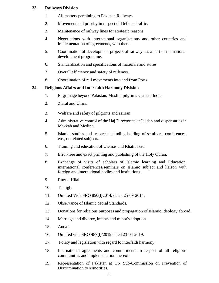#### **33. Railways Division**

- 1. All matters pertaining to Pakistan Railways.
- 2. Movement and priority in respect of Defence traffic.
- 3. Maintenance of railway lines for strategic reasons.
- 4. Negotiations with international organizations and other countries and implementation of agreements, with them.
- 5. Coordination of development projects of railways as a part of the national development programme.
- 6. Standardization and specifications of materials and stores.
- 7. Overall efficiency and safety of railways.
- 8. Coordination of rail movements into and from Ports.

#### **34. Religious Affairs and Inter faith Harmony Division**

- 1. Pilgrimage beyond Pakistan; Muslim pilgrims visits to India.
- 2. Ziarat and Umra.
- 3. Welfare and safety of pilgrims and zairian.
- 4. Administrative control of the Haj Directorate at Jeddah and dispensaries in Makkah and Medina.
- 5. Islamic studies and research including holding of seminars, conferences, etc., on related subjects.
- 6. Training and education of Ulemas and Khatibs etc.
- 7. Error-free and exact printing and publishing of the Holy Quran.
- 8. Exchange of visits of scholars of Islamic learning and Education, international conferences/seminars on Islamic subject and liaison with foreign and international bodies and institutions.
- 9. Ruet-e-Hilal.
- 10. Tabligh.
- 11. Omitted Vide SRO 850(I)2014, dated 25-09-2014.
- 12. Observance of Islamic Moral Standards.
- 13. Donations for religious purposes and propagation of Islamic Ideology abroad.
- 14. Marriage and divorce, infants and minor's adoption.
- 15. Auqaf.
- 16. Omitted vide SRO 487(I)/2019 dated 23-04-2019.
- 17. Policy and legislation with regard to interfaith harmony.
- 18. International agreements and commitments in respect of all religious communities and implementation thereof.
- 19. Representation of Pakistan at UN Sub-Commission on Prevention of Discrimination to Minorities.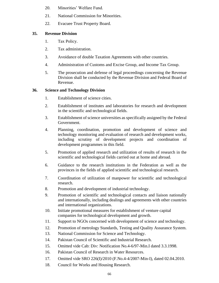- 20. Minorities' Welfare Fund.
- 21. National Commission for Minorities.
- 22. Evacuee Trust Property Board.

#### **35. Revenue Division**

- 1. Tax Policy.
- 2. Tax administration.
- 3. Avoidance of double Taxation Agreements with other countries.
- 4. Administration of Customs and Excise Group, and Income Tax Group.
- 5. The prosecution and defense of legal proceedings concerning the Revenue Division shall be conducted by the Revenue Division and Federal Board of Revenue.

# **36. Science and Technology Division**

- 1. Establishment of science cities.
- 2. Establishment of institutes and laboratories for research and development in the scientific and technological fields.
- 3. Establishment of science universities as specifically assigned by the Federal Government.
- 4. Planning, coordination, promotion and development of science and technology monitoring and evaluation of research and development works, including scrutiny of development projects and coordination of development programmes in this field.
- 5. Promotion of applied research and utilization of results of research in the scientific and technological fields carried out at home and abroad.
- 6. Guidance to the research institutions in the Federation as well as the provinces in the fields of applied scientific and technological research.
- 7. Coordination of utilization of manpower for scientific and technological research.
- 8. Promotion and development of industrial technology.
- 9. Promotion of scientific and technological contacts and liaison nationally and internationally, including dealings and agreements with other countries and international organizations.
- 10. Initiate promotional measures for establishment of venture capital companies for technological development and growth.
- 11. Support to NGOs concerned with development of science and technology.
- 12. Promotion of metrology Standards, Testing and Quality Assurance System.
- 13. National Commission for Science and Technology.
- 14. Pakistan Council of Scientific and Industrial Research.
- 15. Omitted vide Cab: Div: Notification No.4-6/97-Min.I dated 3.3.1998.
- 16. Pakistan Council of Research in Water Resources.
- 17. Omitted vide SRO 226(I)/2010 (F.No.4-4/2007-Min-I), dated 02.04.2010.
- 18. Council for Works and Housing Research.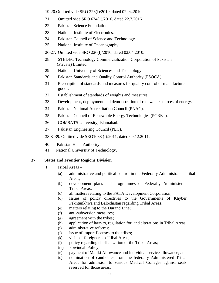19-20.Omitted vide SRO 226(I)/2010, dated 02.04.2010.

- 21. Omitted vide SRO 634(1)/2016, dated 22.7.2016
- 22. Pakistan Science Foundation.
- 23. National Institute of Electronics.
- 24. Pakistan Council of Science and Technology.
- 25. National Institute of Oceanography.
- 26-27. Omitted vide SRO 226(I)/2010, dated 02.04.2010.
- 28. STEDEC Technology Commercialization Corporation of Pakistan (Private) Limited.
- 29. National University of Sciences and Technology.
- 30. Pakistan Standards and Quality Control Authority (PSQCA).
- 31. Prescription of standards and measures for quality control of manufactured goods.
- 32. Establishment of standards of weights and measures.
- 33. Development, deployment and demonstration of renewable sources of energy.
- 34. Pakistan National Accreditation Council (PNAC).
- 35. Pakistan Council of Renewable Energy Technologies (PCRET).
- 36. COMSATS University, Islamabad.
- 37. Pakistan Engineering Council (PEC).
- 38 & 39. Omitted vide SRO1088 (I)/2011, dated 09.12.2011.
- 40. Pakistan Halal Authority.
- 41. National University of Technology.

# **37. States and Frontier Regions Division**

- 1. Tribal Areas
	- (a) administrative and political control in the Federally Administrated Tribal Areas;
	- (b) development plans and programmes of Federally Administered Tribal Areas;
	- (c) all matters relating to the FATA Development Corporation;
	- (d) issues of policy directives to the Governments of Khyber Pakhtunkhwa and Balochistan regarding Tribal Areas;
	- (e) matters relating to the Durand Line;
	- (f) anti-subversion measures;
	- (g) agreement with the tribes;
	- (h) application of laws to, regulation for, and alterations in Tribal Areas;
	- (i) administrative reforms;
	- (j) issue of import licenses to the tribes;
	- (k) visits of foreigners to Tribal Areas;
	- (l) policy regarding detribalization of the Tribal Areas;
	- (m) Powindah Policy;
	- (n) payment of Maliki Allowance and individual service allowance; and
	- (o) nomination of candidates from the federally Administered Tribal Areas for admission to various Medical Colleges against seats reserved for those areas.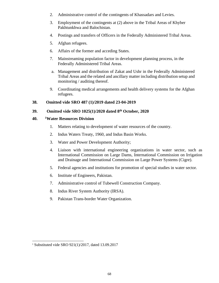- 2. Administrative control of the contingents of Khassadars and Levies.
- 3. Employment of the contingents at (2) above in the Tribal Areas of Khyber Pakhtunkhwa and Balochistan.
- 4. Postings and transfers of Officers in the Federally Administered Tribal Areas.
- 5. Afghan refugees.
- 6. Affairs of the former and acceding States.
- 7. Mainstreaming population factor in development planning process, in the Federally Administered Tribal Areas.
- a. Management and distribution of Zakat and Ushr in the Federally Administered Tribal Areas and the related and ancillary matter including distribution setup and monitoring / auditing thereof.
- 9. Coordinating medical arrangements and health delivery systems for the Afghan refugees.

#### **38. Omitted vide SRO 487 (1)/2019 dated 23-04-2019**

# **39. Omitted vide SRO 1025(1)/2020 dated 8th October, 2020**

#### **40. <sup>1</sup>Water Resources Division**

- 1. Matters relating to development of water resources of the country.
- 2. Indus Waters Treaty, 1960, and Indus Basin Works.
- 3. Water and Power Development Authority;
- 4. Liaison with international engineering organizations in water sector, such as International Commission on Large Dams, International Commission on Irrigation and Drainage and International Commission on Large Power Systems (Cigre).
- 5. Federal agencies and institutions for promotion of special studies in water sector.
- 6. Institute of Engineers, Pakistan.
- 7. Administrative control of Tubewell Construction Company.
- 8. Indus River System Authority (IRSA).
- 9. Pakistan Trans-border Water Organization.

<sup>1</sup> Substituted vide SRO 921(1)/2017, dated 13.09.2017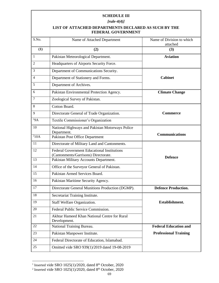#### **SCHEDULE III**

l

*[rule-4(4)]*

#### **LIST OF ATTACHED DEPARTMENTS DECLARED AS SUCH BY THE FEDERAL GOVERNMENT**

| S.No. | Name of Attached Department                                                                | Name of Division to which<br>attached |
|-------|--------------------------------------------------------------------------------------------|---------------------------------------|
| (1)   | (2)                                                                                        | (3)                                   |
| 1     | Pakistan Meteorological Department.                                                        | <b>Aviation</b>                       |
| 2     | Headquarters of Airports Security Force.                                                   |                                       |
| 3     | Department of Communications Security.                                                     | <b>Cabinet</b>                        |
| 4     | Department of Stationery and Forms.                                                        |                                       |
| 5     | Department of Archives.                                                                    |                                       |
| 6     | Pakistan Environmental Protection Agency.                                                  | <b>Climate Change</b>                 |
| 7     | Zoological Survey of Pakistan.                                                             |                                       |
| 8     | Cotton Board.                                                                              | <b>Commerce</b>                       |
| 9     | Directorate General of Trade Organization.                                                 |                                       |
| 19A   | Textile Commissioner's Organization                                                        |                                       |
| 10    | National Highways and Pakistan Motorways Police<br>Department.                             | <b>Communications</b>                 |
| 210A  | Pakistan Post Office Department                                                            |                                       |
| 11    | Directorate of Military Land and Cantonments.                                              | <b>Defence</b>                        |
| 12    | <b>Federal Government Educational Institutions</b><br>(Cantonments/Garrisons) Directorate. |                                       |
| 13    | Pakistan Military Accounts Department.                                                     |                                       |
| 14    | Office of the Surveyor General of Pakistan.                                                |                                       |
| 15    | Pakistan Armed Services Board.                                                             |                                       |
| 16    | Pakistan Maritime Security Agency.                                                         |                                       |
| 17    | Directorate General Munitions Production (DGMP).                                           | <b>Defence Production.</b>            |
| 18    | Secretariat Training Institute.                                                            |                                       |
| 19    | Staff Welfare Organization.                                                                | Establishment.                        |
| 20    | Federal Public Service Commission.                                                         |                                       |
| 21    | Akhtar Hameed Khan National Centre for Rural<br>Development.                               |                                       |
| 22    | National Training Bureau.                                                                  | <b>Federal Education and</b>          |
| 23    | Pakistan Manpower Institute.                                                               | <b>Professional Training</b>          |
| 24    | Federal Directorate of Education, Islamabad.                                               |                                       |
| 25    | Omitted vide SRO 939(1)/2019 dated 19-08-2019                                              |                                       |

<sup>&</sup>lt;sup>1</sup> Inserted vide SRO 1025(1)/2020, dated  $8<sup>th</sup>$  October, 2020

<sup>&</sup>lt;sup>2</sup> Inserted vide SRO 1025(1)/2020, dated  $8<sup>th</sup>$  October, 2020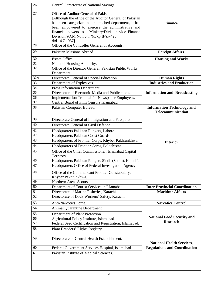| 26  | Central Directorate of National Savings.                                                                                                                                                                                                                                                                                               |                                                        |  |
|-----|----------------------------------------------------------------------------------------------------------------------------------------------------------------------------------------------------------------------------------------------------------------------------------------------------------------------------------------|--------------------------------------------------------|--|
| 27  | Office of Auditor General of Pakistan.<br>[Although the office of the Auditor General of Pakistan]<br>has been categorized as an attached department, it has<br>been empowered to exercise the administrative and<br>financial powers as a Ministry/Division vide Finance<br>Division'sO.M.No.f.5(17)/Exp.II/85-423,<br>dtd.14.7.1987] | Finance.                                               |  |
| 28  | Office of the Controller General of Accounts.                                                                                                                                                                                                                                                                                          |                                                        |  |
| 29  | Pakistan Missions Abroad.                                                                                                                                                                                                                                                                                                              | <b>Foreign Affairs.</b>                                |  |
| 30  | Estate Office.                                                                                                                                                                                                                                                                                                                         | <b>Housing and Works</b>                               |  |
| 31  | National Housing Authority.                                                                                                                                                                                                                                                                                                            |                                                        |  |
| 32  | Office of the Director General, Pakistan Public Works                                                                                                                                                                                                                                                                                  |                                                        |  |
|     | Department.                                                                                                                                                                                                                                                                                                                            |                                                        |  |
| 32A | Directorate General of Special Education.                                                                                                                                                                                                                                                                                              | <b>Human Rights</b>                                    |  |
| 33  | Department of Explosives.                                                                                                                                                                                                                                                                                                              | <b>Industries and Production</b>                       |  |
| 34  | Press Information Department.                                                                                                                                                                                                                                                                                                          |                                                        |  |
| 35  | Directorate of Electronic Media and Publications.                                                                                                                                                                                                                                                                                      | <b>Information and Broadcasting</b>                    |  |
| 36  | Implementation Tribunal for Newspaper Employees.                                                                                                                                                                                                                                                                                       |                                                        |  |
| 37  | Central Board of Film Censors Islamabad.                                                                                                                                                                                                                                                                                               |                                                        |  |
| 38  | Pakistan Computer Bureau.                                                                                                                                                                                                                                                                                                              | <b>Information Technology and</b><br>Telecommunication |  |
| 39  | Directorate General of Immigration and Passports.                                                                                                                                                                                                                                                                                      |                                                        |  |
| 40  | Directorate General of Civil Defence.                                                                                                                                                                                                                                                                                                  |                                                        |  |
| 41  | Headquarters Pakistan Rangers, Lahore.                                                                                                                                                                                                                                                                                                 |                                                        |  |
| 42  | Headquarters Pakistan Coast Guards.                                                                                                                                                                                                                                                                                                    |                                                        |  |
| 43  | Headquarters of Frontier Corps, Khyber Pakhtunkhwa.                                                                                                                                                                                                                                                                                    | <b>Interior</b>                                        |  |
| 44  | Headquarters of Frontier Corps, Balochistan.                                                                                                                                                                                                                                                                                           |                                                        |  |
| 45  | Office of the Chief Commissioner, Islamabad Capital<br>Territory.                                                                                                                                                                                                                                                                      |                                                        |  |
| 46  | Headquarters Pakistan Rangers Sindh (South), Karachi.                                                                                                                                                                                                                                                                                  |                                                        |  |
| 47  | Headquarters Office of Federal Investigation Agency.                                                                                                                                                                                                                                                                                   |                                                        |  |
| 48  | Office of the Commandant Frontier Constabulary,<br>Khyber Pakhtunkhwa.                                                                                                                                                                                                                                                                 |                                                        |  |
| 49  | Northern Areas Scouts.                                                                                                                                                                                                                                                                                                                 |                                                        |  |
| 50  | Department of Tourist Services in Islamabad.                                                                                                                                                                                                                                                                                           | <b>Inter Provincial Coordination</b>                   |  |
| 51  | Directorate of Marine Fisheries, Karachi.                                                                                                                                                                                                                                                                                              | <b>Maritime Affairs</b>                                |  |
| 52  | Directorate of Dock Workers' Safety, Karachi.                                                                                                                                                                                                                                                                                          |                                                        |  |
| 53  | Anti-Narcotics Force.                                                                                                                                                                                                                                                                                                                  | <b>Narcotics Control</b>                               |  |
| 54  | Animal Quarantine Department.                                                                                                                                                                                                                                                                                                          |                                                        |  |
| 55  | Department of Plant Protection.                                                                                                                                                                                                                                                                                                        |                                                        |  |
| 56  | Agricultural Policy Institute, Islamabad.                                                                                                                                                                                                                                                                                              | <b>National Food Security and</b>                      |  |
| 57  | Federal Seed Certification and Registration, Islamabad.                                                                                                                                                                                                                                                                                | <b>Research</b>                                        |  |
| 58  | Plant Breeders' Rights Registry.                                                                                                                                                                                                                                                                                                       |                                                        |  |
| 59  | Directorate of Central Health Establishment.                                                                                                                                                                                                                                                                                           | <b>National Health Services,</b>                       |  |
| 60  | Federal Government Services Hospital, Islamabad.                                                                                                                                                                                                                                                                                       | <b>Regulations and Coordination</b>                    |  |
| 61  | Pakistan Institute of Medical Sciences.                                                                                                                                                                                                                                                                                                |                                                        |  |
|     |                                                                                                                                                                                                                                                                                                                                        |                                                        |  |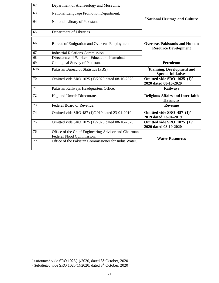| 62  | Department of Archaeology and Museums.                                            |                                                                      |  |
|-----|-----------------------------------------------------------------------------------|----------------------------------------------------------------------|--|
|     |                                                                                   |                                                                      |  |
| 63  | National Language Promotion Department.                                           |                                                                      |  |
| 64  | National Library of Pakistan.                                                     | <sup>1</sup> National Heritage and Culture                           |  |
| 65  | Department of Libraries.                                                          |                                                                      |  |
| 66  | Bureau of Emigration and Overseas Employment.                                     | <b>Overseas Pakistanis and Human</b><br><b>Resource Development</b>  |  |
| 67  | <b>Industrial Relations Commission.</b>                                           |                                                                      |  |
| 68  | Directorate of Workers' Education, Islamabad.                                     |                                                                      |  |
| 69  | Geological Survey of Pakistan.                                                    | Petroleum                                                            |  |
| 69A | Pakistan Bureau of Statistics (PBS).                                              | <sup>2</sup> Planning, Development and<br><b>Special Initiatives</b> |  |
| 70  | Omitted vide SRO 1025 (1)/2020 dated 08-10-2020.                                  | Omitted vide SRO 1025 (1)/<br>2020 dated 08-10-2020                  |  |
| 71  | Pakistan Railways Headquarters Office.                                            | <b>Railways</b>                                                      |  |
| 72  | Hajj and Umrah Directorate.                                                       | <b>Religious Affairs and Inter-faith</b><br><b>Harmony</b>           |  |
| 73  | Federal Board of Revenue.                                                         | <b>Revenue</b>                                                       |  |
| 74  | Omitted vide SRO 487 (1)/2019 dated 23-04-2019.                                   | Omitted vide SRO 487 (1)/<br>2019 dated 23-04-2019                   |  |
| 75  | Omitted vide SRO 1025 (1)/2020 dated 08-10-2020.                                  | Omitted vide SRO 1025 (1)/<br>2020 dated 08-10-2020                  |  |
| 76  | Office of the Chief Engineering Advisor and Chairman<br>Federal Flood Commission. |                                                                      |  |
| 77  | Office of the Pakistan Commissioner for Indus Water.                              | <b>Water Resources</b>                                               |  |
|     |                                                                                   |                                                                      |  |

<sup>&</sup>lt;sup>1</sup> Substituted vide SRO 1025(1)/2020, dated  $8<sup>th</sup>$  October, 2020

<sup>&</sup>lt;sup>2</sup> Substituted vide SRO 1025(1)/2020, dated  $8<sup>th</sup>$  October, 2020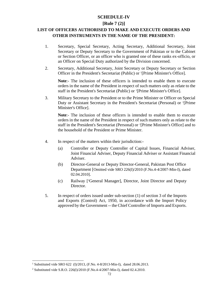## **SCHEDULE-IV**

#### **[Rule 7 (2)]**

## **LIST OF OFFICERS AUTHORISED TO MAKE AND EXECUTE ORDERS AND OTHER INSTRUMENTS IN THE NAME OF THE PRESIDENT:**

- 1. Secretary, Special Secretary, Acting Secretary, Additional Secretary, Joint Secretary or Deputy Secretary to the Government of Pakistan or to the Cabinet or Section Officer, or an officer who is granted one of these ranks ex-officio, or an Officer on Special Duty authorized by the Division concerned.
- 2. Secretary, Additional Secretary, Joint Secretary or Deputy Secretary or Section Officer in the President's Secretariat (Public) or <sup>1</sup>[Prime Minister's Office].

**Note**:- The inclusion of these officers is intended to enable them to execute orders in the name of the President in respect of such matters only as relate to the staff in the President's Secretariat (Public) or <sup>1</sup>[Prime Minister's Office].

3. Military Secretary to the President or to the Prime Minister or Officer on Special Duty or Assistant Secretary in the President's Secretariat (Personal) or <sup>1</sup>[Prime Minister's Office].

**Note**:- The inclusion of these officers is intended to enable them to execute orders in the name of the President in respect of such matters only as relate to the staff in the President's Secretariat (Personal) or <sup>1</sup> [Prime Minister's Office] and to the household of the President or Prime Minister.

- 4. In respect of the matters within their jurisdiction:-
	- (a) Controller or Deputy Controller of Capital Issues, Financial Adviser, Joint Financial Adviser, Deputy Financial Adviser or Assistant Financial Adviser.
	- (b) Director-General or Deputy Director-General, Pakistan Post Office Department [Omitted vide SRO 226(I)/2010 (F.No.4-4/2007-Min-I), dated 02.04.2010].
	- (c) Railway [2General Manager], Director, Joint Director and Deputy Director.
- 5. In respect of orders issued under sub-section (1) of section 3 of the Imports and Exports (Control) Act, 1950, in accordance with the Import Policy approved by the Government -- the Chief Controller of Imports and Exports.

<sup>&</sup>lt;sup>1</sup> Substituted vide SRO 622 (I)/2013, (F.No. 4-8/2013-Min-I), dated 28.06.2013.

<sup>2</sup> Substituted vide S.R.O. 226(I)/2010 (F.No.4-4/2007-Min-I), dated 02.4.2010.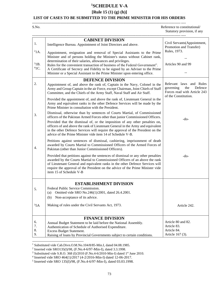## **<sup>1</sup>SCHEDULE V-A**

## **[Rule 15 (1) (g) (h)]**

#### **LIST OF CASES TO BE SUBMITTED TO THE PRIME MINISTER FOR HIS ORDERS**

| S.No. | Reference to constitutional/ |
|-------|------------------------------|
|       | Statutory provision, if any  |
|       |                              |

|          | <b>CABINET DIVISION</b>                                                                                                                                                                                                                                                                                                                                        |                                                                                     |  |
|----------|----------------------------------------------------------------------------------------------------------------------------------------------------------------------------------------------------------------------------------------------------------------------------------------------------------------------------------------------------------------|-------------------------------------------------------------------------------------|--|
| 1.       | Intelligence Bureau. Appointment of Joint Directors and above.                                                                                                                                                                                                                                                                                                 | Civil Servants(Appointment,<br>Promotion and Transfer)                              |  |
| $21A$ .  | Appointment, resignation and removal of Special Assistants to the Prime                                                                                                                                                                                                                                                                                        | Rules, 1973.                                                                        |  |
|          | Minister and of persons holding the Minister's status without Cabinet rank,<br>determination of their salaries, allowances and privileges.                                                                                                                                                                                                                     |                                                                                     |  |
| 31B.     | Rules for the convenient transaction of business of the Federal Government".                                                                                                                                                                                                                                                                                   | Articles 90 and 99                                                                  |  |
| $41C$ .  | A Certificate of Secrecy and Fidelity to be signed by an Adviser to the Prime                                                                                                                                                                                                                                                                                  |                                                                                     |  |
|          | Minister or a Special Assistant to the Prime Minister upon entering office.                                                                                                                                                                                                                                                                                    |                                                                                     |  |
| 2.       | <b>DEFENCE DIVISION</b>                                                                                                                                                                                                                                                                                                                                        | Relevant laws and Rules                                                             |  |
|          | Appointment of, and above the rank of, Captain in the Navy, Colonel in the<br>Army and Group Captain in the air Force, except Chairman, Joint Chiefs of Staff<br>Committee, and the Chiefs of the Army Staff, Naval Staff and Air Staff.                                                                                                                       | governing<br>the<br>Defence<br>Forces read with Article 243<br>of the Constitution. |  |
|          | Provided the appointment of, and above the rank of, Lieutenant General in the<br>Army and equivalent ranks in the other Defence Services will be made by the<br>Prime Minister in consultation with the President.                                                                                                                                             |                                                                                     |  |
| 3.       | Dismissal, otherwise than by sentences of Courts Martial, of Commissioned<br>officers of the Pakistan Armed Forces other than junior Commissioned Officers.                                                                                                                                                                                                    | $-do-$                                                                              |  |
|          | Provided that the dismissal of, or the imposition of any other penalties on,<br>officers of and above the rank of Lieutenant General in the Army and equivalent<br>in the other Defence Services will require the approval of the President on the<br>advice of the Prime Minister vide item 14 of Schedule V-B.                                               |                                                                                     |  |
| 4.       | Petitions against sentences of dismissal, cashiering, imprisonment of death<br>awarded by Courts Martial to Commissioned Officers of the Armed Forces of<br>Pakistan (other than Junior Commissioned Officers).                                                                                                                                                |                                                                                     |  |
|          | Provided that petitions against the sentences of dismissal or any other penalties<br>awarded by the Courts Martial to Commissioned Officers of an above the rank<br>of Lieutenant General and equivalent ranks in the other Defence Services will<br>require the approval of the President on the advice of the Prime Minister vide<br>item 15 of Schedule V-B | -do-                                                                                |  |
|          | <b>ESTABLISHMENT DIVISION</b>                                                                                                                                                                                                                                                                                                                                  |                                                                                     |  |
| 5.       | Federal Public Service Commission.                                                                                                                                                                                                                                                                                                                             |                                                                                     |  |
|          | Omitted vide SRO No.246(1)/2001, dated 26.4.2001.<br>(a)                                                                                                                                                                                                                                                                                                       |                                                                                     |  |
|          | (b) Non-acceptance of its advice.                                                                                                                                                                                                                                                                                                                              |                                                                                     |  |
| 55A      | Making of rules under the Civil Servants Act, 1973.                                                                                                                                                                                                                                                                                                            | Article 242.                                                                        |  |
|          | <b>FINANCE DIVISION</b>                                                                                                                                                                                                                                                                                                                                        |                                                                                     |  |
| 6.       | Annual Budget Statement to be laid before the National Assembly.                                                                                                                                                                                                                                                                                               | Article 80 and 82.                                                                  |  |
| 7.<br>8. | Authentication of Schedule of Authorised Expenditure.                                                                                                                                                                                                                                                                                                          | Article 83.<br>Article 84.                                                          |  |
| 9.       | Excess Budget Statement.<br>Raising of loans by Provincial Governments subject to certain conditions.                                                                                                                                                                                                                                                          | Article 167 (3).                                                                    |  |
|          |                                                                                                                                                                                                                                                                                                                                                                |                                                                                     |  |

<sup>1</sup> Substituted vide Cab.Divn.O.M.No.104/8/85-Min.I, dated 04.08.1985.

<sup>2</sup> Inserted vide SRO135(I)/98, (F.No.4-6/97-Min-I), dated 3.3.1998.

 $3$  Substituted vide S.R.O. 368 (I)/2010 (F.No.4-6/2010-Min-I) dated  $1<sup>st</sup>$  June 2010.

<sup>4</sup> Inserted vide SRO 464(1)/2017 (4-2/2016-Min-I) dated 12-06-2017.

<sup>5</sup> Inserted vide SRO 135(I)/98, (F.No.4-6/97-Min-I), dated 03.03.1998.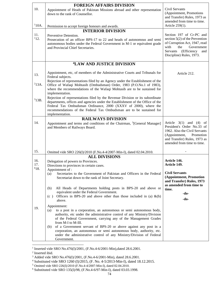|                  | <b>FOREIGN AFFAIRS DIVISION</b>                                                                                                                                                                                                                                                                                               |                                                                                                                                                                                           |
|------------------|-------------------------------------------------------------------------------------------------------------------------------------------------------------------------------------------------------------------------------------------------------------------------------------------------------------------------------|-------------------------------------------------------------------------------------------------------------------------------------------------------------------------------------------|
| 10.              | Appointment of Heads of Pakistan Missions abroad and other representation<br>down to the rank of Counsellor.                                                                                                                                                                                                                  | Civil Servants<br>(Appointment, Promotions<br>and Transfer) Rules, 1973 as<br>amended from time to time.                                                                                  |
| 110A.            | Permission to accept foreign honours and awards.                                                                                                                                                                                                                                                                              | Article 259(1).                                                                                                                                                                           |
| 11.              | <b>INTERIOR DIVISION</b>                                                                                                                                                                                                                                                                                                      |                                                                                                                                                                                           |
| 112.             | Preventive Detention.<br>Prosecution of an officer BPS-17 to 22 and heads of autonomous and semi<br>autonomous bodies under the Federal Government in M-1 or equivalent grade<br>and Provincial Chief Secretaries.                                                                                                            | Section 197 of Cr-PC and<br>section $5(2)$ of the Prevention<br>of Corruption Act, 1947, read<br>with<br>the<br>Government<br>Servants (Efficiency<br>and<br>Discipline) Rules, 1973.     |
|                  | <sup>4</sup> LAW AND JUSTICE DIVISION                                                                                                                                                                                                                                                                                         |                                                                                                                                                                                           |
| 13.              | Appointment, etc, of members of the Administrative Courts and Tribunals for<br>Federal subjects.                                                                                                                                                                                                                              | Article 212.                                                                                                                                                                              |
| $^{2}$ 13A.      | Rejection of representations filed by an Agency under the Establishment of the<br>Office of Wafaqi Mohtasib (Ombudsman) Order, 1983 (P.O.No.1 of 1983),<br>where the recommendations of the Wafaqi Mohtasib are to be sustained for<br>implementation.                                                                        |                                                                                                                                                                                           |
| 313B.            | Rejection of representations filed by the Revenue Division or its subordinate<br>departments, offices and agencies under the Establishment of the Office of the<br>Federal Tax Ombudsman Ordinance, 2000 (XXXV of 2000), where the<br>recommendations of the Federal Tax Ombudsman are to be sustained for<br>implementation. |                                                                                                                                                                                           |
|                  | <b>RAILWAYS DIVISION</b>                                                                                                                                                                                                                                                                                                      |                                                                                                                                                                                           |
| 14.              | Appointment and terms and conditions of the Chairman, <sup>5</sup> [General Manager]<br>and Members of Railways Board.                                                                                                                                                                                                        | Article $3(1)$ and $(4)$<br>of<br>President's Order No.33 of<br>1962. Also the Civil Servants<br>(Appointment,<br>Promotion<br>and Transfer) Rules, 1973 as<br>amended from time to time. |
| 15.              | Omitted vide SRO 226(I)/2010 (F.No.4-4/2007-Min-I), dated 02.04.2010.                                                                                                                                                                                                                                                         |                                                                                                                                                                                           |
|                  | <b>ALL DIVISIONS</b>                                                                                                                                                                                                                                                                                                          |                                                                                                                                                                                           |
| 16.<br>17.       | Delegation of powers to Provinces.                                                                                                                                                                                                                                                                                            | Article 146.<br>Article 149.                                                                                                                                                              |
| <sup>6</sup> 18. | Directions to provinces in certain cases.<br>Appointment of :                                                                                                                                                                                                                                                                 |                                                                                                                                                                                           |
|                  | Secretaries to the Government of Pakistan and Officers in the Federal<br>(a)<br>Secretariat down to the rank of Joint Secretary.                                                                                                                                                                                              | <b>Civil Servants</b><br>(Appointment, Promotion<br>and Transfer) Rules, 1973                                                                                                             |
|                  | All Heads of Departments holding posts in BPS-20 and above or<br>(b)<br>equivalent under the Federal Government.                                                                                                                                                                                                              | as amended from time to<br>time.<br>$-do-$                                                                                                                                                |
|                  | Officers in BPS-20 and above other than those included in (a) $\&$ (b)<br>(c)<br>above.                                                                                                                                                                                                                                       | $-do-$                                                                                                                                                                                    |
| 19.              | Appointment:                                                                                                                                                                                                                                                                                                                  |                                                                                                                                                                                           |
|                  | to a post in a corporation, an autonomous or semi autonomous body,<br>(a)<br>authority, etc under the administrative control of any Ministry/Division<br>of the Federal Government, carrying any of the Management Grades<br>from M-I to M-III.                                                                               |                                                                                                                                                                                           |
|                  | of a Government servant of BPS-20 or above against any post in a<br>(b)<br>corporation, an autonomous or semi autonomous body, authority, etc.<br>under the administrative control of any Ministry/Division of Federal<br>Government.                                                                                         |                                                                                                                                                                                           |
|                  |                                                                                                                                                                                                                                                                                                                               |                                                                                                                                                                                           |

<sup>&</sup>lt;sup>1</sup> Inserted vide SRO No.476(I)/2001, (F.No.4-6/2001-Min), dated 28.6.2001.

<sup>2</sup> Inserted ibid.

<sup>&</sup>lt;sup>3</sup> Added vide SRO No.476(I)/2001, (F.No.4-6/2001-Min), dated 28.6.2001.

<sup>4</sup> Substituted vide SRO 1260 (I)/2015, (F. No. 4-5/2013-Min-I), dated 18.12.2015.

<sup>&</sup>lt;sup>5</sup> Omitted vide SRO 226(I)/2010 (F.No.4-4/2007-Min-I), dated 02.04.2010.

<sup>6</sup> Substituted vide SRO 135(I)/98, (F.No.4-6/97-Min-I), dated 03.03.1998.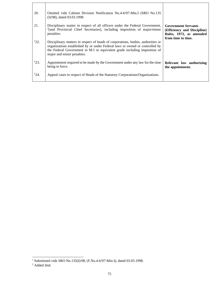| 20.       | Omitted vide Cabinet Division Notification No.4-6/97-Min.I (SRO No.135)<br>$(I)/98$ , dated 03.03.1998.                                                                                                                                                                     |                                                                                                            |
|-----------|-----------------------------------------------------------------------------------------------------------------------------------------------------------------------------------------------------------------------------------------------------------------------------|------------------------------------------------------------------------------------------------------------|
| 21.       | Disciplinary matter in respect of all officers under the Federal Government,<br><sup>2</sup> [and Provincial Chief Secretaries], including imposition of major/minor<br>penalties.                                                                                          | <b>Government Servants</b><br>(Efficiency and Discipline)<br>Rules, 1973, as amended<br>from time to time. |
| 122.      | Disciplinary matters in respect of heads of corporations, bodies, authorities or<br>organizations established by or under Federal laws or owned or controlled by<br>the Federal Government in M-I or equivalent grade including imposition of<br>major and minor penalties. |                                                                                                            |
| 223.      | Appointment required to be made by the Government under any law for the time<br>being in force.                                                                                                                                                                             | Relevant law authorizing<br>the appointment.                                                               |
| $^{2}24.$ | Appeal cases in respect of Heads of the Statutory Corporations/Organizations.                                                                                                                                                                                               |                                                                                                            |

<sup>1</sup> Substituted vide SRO No.135(I)/98, (F.No.4-6/97-Min-I), dated 03.03.1998.

<sup>2</sup> Added ibid.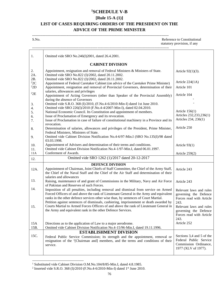### **<sup>1</sup>SCHEDULE V-B**

#### **[Rule 15-A (1)]**

# **LIST OF CASES REQUIRING ORDERS OF THE PRESIDENT ON THE ADVICE OF THE PRIME MINISTER**

-------------------------------------------------------------------------------------------------------------------

------------------------------------------------------------------------------------------------------------------- S.No. Reference to Constitutional Reference to Constitutional

statutory provision, if any

| 1.                             | Omitted vide SRO No.246(I)2001, dated 26.4.2001.                                                                                                                                                                                                                    |                                                                                                     |
|--------------------------------|---------------------------------------------------------------------------------------------------------------------------------------------------------------------------------------------------------------------------------------------------------------------|-----------------------------------------------------------------------------------------------------|
|                                | <b>CABINET DIVISION</b>                                                                                                                                                                                                                                             |                                                                                                     |
| 2.<br>2A.                      | Appointment, resignation and removal of Federal Ministers & Ministers of State.<br>Omitted vide SRO No.822 (I)/2002, dated 20.11.2002.                                                                                                                              | Article 92(1)(3).                                                                                   |
| 2B.<br>${}^{2}2C$<br>$^{22}$ D | Omitted vide SRO No.822 (I)/2002, dated 20.11.2002.<br>Appointment of Federal Caretaker Cabinet (on advice of the Caretaker Prime Minister)<br>Appointment, resignation and removal of Provincial Governors, determination of their                                 | Article $224(1A)$<br>Article 101                                                                    |
| ${}^{2}2E$                     | salaries, allowances and privileges<br>Appointment of Acting Governors (other than Speaker of the Provincial Assembly)<br>during the absence of Governors                                                                                                           | Article 104                                                                                         |
| 3.<br>4.                       | Omitted vide S.R.O. 368 (I)/2010, (F.No.4-6/2010-Min-I) dated 1st June 2010.<br>Omitted vide SRO 226(I)/2010 (F.No.4-4/2007-Min-I), dated 02.04.2010.                                                                                                               | Article $156(1)$                                                                                    |
| 5.<br>6.<br>7.                 | National Economic Council. Its Constitution and appointment of members.<br>Issue of Proclamation of Emergency and its revocation.<br>Issue of Proclamation in case of failure of constitutional machinery in a Province and its                                     | Articles 232,233,236(1)<br>Articles 234, 236(1)                                                     |
| 8.                             | revocation.<br>Determination of salaries, allowances and privileges of the President, Prime Minister,<br>Federal Ministers, Ministers of State.                                                                                                                     | Article 250                                                                                         |
| 9.                             | Omitted vide Cabinet Division Notification No.4-6/97-Min.I (SRO No.135(I)/98 dated<br>03.03.1998.                                                                                                                                                                   |                                                                                                     |
| 10.<br>11.                     | Appointment of Advisers and determination of their terms and conditions.<br>Omitted vide Cabinet Division Notification No.4-1/97-Min.I, dated 06.01.1997.                                                                                                           | Article $93(1)$                                                                                     |
| 11A                            | Conferment of Awards.                                                                                                                                                                                                                                               | Article 259(2)                                                                                      |
| 12.                            | Omitted vide SRO 1262 (1)/2017 dated 20-12-2017                                                                                                                                                                                                                     |                                                                                                     |
| 12A.                           | <b>DEFENCE DIVISION</b><br>Appointment of Chairman, Joint Chiefs of Staff Committee, the Chief of the Army Staff,<br>the Chief of the Naval Staff and the Chief of the Air Staff and determination of their<br>salaries and allowances                              | Article 243                                                                                         |
| 13.                            | Raising, maintenance of and grant of Commissions in the Military, Navy and Air Force<br>of Pakistan and Reserves of such Forces.                                                                                                                                    | Article 243                                                                                         |
| 14.                            | Imposition of all penalties, including removal and dismissal from service on Armed<br>Forced Officers of and above the rank of Lieutenant General in the Army and equivalent<br>ranks in the other defence services other wise than, by sentences of Court Martial. | Relevant laws and rules<br>governing the Defence<br>Forces read with Article                        |
| 15.                            | Petition against sentences of dismissals, cashiering, imprisonment or death awarded by<br>Courts Martial to Armed Forces Officers of and above the rank of Lieutenant General in<br>the Army and equivalent rank in the other Defence Services.                     | 243.<br>Relevant laws and rules<br>governing the Defence<br>Forces read with Article<br>243.        |
| 15A<br>15B.                    | Directions as to the application of Law to a major aerodrome.<br>Omitted vide Cabinet Division Notification No.4-15/96-Min.I, dated 19.11.1996.                                                                                                                     | Article 252                                                                                         |
|                                | <b>ESTABLISHMENT DIVISION</b>                                                                                                                                                                                                                                       |                                                                                                     |
| 15C.                           | Federal Public Service Commission; its strength and the appointment, removal or<br>resignation of the <sup>1</sup> [Chairman and] members, and the terms and conditions of their<br>service.                                                                        | Sections 3,4 and 5 of the<br>Federal Public Service<br>Commission Ordinance,<br>1977 (XLV of 1977). |

<sup>1</sup> Substituted vide Cabinet Division O.M.No.104/8/85-Min.I, dated 4.8.1985.

<sup>&</sup>lt;sup>2</sup> Inserted vide S.R.O. 368 (I)/2010 (F.No.4-6/2010-Min-I) dated 1<sup>st</sup> June 2010.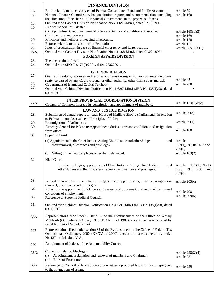|      | <b>FINANCE DIVISION</b>                                                                                                                                                  |                                          |
|------|--------------------------------------------------------------------------------------------------------------------------------------------------------------------------|------------------------------------------|
| 16.  | Rules relating to the custody etc of Federal Consolidated Fund and Public Account.                                                                                       | Article 79                               |
| 17.  | National Finance Commission. Its constitution, reports and recommendations including<br>the allocation of the shares of Provincial Governments in the proceeds of taxes. | Article 160                              |
| 18.  | Omitted vide Cabinet Division Notification No.4-11/91-Min.I, dated 22.10.1991.                                                                                           |                                          |
| 19.  | Auditor General of Pakistan:                                                                                                                                             |                                          |
|      | (i) Appointment, removal, term of office and terms and conditions of service;<br>(ii) Functions and powers.                                                              | Article $168(1)(3)$                      |
| 20.  | Principles and methods of keeping of accounts.                                                                                                                           | Article 169<br>Article 170               |
| 21.  | Reports relating to the accounts of Federation.                                                                                                                          | Article 171                              |
| 22.  | Issue of proclamation in case of financial emergency and its revocation.<br>Omitted vide Cabinet Division Notification No.4-14/98-Min.I, dated 01.02.1998.               | Article 235, 236(1)                      |
| 22A. | <b>FOREIGN AFFAIRS DIVISION</b>                                                                                                                                          |                                          |
| 23.  | The declaration of war.                                                                                                                                                  |                                          |
| 24.  | Omitted vide SRO No.476(I)/2001, dated 28.6.2001.                                                                                                                        |                                          |
|      | <b>INTERIOR DIVISION</b>                                                                                                                                                 |                                          |
| 25.  | Grants of pardons, reprieves and respites and revision suspension or commutation of any                                                                                  | Article 45                               |
| 26.  | sentence passed by any Court, tribunal or other authority, other than a court martial.<br>Government of Islamabad Capital Territory.                                     | Article 258                              |
| 27.  | Omitted vide Cabinet Division Notification No.4-6/97-Min.I (SRO No.135(I)/98) dated                                                                                      |                                          |
|      | 03.03.1998.                                                                                                                                                              |                                          |
| 27A. | <b>INTER-PROVINCIAL COORDINATION DIVISION</b>                                                                                                                            |                                          |
|      | Council of Common Interest. Its constitution and appointment of members.                                                                                                 | Article $153(1)$ & $(2)$                 |
|      | <b>LAW AND JUSTICE DIVISION</b>                                                                                                                                          | Article 29(3)                            |
| 28.  | Submission of annual report to [each House of Majlis-e-Shoora (Parliament)] in relation<br>to Federation on observance of Principles of Policy.                          |                                          |
| 29.  | Promulgation of Ordinances.                                                                                                                                              | Article $89(1)$                          |
| 30.  | Attorney General for Pakistan: Appointment, duties terms and conditions and resignation                                                                                  | Article 100                              |
| 31.  | from office.<br>Supreme Court:                                                                                                                                           |                                          |
|      | (a) Appointment of the Chief Justice, Acting Chief Justice and other Judges<br>and                                                                                       | Article                                  |
|      | their removal, allowances and privileges.                                                                                                                                | 177(1),180,181,182 and                   |
|      |                                                                                                                                                                          | 209(6)                                   |
|      | (b) Sitting of the Court at places other than Islamabad.                                                                                                                 | Article 183(2)                           |
| 32.  | High Court:                                                                                                                                                              |                                          |
|      | Number of Judges, appointment of Chief Justices, Acting Chief Justices<br>and<br>other Judges and their transfers, removal, allowances and privileges.                   | Article<br>192(1), 193(1),               |
|      |                                                                                                                                                                          | 196,<br>197,<br>200<br>and<br>$209(6)$ . |
|      |                                                                                                                                                                          |                                          |
| 33.  | Federal Shariat Court : number of Judges, their appointments, transfer, resignation,<br>removal, allowances and privileges.                                              | Article 203(c)                           |
| 34.  | Rules for the appointment of officers and servants of Supreme Court and their terms and                                                                                  |                                          |
|      | conditions of employment.                                                                                                                                                | Article 208<br>Article 209(5)            |
| 35.  | Reference to Supreme Judicial Council.                                                                                                                                   |                                          |
| 36.  | Omitted vide Cabinet Division Notification No.4-6/97-Min.I (SRO No.135(I)/98) dated                                                                                      |                                          |
|      | 03.03.1998.                                                                                                                                                              |                                          |
| 36A. | Representations filed under Article 32 of the Establishment of the Office of Wafaqi                                                                                      |                                          |
|      | Mohtasib (Ombudsman) Order, 1983 (P.O.No.1 of 1983), except the cases covered by<br>serial No.13A of Schedule V-A.                                                       |                                          |
|      | Representations filed under section 32 of the Establishment of the Office of Federal Tax                                                                                 |                                          |
| 36B. | Ombudsman Ordinance, 2000 (XXXV of 2000), except the cases covered by serial                                                                                             |                                          |
|      | No.13B of Schedule V-A.                                                                                                                                                  |                                          |
| 36C. | Appointment of Judges of the Accountability Courts.                                                                                                                      |                                          |
| 36D. | Council of Islamic Ideology:                                                                                                                                             | Article 228(3)(4)                        |
|      | Appointment, resignation and removal of members and Chairman.<br>(i)                                                                                                     | Article 231                              |
|      | Rules of Procedure.<br>(ii)                                                                                                                                              |                                          |
| 36E. | Reference to Council of Islamic Ideology whether a proposed law is or is not repugnant<br>to the Injunctions of Islam.                                                   | Article 229                              |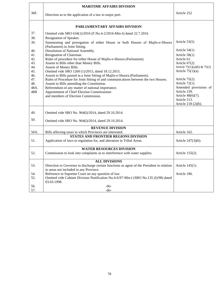|      | <b>MARITIME AFFAIRS DIVISION</b>                                                                              |                                 |
|------|---------------------------------------------------------------------------------------------------------------|---------------------------------|
| 36F. | Direction as to the application of a law to major port.                                                       | Article 252                     |
|      | PARLIAMENTARY AFFAIRS DIVISION                                                                                |                                 |
| 37.  | Omitted vide SRO 634(1)/2016 (F.No.4-2/2016-Min-I) dated 22.7.2016                                            |                                 |
| 38.  | Resignation of Speaker.                                                                                       |                                 |
| 39.  | Summoning and prorogation of either House or both Houses of Majlis-e-Shoora<br>(Parliament) in Joint Sitting. | Article $53(5)$                 |
| 40.  | Dissolution of National Assembly.                                                                             | Article $54(1)$                 |
| 41.  | Resignation of Chairman.                                                                                      | Article $58(1)$                 |
| 42.  | Rules of procedure for either House of Majlis-e-Shoora (Parliament).                                          | Article 61.                     |
| 43.  | Assent to Bills other than Money Bills.                                                                       | Article $67(2)$                 |
| 44.  | Assent of Money Bills.                                                                                        | Article $75(1)(a)(b)$ & $75(2)$ |
| 45.  | Omitted vide SRO 1260 (1)/2015, dated 18.12.2015.                                                             | Article $75(1)(a)$ .            |
| 46.  | Assent to Bills passed in a Joint Sitting of Majlis-e-Shoora (Parliament).                                    |                                 |
| 47.  | Rules of Procedure for Joint Sitting of and communications between the two Houses.                            | Article $75(2)$ .               |
| 48.  | Assent to Bills amending the Constitution.                                                                    | Article 72(1).                  |
| 48A. | Referendum of any matter of national importance.                                                              | Amended provisions of           |
| 48B  | Appointment of Chief Election Commissioner                                                                    | Article 239.                    |
|      | and members of Election Commission.                                                                           | Article 48(6)(7).               |
|      |                                                                                                               | Article 213.                    |
|      |                                                                                                               | Article 218 (2)(b).             |
| 49.  | Omitted vide SRO No. 964(I)/2014, dated 29.10.2014.                                                           |                                 |
| 50.  | Omitted vide SRO No. 964(I)/2014, dated 29.10.2014.                                                           |                                 |
|      | <b>REVENUE DIVISION</b>                                                                                       |                                 |
| 50A. | Bills affecting taxes in which Provinces are interested.                                                      | Article 162.                    |
|      | STATES AND FRONTIER REGIONS DIVISION                                                                          |                                 |
| 51.  | Application of laws to regulation for, and alteration in Tribal Areas.                                        | Article 247(3)(6).              |
|      | <b>WATER RESOURCES DIVISION</b>                                                                               |                                 |
| 52.  | Commission to look into complaints as to interference with water supplies.                                    | Article 155(2).                 |
|      | <b>ALL DIVISIONS</b>                                                                                          |                                 |
| 53.  | Direction to Governor to discharge certain functions as agent of the President in relation                    | Article 145(1).                 |
|      | to areas not included in any Province.                                                                        |                                 |
| 54.  | Reference to Supreme Court on any question of law.                                                            | Article 186.                    |
| 55.  | Omitted vide Cabinet Division Notification No.4-6/97-Min.I (SRO No.135 (I)/98) dated                          |                                 |
|      | 03.03.1998.                                                                                                   |                                 |
| 56.  | $-do-$                                                                                                        |                                 |
| 57.  | $-do-$                                                                                                        |                                 |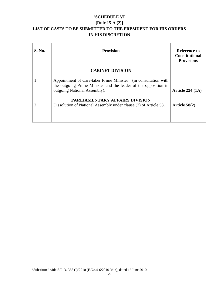## **<sup>1</sup>SCHEDULE VI**

# **[Rule 15-A (2)]**

# **LIST OF CASES TO BE SUBMITTED TO THE PRESIDENT FOR HIS ORDERS IN HIS DISCRETION**

| S. No. | <b>Provision</b>                                                                                                                                                  | <b>Reference to</b><br><b>Constitutional</b><br><b>Provisions</b> |
|--------|-------------------------------------------------------------------------------------------------------------------------------------------------------------------|-------------------------------------------------------------------|
|        | <b>CABINET DIVISION</b>                                                                                                                                           |                                                                   |
| 1.     | Appointment of Care-taker Prime Minister (in consultation with<br>the outgoing Prime Minister and the leader of the opposition in<br>outgoing National Assembly). | Article $224(1A)$                                                 |
| 2.     | <b>PARLIAMENTARY AFFAIRS DIVISION</b><br>Dissolution of National Assembly under clause (2) of Article 58.                                                         | Article $58(2)$                                                   |

<sup>&</sup>lt;sup>1</sup>Substituted vide S.R.O. 368 (I)/2010 (F.No.4-6/2010-Min), dated 1<sup>st</sup> June 2010.